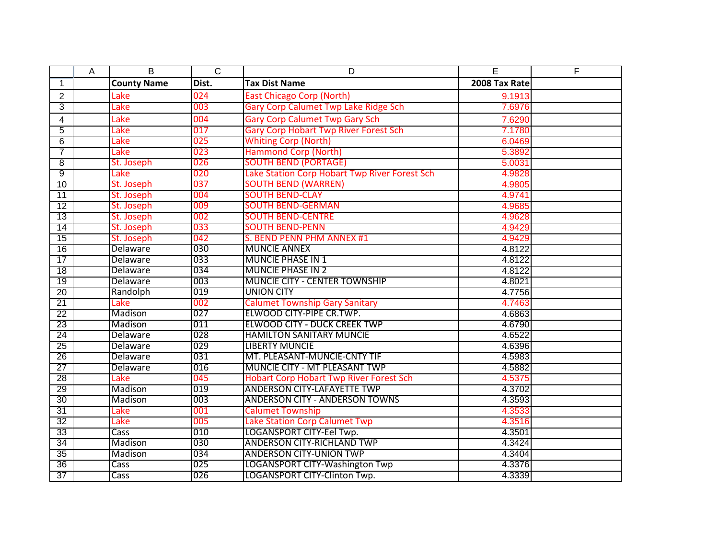|                 | A | B                  | $\mathsf{C}$ | D                                              | E             | F |
|-----------------|---|--------------------|--------------|------------------------------------------------|---------------|---|
| 1               |   | <b>County Name</b> | Dist.        | <b>Tax Dist Name</b>                           | 2008 Tax Rate |   |
| $\overline{2}$  |   | Lake               | 024          | <b>East Chicago Corp (North)</b>               | 9.1913        |   |
| 3               |   | Lake               | 003          | Gary Corp Calumet Twp Lake Ridge Sch           | 7.6976        |   |
| 4               |   | Lake               | 004          | <b>Gary Corp Calumet Twp Gary Sch</b>          | 7.6290        |   |
| 5               |   | Lake               | 017          | <b>Gary Corp Hobart Twp River Forest Sch</b>   | 7.1780        |   |
| 6               |   | Lake               | 025          | <b>Whiting Corp (North)</b>                    | 6.0469        |   |
| 7               |   | Lake               | 023          | <b>Hammond Corp (North)</b>                    | 5.3892        |   |
| $\overline{8}$  |   | St. Joseph         | 026          | <b>SOUTH BEND (PORTAGE)</b>                    | 5.0031        |   |
| 9               |   | Lake               | 020          | Lake Station Corp Hobart Twp River Forest Sch  | 4.9828        |   |
| 10              |   | St. Joseph         | 037          | <b>SOUTH BEND (WARREN)</b>                     | 4.9805        |   |
| $\overline{11}$ |   | St. Joseph         | 004          | <b>SOUTH BEND-CLAY</b>                         | 4.9741        |   |
| 12              |   | St. Joseph         | 009          | <b>SOUTH BEND-GERMAN</b>                       | 4.9685        |   |
| 13              |   | St. Joseph         | 002          | <b>SOUTH BEND-CENTRE</b>                       | 4.9628        |   |
| 14              |   | St. Joseph         | 033          | <b>SOUTH BEND-PENN</b>                         | 4.9429        |   |
| 15              |   | St. Joseph         | 042          | S. BEND PENN PHM ANNEX #1                      | 4.9429        |   |
| 16              |   | Delaware           | 030          | <b>MUNCIE ANNEX</b>                            | 4.8122        |   |
| 17              |   | Delaware           | 033          | <b>MUNCIE PHASE IN 1</b>                       | 4.8122        |   |
| $\overline{18}$ |   | Delaware           | 034          | <b>MUNCIE PHASE IN 2</b>                       | 4.8122        |   |
| 19              |   | <b>Delaware</b>    | 003          | <b>MUNCIE CITY - CENTER TOWNSHIP</b>           | 4.8021        |   |
| 20              |   | Randolph           | 019          | <b>UNION CITY</b>                              | 4.7756        |   |
| 21              |   | Lake               | 002          | <b>Calumet Township Gary Sanitary</b>          | 4.7463        |   |
| 22              |   | Madison            | 027          | ELWOOD CITY-PIPE CR.TWP.                       | 4.6863        |   |
| $\overline{23}$ |   | Madison            | 011          | <b>ELWOOD CITY - DUCK CREEK TWP</b>            | 4.6790        |   |
| 24              |   | Delaware           | 028          | <b>HAMILTON SANITARY MUNCIE</b>                | 4.6522        |   |
| 25              |   | Delaware           | 029          | <b>LIBERTY MUNCIE</b>                          | 4.6396        |   |
| 26              |   | Delaware           | 031          | MT. PLEASANT-MUNCIE-CNTY TIF                   | 4.5983        |   |
| $\overline{27}$ |   | <b>Delaware</b>    | 016          | <b>MUNCIE CITY - MT PLEASANT TWP</b>           | 4.5882        |   |
| 28              |   | Lake               | 045          | <b>Hobart Corp Hobart Twp River Forest Sch</b> | 4.5375        |   |
| 29              |   | Madison            | 019          | <b>ANDERSON CITY-LAFAYETTE TWP</b>             | 4.3702        |   |
| 30              |   | <b>Madison</b>     | 003          | <b>ANDERSON CITY - ANDERSON TOWNS</b>          | 4.3593        |   |
| 31              |   | Lake               | 001          | <b>Calumet Township</b>                        | 4.3533        |   |
| 32              |   | Lake               | 005          | <b>Lake Station Corp Calumet Twp</b>           | 4.3516        |   |
| 33              |   | Cass               | 010          | LOGANSPORT CITY-Eel Twp.                       | 4.3501        |   |
| 34              |   | Madison            | 030          | <b>ANDERSON CITY-RICHLAND TWP</b>              | 4.3424        |   |
| 35              |   | Madison            | 034          | <b>ANDERSON CITY-UNION TWP</b>                 | 4.3404        |   |
| 36              |   | Cass               | 025          | LOGANSPORT CITY-Washington Twp                 | 4.3376        |   |
| 37              |   | Cass               | 026          | LOGANSPORT CITY-Clinton Twp.                   | 4.3339        |   |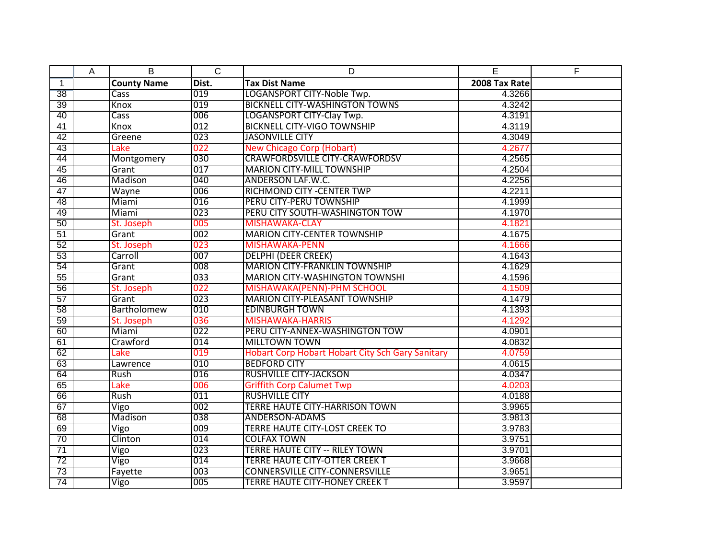|                 | A | B                  | $\overline{C}$ | D                                                | E             | F |
|-----------------|---|--------------------|----------------|--------------------------------------------------|---------------|---|
| $\mathbf{1}$    |   | <b>County Name</b> | Dist.          | <b>Tax Dist Name</b>                             | 2008 Tax Rate |   |
| 38              |   | Cass               | 019            | LOGANSPORT CITY-Noble Twp.                       | 4.3266        |   |
| 39              |   | Knox               | 019            | <b>BICKNELL CITY-WASHINGTON TOWNS</b>            | 4.3242        |   |
| 40              |   | Cass               | 006            | <b>LOGANSPORT CITY-Clay Twp.</b>                 | 4.3191        |   |
| 41              |   | Knox               | 012            | <b>BICKNELL CITY-VIGO TOWNSHIP</b>               | 4.3119        |   |
| 42              |   | Greene             | 023            | <b>JASONVILLE CITY</b>                           | 4.3049        |   |
| 43              |   | Lake               | 022            | <b>New Chicago Corp (Hobart)</b>                 | 4.2677        |   |
| 44              |   | Montgomery         | 030            | <b>CRAWFORDSVILLE CITY-CRAWFORDSV</b>            | 4.2565        |   |
| 45              |   | Grant              | 017            | <b>MARION CITY-MILL TOWNSHIP</b>                 | 4.2504        |   |
| 46              |   | Madison            | 040            | ANDERSON LAF.W.C.                                | 4.2256        |   |
| 47              |   | Wayne              | 006            | <b>RICHMOND CITY - CENTER TWP</b>                | 4.2211        |   |
| 48              |   | Miami              | 016            | PERU CITY-PERU TOWNSHIP                          | 4.1999        |   |
| 49              |   | Miami              | 023            | PERU CITY SOUTH-WASHINGTON TOW                   | 4.1970        |   |
| 50              |   | St. Joseph         | 005            | <b>MISHAWAKA-CLAY</b>                            | 4.1821        |   |
| 51              |   | Grant              | 002            | <b>MARION CITY-CENTER TOWNSHIP</b>               | 4.1675        |   |
| 52              |   | St. Joseph         | 023            | <b>MISHAWAKA-PENN</b>                            | 4.1666        |   |
| 53              |   | Carroll            | 007            | <b>DELPHI (DEER CREEK)</b>                       | 4.1643        |   |
| 54              |   | Grant              | 008            | <b>MARION CITY-FRANKLIN TOWNSHIP</b>             | 4.1629        |   |
| 55              |   | Grant              | 033            | <b>MARION CITY-WASHINGTON TOWNSHI</b>            | 4.1596        |   |
| 56              |   | St. Joseph         | 022            | MISHAWAKA(PENN)-PHM SCHOOL                       | 4.1509        |   |
| 57              |   | Grant              | 023            | <b>MARION CITY-PLEASANT TOWNSHIP</b>             | 4.1479        |   |
| 58              |   | Bartholomew        | 010            | <b>EDINBURGH TOWN</b>                            | 4.1393        |   |
| 59              |   | St. Joseph         | 036            | <b>MISHAWAKA-HARRIS</b>                          | 4.1292        |   |
| 60              |   | Miami              | 022            | PERU CITY-ANNEX-WASHINGTON TOW                   | 4.0901        |   |
| 61              |   | Crawford           | 014            | <b>MILLTOWN TOWN</b>                             | 4.0832        |   |
| 62              |   | Lake               | 019            | Hobart Corp Hobart Hobart City Sch Gary Sanitary | 4.0759        |   |
| 63              |   | Lawrence           | 010            | <b>BEDFORD CITY</b>                              | 4.0615        |   |
| 64              |   | Rush               | 016            | <b>RUSHVILLE CITY-JACKSON</b>                    | 4.0347        |   |
| 65              |   | Lake               | 006            | <b>Griffith Corp Calumet Twp</b>                 | 4.0203        |   |
| 66              |   | Rush               | 011            | <b>RUSHVILLE CITY</b>                            | 4.0188        |   |
| 67              |   | Vigo               | 002            | <b>TERRE HAUTE CITY-HARRISON TOWN</b>            | 3.9965        |   |
| 68              |   | Madison            | 038            | <b>ANDERSON-ADAMS</b>                            | 3.9813        |   |
| 69              |   | Vigo               | 009            | <b>TERRE HAUTE CITY-LOST CREEK TO</b>            | 3.9783        |   |
| 70              |   | Clinton            | 014            | <b>COLFAX TOWN</b>                               | 3.9751        |   |
| $\overline{71}$ |   | Vigo               | 023            | <b>TERRE HAUTE CITY -- RILEY TOWN</b>            | 3.9701        |   |
| 72              |   | Vigo               | 014            | <b>TERRE HAUTE CITY-OTTER CREEK T</b>            | 3.9668        |   |
| 73              |   | Fayette            | 003            | <b>CONNERSVILLE CITY-CONNERSVILLE</b>            | 3.9651        |   |
| 74              |   | Vigo               | 005            | <b>TERRE HAUTE CITY-HONEY CREEK T</b>            | 3.9597        |   |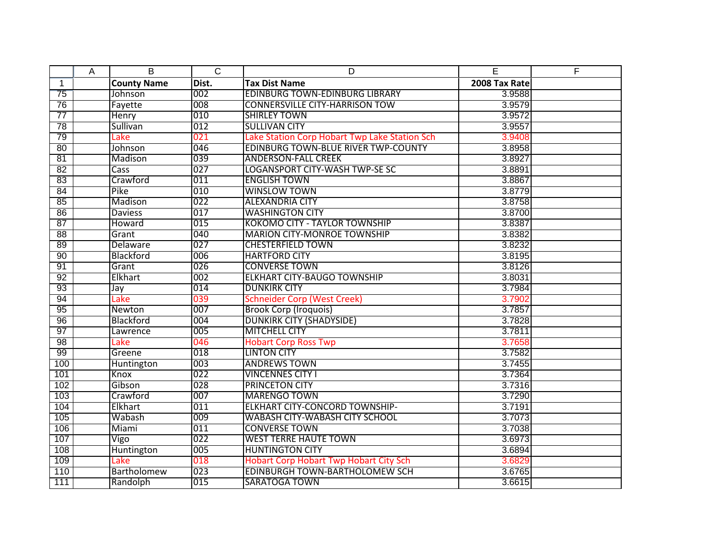|                 | A | B                  | $\overline{C}$ | D                                             | E             | F |
|-----------------|---|--------------------|----------------|-----------------------------------------------|---------------|---|
| $\mathbf{1}$    |   | <b>County Name</b> | Dist.          | <b>Tax Dist Name</b>                          | 2008 Tax Rate |   |
| 75              |   | Johnson            | 002            | <b>EDINBURG TOWN-EDINBURG LIBRARY</b>         | 3.9588        |   |
| 76              |   | Fayette            | 008            | <b>CONNERSVILLE CITY-HARRISON TOW</b>         | 3.9579        |   |
| $\overline{77}$ |   | Henry              | 010            | <b>SHIRLEY TOWN</b>                           | 3.9572        |   |
| 78              |   | Sullivan           | 012            | <b>SULLIVAN CITY</b>                          | 3.9557        |   |
| 79              |   | Lake               | 021            | Lake Station Corp Hobart Twp Lake Station Sch | 3.9408        |   |
| 80              |   | Johnson            | 046            | <b>EDINBURG TOWN-BLUE RIVER TWP-COUNTY</b>    | 3.8958        |   |
| 81              |   | Madison            | 039            | <b>ANDERSON-FALL CREEK</b>                    | 3.8927        |   |
| 82              |   | Cass               | 027            | LOGANSPORT CITY-WASH TWP-SE SC                | 3.8891        |   |
| 83              |   | Crawford           | 011            | <b>ENGLISH TOWN</b>                           | 3.8867        |   |
| 84              |   | Pike               | 010            | <b>WINSLOW TOWN</b>                           | 3.8779        |   |
| 85              |   | Madison            | 022            | <b>ALEXANDRIA CITY</b>                        | 3.8758        |   |
| 86              |   | <b>Daviess</b>     | 017            | <b>WASHINGTON CITY</b>                        | 3.8700        |   |
| 87              |   | Howard             | 015            | <b>KOKOMO CITY - TAYLOR TOWNSHIP</b>          | 3.8387        |   |
| 88              |   | Grant              | 040            | <b>MARION CITY-MONROE TOWNSHIP</b>            | 3.8382        |   |
| 89              |   | Delaware           | 027            | <b>CHESTERFIELD TOWN</b>                      | 3.8232        |   |
| 90              |   | Blackford          | 006            | <b>HARTFORD CITY</b>                          | 3.8195        |   |
| 91              |   | Grant              | 026            | <b>CONVERSE TOWN</b>                          | 3.8126        |   |
| 92              |   | Elkhart            | 002            | <b>ELKHART CITY-BAUGO TOWNSHIP</b>            | 3.8031        |   |
| 93              |   | Jay                | 014            | <b>DUNKIRK CITY</b>                           | 3.7984        |   |
| 94              |   | Lake               | 039            | <b>Schneider Corp (West Creek)</b>            | 3.7902        |   |
| $\overline{95}$ |   | Newton             | 007            | <b>Brook Corp (Iroquois)</b>                  | 3.7857        |   |
| 96              |   | Blackford          | 004            | <b>DUNKIRK CITY (SHADYSIDE)</b>               | 3.7828        |   |
| 97              |   | Lawrence           | 005            | <b>MITCHELL CITY</b>                          | 3.7811        |   |
| 98              |   | Lake               | 046            | <b>Hobart Corp Ross Twp</b>                   | 3.7658        |   |
| 99              |   | Greene             | 018            | <b>LINTON CITY</b>                            | 3.7582        |   |
| 100             |   | Huntington         | 003            | <b>ANDREWS TOWN</b>                           | 3.7455        |   |
| 101             |   | Knox               | 022            | <b>VINCENNES CITY I</b>                       | 3.7364        |   |
| 102             |   | Gibson             | 028            | PRINCETON CITY                                | 3.7316        |   |
| 103             |   | Crawford           | 007            | <b>MARENGO TOWN</b>                           | 3.7290        |   |
| 104             |   | Elkhart            | 011            | <b>ELKHART CITY-CONCORD TOWNSHIP-</b>         | 3.7191        |   |
| 105             |   | Wabash             | 009            | <b>WABASH CITY-WABASH CITY SCHOOL</b>         | 3.7073        |   |
| 106             |   | Miami              | 011            | <b>CONVERSE TOWN</b>                          | 3.7038        |   |
| 107             |   | Vigo               | 022            | <b>WEST TERRE HAUTE TOWN</b>                  | 3.6973        |   |
| 108             |   | Huntington         | 005            | <b>HUNTINGTON CITY</b>                        | 3.6894        |   |
| 109             |   | Lake               | 018            | <b>Hobart Corp Hobart Twp Hobart City Sch</b> | 3.6829        |   |
| 110             |   | Bartholomew        | 023            | <b>EDINBURGH TOWN-BARTHOLOMEW SCH</b>         | 3.6765        |   |
| 111             |   | Randolph           | 015            | SARATOGA TOWN                                 | 3.6615        |   |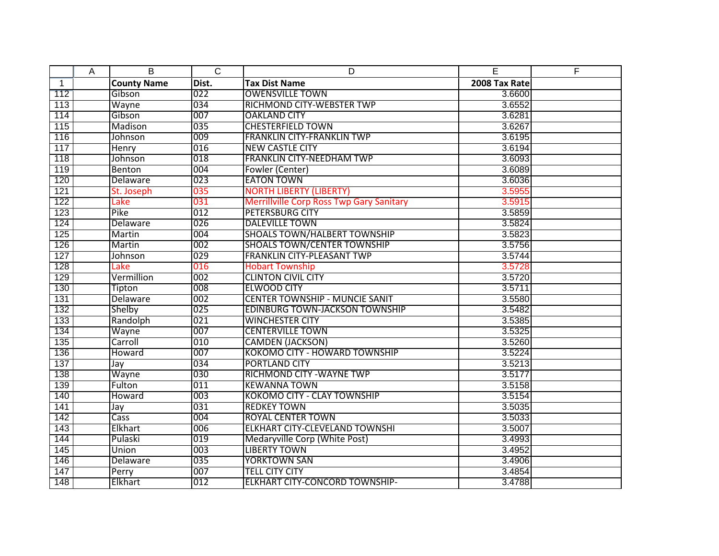|              | Α | B                  | $\mathsf{C}$ | D                                               | E             | F |
|--------------|---|--------------------|--------------|-------------------------------------------------|---------------|---|
| $\mathbf{1}$ |   | <b>County Name</b> | Dist.        | <b>Tax Dist Name</b>                            | 2008 Tax Rate |   |
| 112          |   | Gibson             | 022          | <b>OWENSVILLE TOWN</b>                          | 3.6600        |   |
| 113          |   | Wayne              | 034          | <b>RICHMOND CITY-WEBSTER TWP</b>                | 3.6552        |   |
| 114          |   | Gibson             | 007          | <b>OAKLAND CITY</b>                             | 3.6281        |   |
| 115          |   | Madison            | 035          | <b>CHESTERFIELD TOWN</b>                        | 3.6267        |   |
| 116          |   | Johnson            | 009          | <b>FRANKLIN CITY-FRANKLIN TWP</b>               | 3.6195        |   |
| 117          |   | Henry              | 016          | <b>NEW CASTLE CITY</b>                          | 3.6194        |   |
| 118          |   | Johnson            | 018          | <b>FRANKLIN CITY-NEEDHAM TWP</b>                | 3.6093        |   |
| 119          |   | Benton             | 004          | Fowler (Center)                                 | 3.6089        |   |
| 120          |   | Delaware           | 023          | <b>EATON TOWN</b>                               | 3.6036        |   |
| 121          |   | St. Joseph         | 035          | <b>NORTH LIBERTY (LIBERTY)</b>                  | 3.5955        |   |
| 122          |   | Lake               | 031          | <b>Merrillville Corp Ross Twp Gary Sanitary</b> | 3.5915        |   |
| 123          |   | Pike               | 012          | PETERSBURG CITY                                 | 3.5859        |   |
| 124          |   | Delaware           | 026          | <b>DALEVILLE TOWN</b>                           | 3.5824        |   |
| 125          |   | Martin             | 004          | <b>SHOALS TOWN/HALBERT TOWNSHIP</b>             | 3.5823        |   |
| 126          |   | Martin             | 002          | <b>SHOALS TOWN/CENTER TOWNSHIP</b>              | 3.5756        |   |
| 127          |   | Johnson            | 029          | <b>FRANKLIN CITY-PLEASANT TWP</b>               | 3.5744        |   |
| 128          |   | Lake               | 016          | <b>Hobart Township</b>                          | 3.5728        |   |
| 129          |   | Vermillion         | 002          | <b>CLINTON CIVIL CITY</b>                       | 3.5720        |   |
| 130          |   | Tipton             | 008          | <b>ELWOOD CITY</b>                              | 3.5711        |   |
| 131          |   | Delaware           | 002          | <b>CENTER TOWNSHIP - MUNCIE SANIT</b>           | 3.5580        |   |
| 132          |   | Shelby             | 025          | <b>EDINBURG TOWN-JACKSON TOWNSHIP</b>           | 3.5482        |   |
| 133          |   | Randolph           | 021          | <b>WINCHESTER CITY</b>                          | 3.5385        |   |
| 134          |   | Wayne              | 007          | <b>CENTERVILLE TOWN</b>                         | 3.5325        |   |
| 135          |   | Carroll            | 010          | <b>CAMDEN (JACKSON)</b>                         | 3.5260        |   |
| 136          |   | Howard             | 007          | <b>KOKOMO CITY - HOWARD TOWNSHIP</b>            | 3.5224        |   |
| 137          |   | Jay                | 034          | PORTLAND CITY                                   | 3.5213        |   |
| 138          |   | Wayne              | 030          | <b>RICHMOND CITY - WAYNE TWP</b>                | 3.5177        |   |
| 139          |   | Fulton             | 011          | <b>KEWANNA TOWN</b>                             | 3.5158        |   |
| 140          |   | Howard             | 003          | <b>KOKOMO CITY - CLAY TOWNSHIP</b>              | 3.5154        |   |
| 141          |   | Jay                | 031          | <b>REDKEY TOWN</b>                              | 3.5035        |   |
| 142          |   | Cass               | 004          | <b>ROYAL CENTER TOWN</b>                        | 3.5033        |   |
| 143          |   | Elkhart            | 006          | <b>ELKHART CITY-CLEVELAND TOWNSHI</b>           | 3.5007        |   |
| 144          |   | Pulaski            | 019          | Medaryville Corp (White Post)                   | 3.4993        |   |
| 145          |   | Union              | 003          | <b>LIBERTY TOWN</b>                             | 3.4952        |   |
| 146          |   | Delaware           | 035          | <b>YORKTOWN SAN</b>                             | 3.4906        |   |
| 147          |   | Perry              | 007          | <b>TELL CITY CITY</b>                           | 3.4854        |   |
| 148          |   | Elkhart            | 012          | <b>ELKHART CITY-CONCORD TOWNSHIP-</b>           | 3.4788        |   |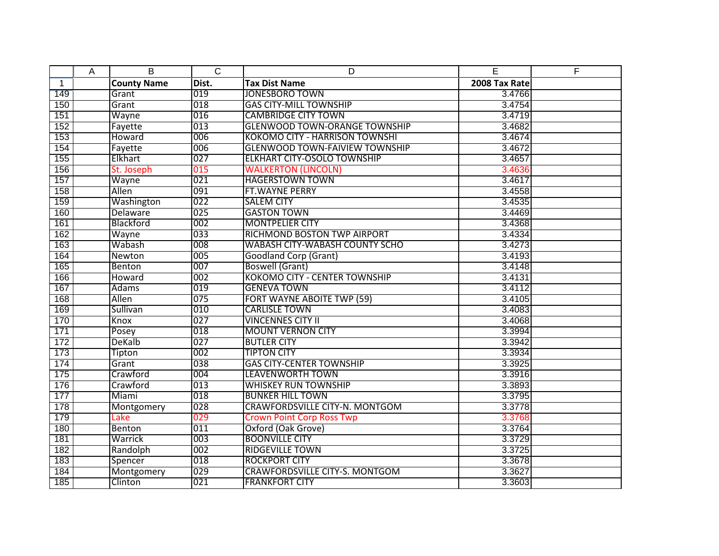|              | A | B                  | $\overline{C}$ | D                                     | E             | F |
|--------------|---|--------------------|----------------|---------------------------------------|---------------|---|
| $\mathbf{1}$ |   | <b>County Name</b> | Dist.          | <b>Tax Dist Name</b>                  | 2008 Tax Rate |   |
| 149          |   | Grant              | 019            | <b>JONESBORO TOWN</b>                 | 3.4766        |   |
| 150          |   | Grant              | 018            | <b>GAS CITY-MILL TOWNSHIP</b>         | 3.4754        |   |
| 151          |   | Wayne              | 016            | <b>CAMBRIDGE CITY TOWN</b>            | 3.4719        |   |
| 152          |   | Fayette            | 013            | <b>GLENWOOD TOWN-ORANGE TOWNSHIP</b>  | 3.4682        |   |
| 153          |   | Howard             | 006            | <b>KOKOMO CITY - HARRISON TOWNSHI</b> | 3.4674        |   |
| 154          |   | Fayette            | 006            | <b>GLENWOOD TOWN-FAIVIEW TOWNSHIP</b> | 3.4672        |   |
| 155          |   | Elkhart            | 027            | <b>ELKHART CITY-OSOLO TOWNSHIP</b>    | 3.4657        |   |
| 156          |   | St. Joseph         | 015            | <b>WALKERTON (LINCOLN)</b>            | 3.4636        |   |
| 157          |   | Wayne              | 021            | <b>HAGERSTOWN TOWN</b>                | 3.4617        |   |
| 158          |   | Allen              | 091            | <b>FT.WAYNE PERRY</b>                 | 3.4558        |   |
| 159          |   | Washington         | 022            | <b>SALEM CITY</b>                     | 3.4535        |   |
| 160          |   | Delaware           | 025            | <b>GASTON TOWN</b>                    | 3.4469        |   |
| 161          |   | Blackford          | 002            | <b>MONTPELIER CITY</b>                | 3.4368        |   |
| 162          |   | Wayne              | 033            | RICHMOND BOSTON TWP AIRPORT           | 3.4334        |   |
| 163          |   | Wabash             | 008            | <b>WABASH CITY-WABASH COUNTY SCHO</b> | 3.4273        |   |
| 164          |   | Newton             | 005            | <b>Goodland Corp (Grant)</b>          | 3.4193        |   |
| 165          |   | Benton             | 007            | <b>Boswell (Grant)</b>                | 3.4148        |   |
| 166          |   | Howard             | 002            | <b>KOKOMO CITY - CENTER TOWNSHIP</b>  | 3.4131        |   |
| 167          |   | Adams              | 019            | <b>GENEVA TOWN</b>                    | 3.4112        |   |
| 168          |   | Allen              | 075            | <b>FORT WAYNE ABOITE TWP (59)</b>     | 3.4105        |   |
| 169          |   | Sullivan           | 010            | <b>CARLISLE TOWN</b>                  | 3.4083        |   |
| 170          |   | Knox               | 027            | <b>VINCENNES CITY II</b>              | 3.4068        |   |
| 171          |   | Posey              | 018            | <b>MOUNT VERNON CITY</b>              | 3.3994        |   |
| 172          |   | DeKalb             | 027            | <b>BUTLER CITY</b>                    | 3.3942        |   |
| 173          |   | Tipton             | 002            | <b>TIPTON CITY</b>                    | 3.3934        |   |
| 174          |   | Grant              | 038            | <b>GAS CITY-CENTER TOWNSHIP</b>       | 3.3925        |   |
| 175          |   | Crawford           | 004            | <b>LEAVENWORTH TOWN</b>               | 3.3916        |   |
| 176          |   | Crawford           | 013            | <b>WHISKEY RUN TOWNSHIP</b>           | 3.3893        |   |
| 177          |   | Miami              | 018            | <b>BUNKER HILL TOWN</b>               | 3.3795        |   |
| 178          |   | Montgomery         | 028            | <b>CRAWFORDSVILLE CITY-N. MONTGOM</b> | 3.3778        |   |
| 179          |   | Lake               | 029            | <b>Crown Point Corp Ross Twp</b>      | 3.3768        |   |
| 180          |   | Benton             | 011            | Oxford (Oak Grove)                    | 3.3764        |   |
| 181          |   | Warrick            | 003            | <b>BOONVILLE CITY</b>                 | 3.3729        |   |
| 182          |   | Randolph           | 002            | <b>RIDGEVILLE TOWN</b>                | 3.3725        |   |
| 183          |   | Spencer            | 018            | <b>ROCKPORT CITY</b>                  | 3.3678        |   |
| 184          |   | Montgomery         | 029            | <b>CRAWFORDSVILLE CITY-S. MONTGOM</b> | 3.3627        |   |
| 185          |   | Clinton            | 021            | <b>FRANKFORT CITY</b>                 | 3.3603        |   |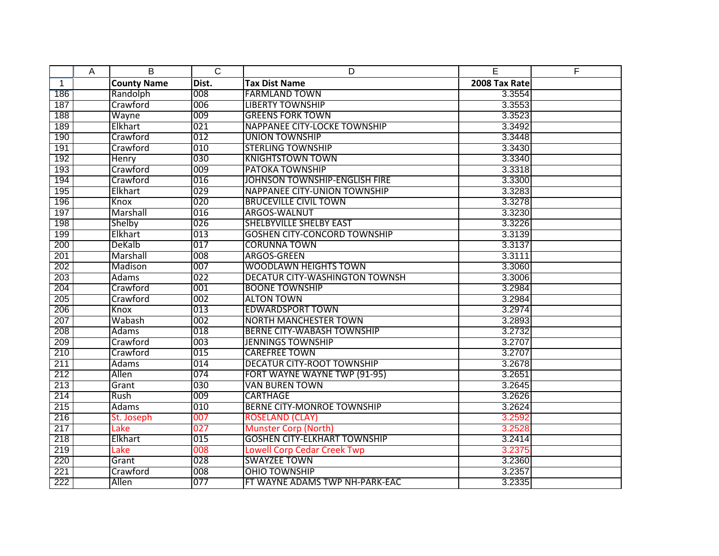|              | A | B                  | $\overline{C}$ | D                                     | E             | F |
|--------------|---|--------------------|----------------|---------------------------------------|---------------|---|
| $\mathbf{1}$ |   | <b>County Name</b> | Dist.          | <b>Tax Dist Name</b>                  | 2008 Tax Rate |   |
| 186          |   | Randolph           | 008            | <b>FARMLAND TOWN</b>                  | 3.3554        |   |
| 187          |   | Crawford           | 006            | <b>LIBERTY TOWNSHIP</b>               | 3.3553        |   |
| 188          |   | Wayne              | 009            | <b>GREENS FORK TOWN</b>               | 3.3523        |   |
| 189          |   | Elkhart            | 021            | <b>NAPPANEE CITY-LOCKE TOWNSHIP</b>   | 3.3492        |   |
| 190          |   | Crawford           | 012            | <b>UNION TOWNSHIP</b>                 | 3.3448        |   |
| 191          |   | Crawford           | 010            | <b>STERLING TOWNSHIP</b>              | 3.3430        |   |
| 192          |   | Henry              | 030            | <b>KNIGHTSTOWN TOWN</b>               | 3.3340        |   |
| 193          |   | Crawford           | 009            | <b>PATOKA TOWNSHIP</b>                | 3.3318        |   |
| 194          |   | Crawford           | 016            | JOHNSON TOWNSHIP-ENGLISH FIRE         | 3.3300        |   |
| 195          |   | Elkhart            | 029            | <b>NAPPANEE CITY-UNION TOWNSHIP</b>   | 3.3283        |   |
| 196          |   | Knox               | 020            | <b>BRUCEVILLE CIVIL TOWN</b>          | 3.3278        |   |
| 197          |   | Marshall           | 016            | ARGOS-WALNUT                          | 3.3230        |   |
| 198          |   | Shelby             | 026            | <b>SHELBYVILLE SHELBY EAST</b>        | 3.3226        |   |
| 199          |   | Elkhart            | 013            | <b>GOSHEN CITY-CONCORD TOWNSHIP</b>   | 3.3139        |   |
| 200          |   | <b>DeKalb</b>      | 017            | <b>CORUNNA TOWN</b>                   | 3.3137        |   |
| 201          |   | Marshall           | 008            | ARGOS-GREEN                           | 3.3111        |   |
| 202          |   | Madison            | 007            | <b>WOODLAWN HEIGHTS TOWN</b>          | 3.3060        |   |
| 203          |   | <b>Adams</b>       | 022            | <b>DECATUR CITY-WASHINGTON TOWNSH</b> | 3.3006        |   |
| 204          |   | Crawford           | 001            | <b>BOONE TOWNSHIP</b>                 | 3.2984        |   |
| 205          |   | Crawford           | 002            | <b>ALTON TOWN</b>                     | 3.2984        |   |
| 206          |   | Knox               | 013            | <b>EDWARDSPORT TOWN</b>               | 3.2974        |   |
| 207          |   | Wabash             | 002            | <b>NORTH MANCHESTER TOWN</b>          | 3.2893        |   |
| 208          |   | Adams              | 018            | <b>BERNE CITY-WABASH TOWNSHIP</b>     | 3.2732        |   |
| 209          |   | Crawford           | 003            | <b>JENNINGS TOWNSHIP</b>              | 3.2707        |   |
| 210          |   | Crawford           | 015            | <b>CAREFREE TOWN</b>                  | 3.2707        |   |
| 211          |   | Adams              | 014            | <b>DECATUR CITY-ROOT TOWNSHIP</b>     | 3.2678        |   |
| 212          |   | Allen              | 074            | FORT WAYNE WAYNE TWP (91-95)          | 3.2651        |   |
| 213          |   | Grant              | 030            | <b>VAN BUREN TOWN</b>                 | 3.2645        |   |
| 214          |   | Rush               | 009            | <b>CARTHAGE</b>                       | 3.2626        |   |
| 215          |   | <b>Adams</b>       | 010            | <b>BERNE CITY-MONROE TOWNSHIP</b>     | 3.2624        |   |
| 216          |   | St. Joseph         | 007            | <b>ROSELAND (CLAY)</b>                | 3.2592        |   |
| 217          |   | Lake               | 027            | <b>Munster Corp (North)</b>           | 3.2528        |   |
| 218          |   | Elkhart            | 015            | <b>GOSHEN CITY-ELKHART TOWNSHIP</b>   | 3.2414        |   |
| 219          |   | Lake               | 008            | <b>Lowell Corp Cedar Creek Twp</b>    | 3.2375        |   |
| 220          |   | Grant              | 028            | <b>SWAYZEE TOWN</b>                   | 3.2360        |   |
| 221          |   | Crawford           | 008            | <b>OHIO TOWNSHIP</b>                  | 3.2357        |   |
| 222          |   | Allen              | 077            | FT WAYNE ADAMS TWP NH-PARK-EAC        | 3.2335        |   |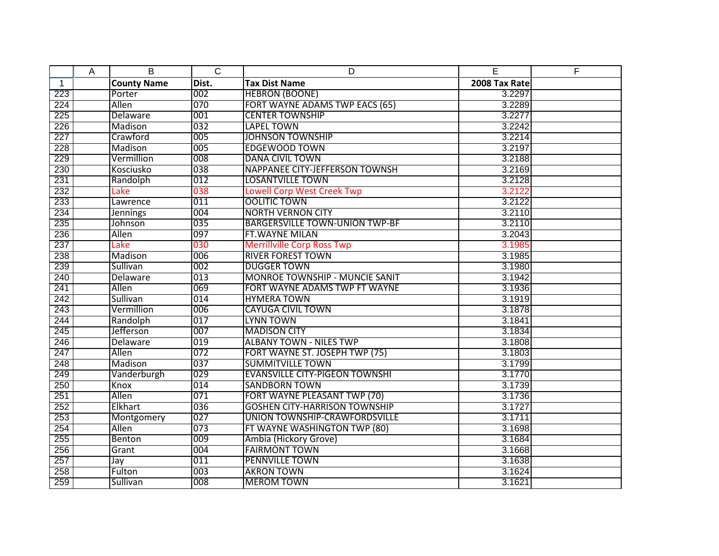|              | Α | B                  | $\overline{C}$ | D                                     | E             | F |
|--------------|---|--------------------|----------------|---------------------------------------|---------------|---|
| $\mathbf{1}$ |   | <b>County Name</b> | Dist.          | <b>Tax Dist Name</b>                  | 2008 Tax Rate |   |
| 223          |   | Porter             | 002            | <b>HEBRON (BOONE)</b>                 | 3.2297        |   |
| 224          |   | <b>Allen</b>       | 070            | FORT WAYNE ADAMS TWP EACS (65)        | 3.2289        |   |
| 225          |   | Delaware           | 001            | <b>CENTER TOWNSHIP</b>                | 3.2277        |   |
| 226          |   | Madison            | 032            | <b>LAPEL TOWN</b>                     | 3.2242        |   |
| 227          |   | Crawford           | 005            | <b>JOHNSON TOWNSHIP</b>               | 3.2214        |   |
| 228          |   | Madison            | 005            | <b>EDGEWOOD TOWN</b>                  | 3.2197        |   |
| 229          |   | Vermillion         | 008            | <b>DANA CIVIL TOWN</b>                | 3.2188        |   |
| 230          |   | Kosciusko          | 038            | NAPPANEE CITY-JEFFERSON TOWNSH        | 3.2169        |   |
| 231          |   | Randolph           | 012            | <b>LOSANTVILLE TOWN</b>               | 3.2128        |   |
| 232          |   | Lake               | 038            | <b>Lowell Corp West Creek Twp</b>     | 3.2122        |   |
| 233          |   | Lawrence           | 011            | <b>OOLITIC TOWN</b>                   | 3.2122        |   |
| 234          |   | <b>Jennings</b>    | 004            | <b>NORTH VERNON CITY</b>              | 3.2110        |   |
| 235          |   | Johnson            | 035            | <b>BARGERSVILLE TOWN-UNION TWP-BF</b> | 3.2110        |   |
| 236          |   | Allen              | 097            | FT. WAYNE MILAN                       | 3.2043        |   |
| 237          |   | Lake               | 030            | <b>Merrillville Corp Ross Twp</b>     | 3.1985        |   |
| 238          |   | Madison            | 006            | <b>RIVER FOREST TOWN</b>              | 3.1985        |   |
| 239          |   | Sullivan           | 002            | <b>DUGGER TOWN</b>                    | 3.1980        |   |
| 240          |   | Delaware           | 013            | <b>MONROE TOWNSHIP - MUNCIE SANIT</b> | 3.1942        |   |
| 241          |   | Allen              | 069            | FORT WAYNE ADAMS TWP FT WAYNE         | 3.1936        |   |
| 242          |   | Sullivan           | 014            | <b>HYMERA TOWN</b>                    | 3.1919        |   |
| 243          |   | Vermillion         | 006            | <b>CAYUGA CIVIL TOWN</b>              | 3.1878        |   |
| 244          |   | Randolph           | 017            | <b>LYNN TOWN</b>                      | 3.1841        |   |
| 245          |   | Jefferson          | 007            | <b>MADISON CITY</b>                   | 3.1834        |   |
| 246          |   | Delaware           | 019            | <b>ALBANY TOWN - NILES TWP</b>        | 3.1808        |   |
| 247          |   | Allen              | 072            | FORT WAYNE ST. JOSEPH TWP (75)        | 3.1803        |   |
| 248          |   | Madison            | 037            | <b>SUMMITVILLE TOWN</b>               | 3.1799        |   |
| 249          |   | Vanderburgh        | 029            | <b>EVANSVILLE CITY-PIGEON TOWNSHI</b> | 3.1770        |   |
| 250          |   | Knox               | 014            | <b>SANDBORN TOWN</b>                  | 3.1739        |   |
| 251          |   | Allen              | 071            | FORT WAYNE PLEASANT TWP (70)          | 3.1736        |   |
| 252          |   | Elkhart            | 036            | <b>GOSHEN CITY-HARRISON TOWNSHIP</b>  | 3.1727        |   |
| 253          |   | Montgomery         | 027            | UNION TOWNSHIP-CRAWFORDSVILLE         | 3.1711        |   |
| 254          |   | Allen              | 073            | FT WAYNE WASHINGTON TWP (80)          | 3.1698        |   |
| 255          |   | Benton             | 009            | Ambia (Hickory Grove)                 | 3.1684        |   |
| 256          |   | Grant              | 004            | <b>FAIRMONT TOWN</b>                  | 3.1668        |   |
| 257          |   | Jay                | 011            | <b>PENNVILLE TOWN</b>                 | 3.1638        |   |
| 258          |   | Fulton             | 003            | <b>AKRON TOWN</b>                     | 3.1624        |   |
| 259          |   | Sullivan           | 008            | <b>MEROM TOWN</b>                     | 3.1621        |   |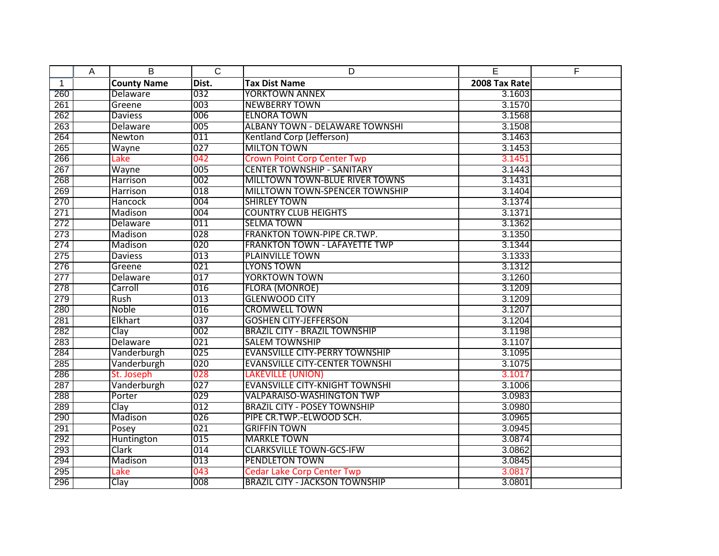|              | A | B                  | $\overline{C}$ | D                                     | E             | E |
|--------------|---|--------------------|----------------|---------------------------------------|---------------|---|
| $\mathbf{1}$ |   | <b>County Name</b> | Dist.          | <b>Tax Dist Name</b>                  | 2008 Tax Rate |   |
| 260          |   | Delaware           | 032            | <b>YORKTOWN ANNEX</b>                 | 3.1603        |   |
| 261          |   | Greene             | 003            | <b>NEWBERRY TOWN</b>                  | 3.1570        |   |
| 262          |   | <b>Daviess</b>     | 006            | <b>ELNORA TOWN</b>                    | 3.1568        |   |
| 263          |   | Delaware           | 005            | <b>ALBANY TOWN - DELAWARE TOWNSHI</b> | 3.1508        |   |
| 264          |   | Newton             | 011            | Kentland Corp (Jefferson)             | 3.1463        |   |
| 265          |   | Wayne              | 027            | <b>MILTON TOWN</b>                    | 3.1453        |   |
| 266          |   | Lake               | 042            | <b>Crown Point Corp Center Twp</b>    | 3.1451        |   |
| 267          |   | Wayne              | 005            | <b>CENTER TOWNSHIP - SANITARY</b>     | 3.1443        |   |
| 268          |   | <b>Harrison</b>    | 002            | <b>MILLTOWN TOWN-BLUE RIVER TOWNS</b> | 3.1431        |   |
| 269          |   | Harrison           | 018            | MILLTOWN TOWN-SPENCER TOWNSHIP        | 3.1404        |   |
| 270          |   | Hancock            | 004            | <b>SHIRLEY TOWN</b>                   | 3.1374        |   |
| 271          |   | Madison            | 004            | <b>COUNTRY CLUB HEIGHTS</b>           | 3.1371        |   |
| 272          |   | Delaware           | 011            | <b>SELMA TOWN</b>                     | 3.1362        |   |
| 273          |   | Madison            | 028            | FRANKTON TOWN-PIPE CR.TWP.            | 3.1350        |   |
| 274          |   | Madison            | 020            | <b>FRANKTON TOWN - LAFAYETTE TWP</b>  | 3.1344        |   |
| 275          |   | <b>Daviess</b>     | 013            | <b>PLAINVILLE TOWN</b>                | 3.1333        |   |
| 276          |   | Greene             | 021            | <b>LYONS TOWN</b>                     | 3.1312        |   |
| 277          |   | <b>Delaware</b>    | 017            | <b>YORKTOWN TOWN</b>                  | 3.1260        |   |
| 278          |   | Carroll            | 016            | <b>FLORA (MONROE)</b>                 | 3.1209        |   |
| 279          |   | Rush               | 013            | <b>GLENWOOD CITY</b>                  | 3.1209        |   |
| 280          |   | Noble              | 016            | <b>CROMWELL TOWN</b>                  | 3.1207        |   |
| 281          |   | Elkhart            | 037            | <b>GOSHEN CITY-JEFFERSON</b>          | 3.1204        |   |
| 282          |   | Clay               | 002            | <b>BRAZIL CITY - BRAZIL TOWNSHIP</b>  | 3.1198        |   |
| 283          |   | Delaware           | 021            | <b>SALEM TOWNSHIP</b>                 | 3.1107        |   |
| 284          |   | Vanderburgh        | 025            | <b>EVANSVILLE CITY-PERRY TOWNSHIP</b> | 3.1095        |   |
| 285          |   | Vanderburgh        | 020            | <b>EVANSVILLE CITY-CENTER TOWNSHI</b> | 3.1075        |   |
| 286          |   | St. Joseph         | 028            | <b>LAKEVILLE (UNION)</b>              | 3.1017        |   |
| 287          |   | Vanderburgh        | 027            | <b>EVANSVILLE CITY-KNIGHT TOWNSHI</b> | 3.1006        |   |
| 288          |   | Porter             | 029            | <b>VALPARAISO-WASHINGTON TWP</b>      | 3.0983        |   |
| 289          |   | Clay               | 012            | <b>BRAZIL CITY - POSEY TOWNSHIP</b>   | 3.0980        |   |
| 290          |   | Madison            | 026            | PIPE CR.TWP.-ELWOOD SCH.              | 3.0965        |   |
| 291          |   | Posey              | 021            | <b>GRIFFIN TOWN</b>                   | 3.0945        |   |
| 292          |   | Huntington         | 015            | <b>MARKLE TOWN</b>                    | 3.0874        |   |
| 293          |   | Clark              | 014            | <b>CLARKSVILLE TOWN-GCS-IFW</b>       | 3.0862        |   |
| 294          |   | Madison            | 013            | <b>PENDLETON TOWN</b>                 | 3.0845        |   |
| 295          |   | Lake               | 043            | <b>Cedar Lake Corp Center Twp</b>     | 3.0817        |   |
| 296          |   | Clay               | 008            | <b>BRAZIL CITY - JACKSON TOWNSHIP</b> | 3.0801        |   |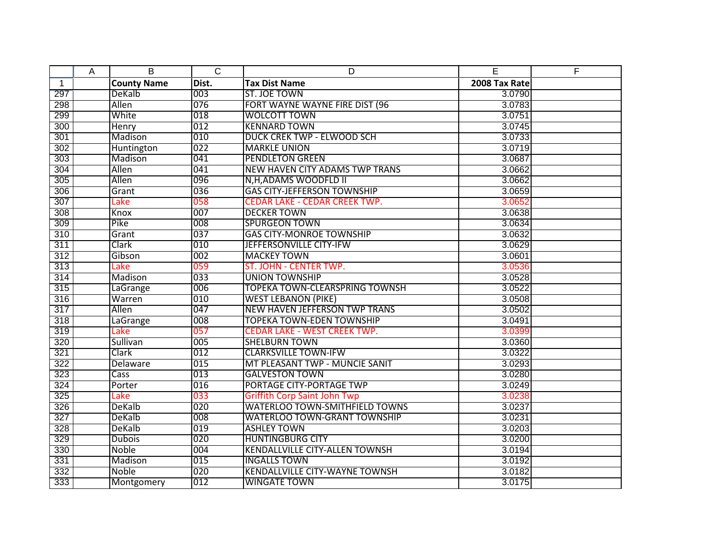|              | A | B                  | $\overline{C}$ | D                                     | E             | E |
|--------------|---|--------------------|----------------|---------------------------------------|---------------|---|
| $\mathbf{1}$ |   | <b>County Name</b> | Dist.          | <b>Tax Dist Name</b>                  | 2008 Tax Rate |   |
| 297          |   | DeKalb             | 003            | ST. JOE TOWN                          | 3.0790        |   |
| 298          |   | Allen              | 076            | FORT WAYNE WAYNE FIRE DIST (96        | 3.0783        |   |
| 299          |   | White              | 018            | <b>WOLCOTT TOWN</b>                   | 3.0751        |   |
| 300          |   | Henry              | 012            | <b>KENNARD TOWN</b>                   | 3.0745        |   |
| 301          |   | Madison            | 010            | <b>DUCK CREK TWP - ELWOOD SCH</b>     | 3.0733        |   |
| 302          |   | Huntington         | 022            | <b>MARKLE UNION</b>                   | 3.0719        |   |
| 303          |   | Madison            | 041            | <b>PENDLETON GREEN</b>                | 3.0687        |   |
| 304          |   | Allen              | 041            | <b>NEW HAVEN CITY ADAMS TWP TRANS</b> | 3.0662        |   |
| 305          |   | Allen              | 096            | N,H,ADAMS WOODFLD II                  | 3.0662        |   |
| 306          |   | Grant              | 036            | <b>GAS CITY-JEFFERSON TOWNSHIP</b>    | 3.0659        |   |
| 307          |   | Lake               | 058            | <b>CEDAR LAKE - CEDAR CREEK TWP.</b>  | 3.0652        |   |
| 308          |   | Knox               | 007            | <b>DECKER TOWN</b>                    | 3.0638        |   |
| 309          |   | Pike               | 008            | <b>SPURGEON TOWN</b>                  | 3.0634        |   |
| 310          |   | Grant              | 037            | <b>GAS CITY-MONROE TOWNSHIP</b>       | 3.0632        |   |
| 311          |   | Clark              | 010            | JEFFERSONVILLE CITY-IFW               | 3.0629        |   |
| 312          |   | Gibson             | 002            | <b>MACKEY TOWN</b>                    | 3.0601        |   |
| 313          |   | Lake               | 059            | ST. JOHN - CENTER TWP.                | 3.0536        |   |
| 314          |   | Madison            | 033            | <b>UNION TOWNSHIP</b>                 | 3.0528        |   |
| 315          |   | LaGrange           | 006            | <b>TOPEKA TOWN-CLEARSPRING TOWNSH</b> | 3.0522        |   |
| 316          |   | Warren             | 010            | <b>WEST LEBANON (PIKE)</b>            | 3.0508        |   |
| 317          |   | Allen              | 047            | <b>NEW HAVEN JEFFERSON TWP TRANS</b>  | 3.0502        |   |
| 318          |   | LaGrange           | 008            | <b>TOPEKA TOWN-EDEN TOWNSHIP</b>      | 3.0491        |   |
| 319          |   | Lake               | 057            | <b>CEDAR LAKE - WEST CREEK TWP.</b>   | 3.0399        |   |
| 320          |   | Sullivan           | 005            | <b>SHELBURN TOWN</b>                  | 3.0360        |   |
| 321          |   | Clark              | 012            | <b>CLARKSVILLE TOWN-IFW</b>           | 3.0322        |   |
| 322          |   | Delaware           | 015            | MT PLEASANT TWP - MUNCIE SANIT        | 3.0293        |   |
| 323          |   | Cass               | 013            | <b>GALVESTON TOWN</b>                 | 3.0280        |   |
| 324          |   | Porter             | 016            | PORTAGE CITY-PORTAGE TWP              | 3.0249        |   |
| 325          |   | Lake               | 033            | <b>Griffith Corp Saint John Twp</b>   | 3.0238        |   |
| 326          |   | DeKalb             | 020            | <b>WATERLOO TOWN-SMITHFIELD TOWNS</b> | 3.0237        |   |
| 327          |   | <b>DeKalb</b>      | 008            | <b>WATERLOO TOWN-GRANT TOWNSHIP</b>   | 3.0231        |   |
| 328          |   | DeKalb             | 019            | <b>ASHLEY TOWN</b>                    | 3.0203        |   |
| 329          |   | <b>Dubois</b>      | 020            | <b>HUNTINGBURG CITY</b>               | 3.0200        |   |
| 330          |   | <b>Noble</b>       | 004            | <b>KENDALLVILLE CITY-ALLEN TOWNSH</b> | 3.0194        |   |
| 331          |   | Madison            | 015            | <b>INGALLS TOWN</b>                   | 3.0192        |   |
| 332          |   | Noble              | 020            | <b>KENDALLVILLE CITY-WAYNE TOWNSH</b> | 3.0182        |   |
| 333          |   | Montgomery         | 012            | <b>WINGATE TOWN</b>                   | 3.0175        |   |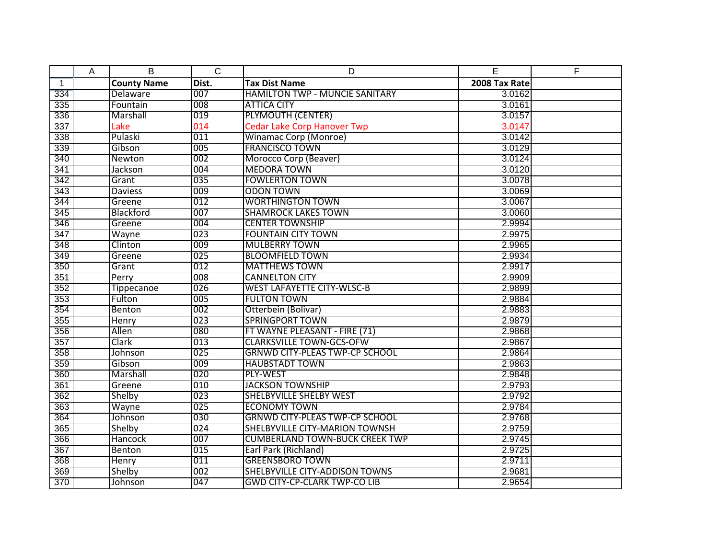|              | A | B                  | $\overline{C}$ | D                                     | E             | F |
|--------------|---|--------------------|----------------|---------------------------------------|---------------|---|
| $\mathbf{1}$ |   | <b>County Name</b> | Dist.          | <b>Tax Dist Name</b>                  | 2008 Tax Rate |   |
| 334          |   | Delaware           | 007            | <b>HAMILTON TWP - MUNCIE SANITARY</b> | 3.0162        |   |
| 335          |   | Fountain           | 008            | <b>ATTICA CITY</b>                    | 3.0161        |   |
| 336          |   | Marshall           | 019            | <b>PLYMOUTH (CENTER)</b>              | 3.0157        |   |
| 337          |   | Lake               | 014            | <b>Cedar Lake Corp Hanover Twp</b>    | 3.0147        |   |
| 338          |   | Pulaski            | 011            | <b>Winamac Corp (Monroe)</b>          | 3.0142        |   |
| 339          |   | Gibson             | 005            | <b>FRANCISCO TOWN</b>                 | 3.0129        |   |
| 340          |   | Newton             | 002            | Morocco Corp (Beaver)                 | 3.0124        |   |
| 341          |   | Jackson            | 004            | <b>MEDORA TOWN</b>                    | 3.0120        |   |
| 342          |   | Grant              | 035            | <b>FOWLERTON TOWN</b>                 | 3.0078        |   |
| 343          |   | <b>Daviess</b>     | 009            | <b>ODON TOWN</b>                      | 3.0069        |   |
| 344          |   | Greene             | 012            | <b>WORTHINGTON TOWN</b>               | 3.0067        |   |
| 345          |   | <b>Blackford</b>   | 007            | <b>SHAMROCK LAKES TOWN</b>            | 3.0060        |   |
| 346          |   | Greene             | 004            | <b>CENTER TOWNSHIP</b>                | 2.9994        |   |
| 347          |   | Wayne              | 023            | <b>FOUNTAIN CITY TOWN</b>             | 2.9975        |   |
| 348          |   | Clinton            | 009            | <b>MULBERRY TOWN</b>                  | 2.9965        |   |
| 349          |   | Greene             | 025            | <b>BLOOMFIELD TOWN</b>                | 2.9934        |   |
| 350          |   | Grant              | 012            | <b>MATTHEWS TOWN</b>                  | 2.9917        |   |
| 351          |   | Perry              | 008            | <b>CANNELTON CITY</b>                 | 2.9909        |   |
| 352          |   | Tippecanoe         | 026            | <b>WEST LAFAYETTE CITY-WLSC-B</b>     | 2.9899        |   |
| 353          |   | Fulton             | 005            | <b>FULTON TOWN</b>                    | 2.9884        |   |
| 354          |   | Benton             | 002            | Otterbein (Bolivar)                   | 2.9883        |   |
| 355          |   | Henry              | 023            | <b>SPRINGPORT TOWN</b>                | 2.9879        |   |
| 356          |   | Allen              | 080            | FT WAYNE PLEASANT - FIRE (71)         | 2.9868        |   |
| 357          |   | Clark              | 013            | <b>CLARKSVILLE TOWN-GCS-OFW</b>       | 2.9867        |   |
| 358          |   | Johnson            | 025            | <b>GRNWD CITY-PLEAS TWP-CP SCHOOL</b> | 2.9864        |   |
| 359          |   | Gibson             | 009            | <b>HAUBSTADT TOWN</b>                 | 2.9863        |   |
| 360          |   | Marshall           | 020            | PLY-WEST                              | 2.9848        |   |
| 361          |   | Greene             | 010            | <b>JACKSON TOWNSHIP</b>               | 2.9793        |   |
| 362          |   | Shelby             | 023            | <b>SHELBYVILLE SHELBY WEST</b>        | 2.9792        |   |
| 363          |   | Wayne              | 025            | <b>ECONOMY TOWN</b>                   | 2.9784        |   |
| 364          |   | Johnson            | 030            | <b>GRNWD CITY-PLEAS TWP-CP SCHOOL</b> | 2.9768        |   |
| 365          |   | Shelby             | 024            | SHELBYVILLE CITY-MARION TOWNSH        | 2.9759        |   |
| 366          |   | <b>Hancock</b>     | 007            | <b>CUMBERLAND TOWN-BUCK CREEK TWP</b> | 2.9745        |   |
| 367          |   | <b>Benton</b>      | 015            | Earl Park (Richland)                  | 2.9725        |   |
| 368          |   | <b>Henry</b>       | 011            | <b>GREENSBORO TOWN</b>                | 2.9711        |   |
| 369          |   | Shelby             | 002            | SHELBYVILLE CITY-ADDISON TOWNS        | 2.9681        |   |
| 370          |   | Johnson            | 047            | <b>GWD CITY-CP-CLARK TWP-CO LIB</b>   | 2.9654        |   |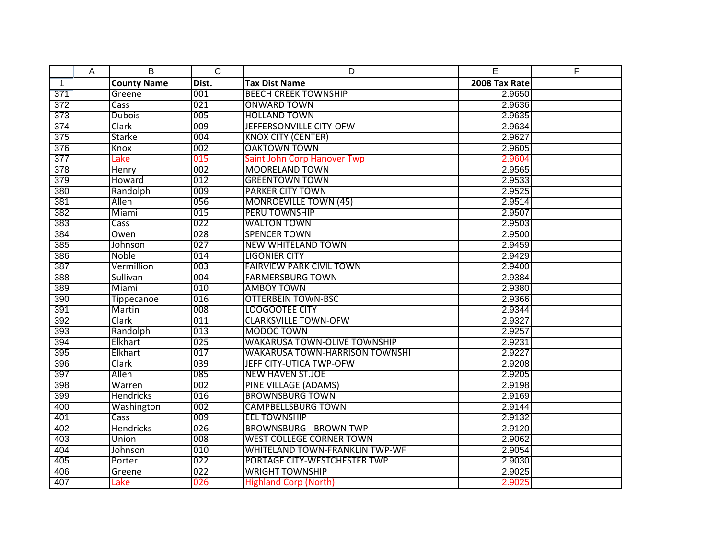|              | Α | B                  | $\overline{C}$ | D                                     | E             | E |
|--------------|---|--------------------|----------------|---------------------------------------|---------------|---|
| $\mathbf{1}$ |   | <b>County Name</b> | Dist.          | <b>Tax Dist Name</b>                  | 2008 Tax Rate |   |
| 371          |   | Greene             | 001            | <b>BEECH CREEK TOWNSHIP</b>           | 2.9650        |   |
| 372          |   | Cass               | 021            | <b>ONWARD TOWN</b>                    | 2.9636        |   |
| 373          |   | <b>Dubois</b>      | 005            | <b>HOLLAND TOWN</b>                   | 2.9635        |   |
| 374          |   | Clark              | 009            | JEFFERSONVILLE CITY-OFW               | 2.9634        |   |
| 375          |   | Starke             | 004            | <b>KNOX CITY (CENTER)</b>             | 2.9627        |   |
| 376          |   | Knox               | 002            | <b>OAKTOWN TOWN</b>                   | 2.9605        |   |
| 377          |   | Lake               | 015            | Saint John Corp Hanover Twp           | 2.9604        |   |
| 378          |   | Henry              | 002            | <b>MOORELAND TOWN</b>                 | 2.9565        |   |
| 379          |   | Howard             | 012            | <b>GREENTOWN TOWN</b>                 | 2.9533        |   |
| 380          |   | Randolph           | 009            | <b>PARKER CITY TOWN</b>               | 2.9525        |   |
| 381          |   | Allen              | 056            | <b>MONROEVILLE TOWN (45)</b>          | 2.9514        |   |
| 382          |   | Miami              | 015            | <b>PERU TOWNSHIP</b>                  | 2.9507        |   |
| 383          |   | Cass               | 022            | <b>WALTON TOWN</b>                    | 2.9503        |   |
| 384          |   | Owen               | 028            | <b>SPENCER TOWN</b>                   | 2.9500        |   |
| 385          |   | Johnson            | 027            | <b>NEW WHITELAND TOWN</b>             | 2.9459        |   |
| 386          |   | Noble              | 014            | <b>LIGONIER CITY</b>                  | 2.9429        |   |
| 387          |   | Vermillion         | 003            | <b>FAIRVIEW PARK CIVIL TOWN</b>       | 2.9400        |   |
| 388          |   | Sullivan           | 004            | <b>FARMERSBURG TOWN</b>               | 2.9384        |   |
| 389          |   | Miami              | 010            | <b>AMBOY TOWN</b>                     | 2.9380        |   |
| 390          |   | Tippecanoe         | 016            | <b>OTTERBEIN TOWN-BSC</b>             | 2.9366        |   |
| 391          |   | Martin             | 008            | <b>LOOGOOTEE CITY</b>                 | 2.9344        |   |
| 392          |   | Clark              | 011            | <b>CLARKSVILLE TOWN-OFW</b>           | 2.9327        |   |
| 393          |   | Randolph           | 013            | MODOC TOWN                            | 2.9257        |   |
| 394          |   | Elkhart            | 025            | <b>WAKARUSA TOWN-OLIVE TOWNSHIP</b>   | 2.9231        |   |
| 395          |   | Elkhart            | 017            | <b>WAKARUSA TOWN-HARRISON TOWNSHI</b> | 2.9227        |   |
| 396          |   | Clark              | 039            | JEFF CITY-UTICA TWP-OFW               | 2.9208        |   |
| 397          |   | Allen              | 085            | <b>NEW HAVEN ST.JOE</b>               | 2.9205        |   |
| 398          |   | Warren             | 002            | <b>PINE VILLAGE (ADAMS)</b>           | 2.9198        |   |
| 399          |   | <b>Hendricks</b>   | 016            | <b>BROWNSBURG TOWN</b>                | 2.9169        |   |
| 400          |   | Washington         | 002            | <b>CAMPBELLSBURG TOWN</b>             | 2.9144        |   |
| 401          |   | Cass               | 009            | <b>EEL TOWNSHIP</b>                   | 2.9132        |   |
| 402          |   | <b>Hendricks</b>   | 026            | <b>BROWNSBURG - BROWN TWP</b>         | 2.9120        |   |
| 403          |   | Union              | 008            | <b>WEST COLLEGE CORNER TOWN</b>       | 2.9062        |   |
| 404          |   | Johnson            | 010            | <b>WHITELAND TOWN-FRANKLIN TWP-WF</b> | 2.9054        |   |
| 405          |   | Porter             | 022            | PORTAGE CITY-WESTCHESTER TWP          | 2.9030        |   |
| 406          |   | Greene             | 022            | <b>WRIGHT TOWNSHIP</b>                | 2.9025        |   |
| 407          |   | Lake               | 026            | <b>Highland Corp (North)</b>          | 2.9025        |   |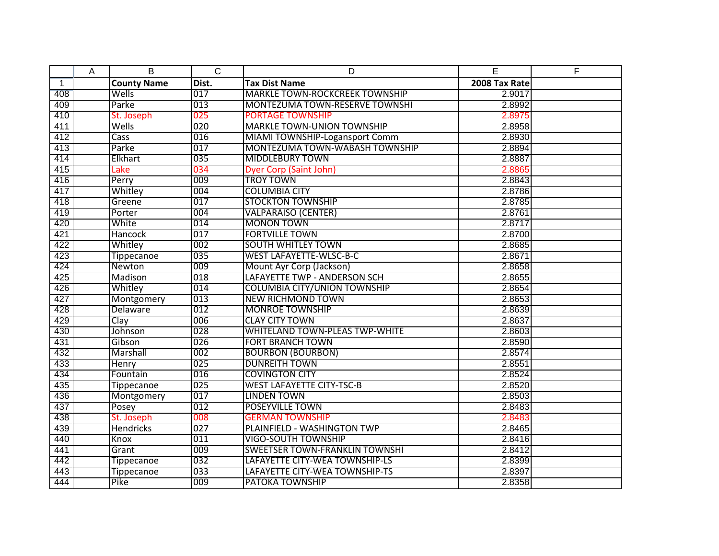|              | Α | B                  | $\overline{C}$ | D                                     | E             | F |
|--------------|---|--------------------|----------------|---------------------------------------|---------------|---|
| $\mathbf{1}$ |   | <b>County Name</b> | Dist.          | <b>Tax Dist Name</b>                  | 2008 Tax Rate |   |
| 408          |   | Wells              | 017            | <b>MARKLE TOWN-ROCKCREEK TOWNSHIP</b> | 2.9017        |   |
| 409          |   | Parke              | 013            | <b>MONTEZUMA TOWN-RESERVE TOWNSHI</b> | 2.8992        |   |
| 410          |   | St. Joseph         | 025            | <b>PORTAGE TOWNSHIP</b>               | 2.8975        |   |
| 411          |   | Wells              | 020            | <b>MARKLE TOWN-UNION TOWNSHIP</b>     | 2.8958        |   |
| 412          |   | Cass               | 016            | MIAMI TOWNSHIP-Logansport Comm        | 2.8930        |   |
| 413          |   | Parke              | 017            | MONTEZUMA TOWN-WABASH TOWNSHIP        | 2.8894        |   |
| 414          |   | Elkhart            | 035            | <b>MIDDLEBURY TOWN</b>                | 2.8887        |   |
| 415          |   | Lake               | 034            | Dyer Corp (Saint John)                | 2.8865        |   |
| 416          |   | Perry              | 009            | <b>TROY TOWN</b>                      | 2.8843        |   |
| 417          |   | Whitley            | 004            | <b>COLUMBIA CITY</b>                  | 2.8786        |   |
| 418          |   | Greene             | 017            | <b>STOCKTON TOWNSHIP</b>              | 2.8785        |   |
| 419          |   | Porter             | 004            | <b>VALPARAISO (CENTER)</b>            | 2.8761        |   |
| 420          |   | White              | 014            | <b>MONON TOWN</b>                     | 2.8717        |   |
| 421          |   | <b>Hancock</b>     | 017            | <b>FORTVILLE TOWN</b>                 | 2.8700        |   |
| 422          |   | Whitley            | 002            | <b>SOUTH WHITLEY TOWN</b>             | 2.8685        |   |
| 423          |   | <b>Tippecanoe</b>  | 035            | <b>WEST LAFAYETTE-WLSC-B-C</b>        | 2.8671        |   |
| 424          |   | Newton             | 009            | Mount Ayr Corp (Jackson)              | 2.8658        |   |
| 425          |   | <b>Madison</b>     | 018            | LAFAYETTE TWP - ANDERSON SCH          | 2.8655        |   |
| 426          |   | Whitley            | 014            | <b>COLUMBIA CITY/UNION TOWNSHIP</b>   | 2.8654        |   |
| 427          |   | Montgomery         | 013            | <b>NEW RICHMOND TOWN</b>              | 2.8653        |   |
| 428          |   | Delaware           | 012            | <b>MONROE TOWNSHIP</b>                | 2.8639        |   |
| 429          |   | Clay               | 006            | <b>CLAY CITY TOWN</b>                 | 2.8637        |   |
| 430          |   | Johnson            | 028            | <b>WHITELAND TOWN-PLEAS TWP-WHITE</b> | 2.8603        |   |
| 431          |   | Gibson             | 026            | <b>FORT BRANCH TOWN</b>               | 2.8590        |   |
| 432          |   | Marshall           | 002            | <b>BOURBON (BOURBON)</b>              | 2.8574        |   |
| 433          |   | Henry              | 025            | <b>DUNREITH TOWN</b>                  | 2.8551        |   |
| 434          |   | Fountain           | 016            | <b>COVINGTON CITY</b>                 | 2.8524        |   |
| 435          |   | <b>Tippecanoe</b>  | 025            | <b>WEST LAFAYETTE CITY-TSC-B</b>      | 2.8520        |   |
| 436          |   | Montgomery         | 017            | <b>LINDEN TOWN</b>                    | 2.8503        |   |
| 437          |   | Posey              | 012            | <b>POSEYVILLE TOWN</b>                | 2.8483        |   |
| 438          |   | St. Joseph         | 008            | <b>GERMAN TOWNSHIP</b>                | 2.8483        |   |
| 439          |   | Hendricks          | 027            | PLAINFIELD - WASHINGTON TWP           | 2.8465        |   |
| 440          |   | Knox               | 011            | <b>VIGO-SOUTH TOWNSHIP</b>            | 2.8416        |   |
| 441          |   | Grant              | 009            | <b>SWEETSER TOWN-FRANKLIN TOWNSHI</b> | 2.8412        |   |
| 442          |   | <b>Tippecanoe</b>  | 032            | LAFAYETTE CITY-WEA TOWNSHIP-LS        | 2.8399        |   |
| 443          |   | <b>Tippecanoe</b>  | 033            | LAFAYETTE CITY-WEA TOWNSHIP-TS        | 2.8397        |   |
| 444          |   | Pike               | 009            | <b>PATOKA TOWNSHIP</b>                | 2.8358        |   |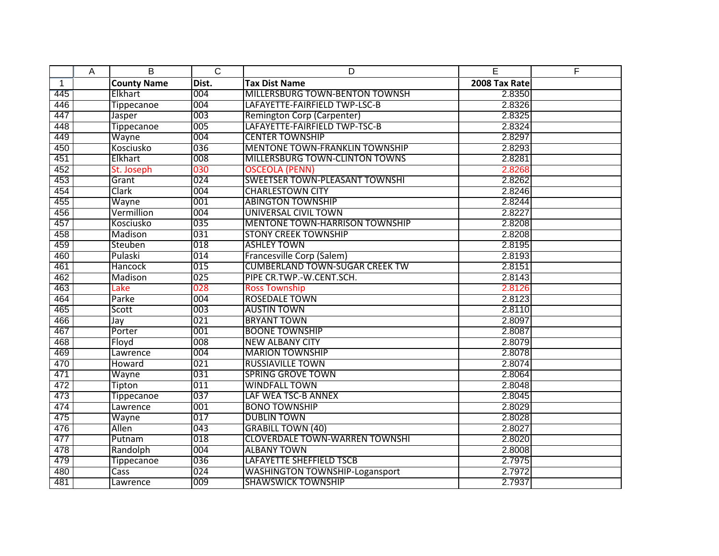|              | Α | B                  | $\overline{C}$ | D                                     | E             | F |
|--------------|---|--------------------|----------------|---------------------------------------|---------------|---|
| $\mathbf{1}$ |   | <b>County Name</b> | Dist.          | <b>Tax Dist Name</b>                  | 2008 Tax Rate |   |
| 445          |   | Elkhart            | 004            | MILLERSBURG TOWN-BENTON TOWNSH        | 2.8350        |   |
| 446          |   | <b>Tippecanoe</b>  | 004            | LAFAYETTE-FAIRFIELD TWP-LSC-B         | 2.8326        |   |
| 447          |   | Jasper             | 003            | Remington Corp (Carpenter)            | 2.8325        |   |
| 448          |   | <b>Tippecanoe</b>  | 005            | LAFAYETTE-FAIRFIELD TWP-TSC-B         | 2.8324        |   |
| 449          |   | Wayne              | 004            | <b>CENTER TOWNSHIP</b>                | 2.8297        |   |
| 450          |   | Kosciusko          | 036            | <b>MENTONE TOWN-FRANKLIN TOWNSHIP</b> | 2.8293        |   |
| 451          |   | Elkhart            | 008            | <b>MILLERSBURG TOWN-CLINTON TOWNS</b> | 2.8281        |   |
| 452          |   | St. Joseph         | 030            | <b>OSCEOLA (PENN)</b>                 | 2.8268        |   |
| 453          |   | Grant              | 024            | <b>SWEETSER TOWN-PLEASANT TOWNSHI</b> | 2.8262        |   |
| 454          |   | Clark              | 004            | <b>CHARLESTOWN CITY</b>               | 2.8246        |   |
| 455          |   | Wayne              | 001            | <b>ABINGTON TOWNSHIP</b>              | 2.8244        |   |
| 456          |   | Vermillion         | 004            | UNIVERSAL CIVIL TOWN                  | 2.8227        |   |
| 457          |   | Kosciusko          | 035            | <b>MENTONE TOWN-HARRISON TOWNSHIP</b> | 2.8208        |   |
| 458          |   | Madison            | 031            | <b>STONY CREEK TOWNSHIP</b>           | 2.8208        |   |
| 459          |   | Steuben            | 018            | <b>ASHLEY TOWN</b>                    | 2.8195        |   |
| 460          |   | Pulaski            | 014            | Francesville Corp (Salem)             | 2.8193        |   |
| 461          |   | Hancock            | 015            | <b>CUMBERLAND TOWN-SUGAR CREEK TW</b> | 2.8151        |   |
| 462          |   | Madison            | 025            | PIPE CR.TWP.-W.CENT.SCH.              | 2.8143        |   |
| 463          |   | Lake               | 028            | <b>Ross Township</b>                  | 2.8126        |   |
| 464          |   | Parke              | 004            | <b>ROSEDALE TOWN</b>                  | 2.8123        |   |
| 465          |   | Scott              | 003            | <b>AUSTIN TOWN</b>                    | 2.8110        |   |
| 466          |   | Jay                | 021            | <b>BRYANT TOWN</b>                    | 2.8097        |   |
| 467          |   | Porter             | 001            | <b>BOONE TOWNSHIP</b>                 | 2.8087        |   |
| 468          |   | Floyd              | 008            | <b>NEW ALBANY CITY</b>                | 2.8079        |   |
| 469          |   | Lawrence           | 004            | <b>MARION TOWNSHIP</b>                | 2.8078        |   |
| 470          |   | Howard             | 021            | <b>RUSSIAVILLE TOWN</b>               | 2.8074        |   |
| 471          |   | Wayne              | 031            | <b>SPRING GROVE TOWN</b>              | 2.8064        |   |
| 472          |   | Tipton             | 011            | <b>WINDFALL TOWN</b>                  | 2.8048        |   |
| 473          |   | Tippecanoe         | 037            | LAF WEA TSC-B ANNEX                   | 2.8045        |   |
| 474          |   | Lawrence           | 001            | <b>BONO TOWNSHIP</b>                  | 2.8029        |   |
| 475          |   | Wayne              | 017            | <b>DUBLIN TOWN</b>                    | 2.8028        |   |
| 476          |   | Allen              | 043            | <b>GRABILL TOWN (40)</b>              | 2.8027        |   |
| 477          |   | Putnam             | 018            | <b>CLOVERDALE TOWN-WARREN TOWNSHI</b> | 2.8020        |   |
| 478          |   | Randolph           | 004            | <b>ALBANY TOWN</b>                    | 2.8008        |   |
| 479          |   | <b>Tippecanoe</b>  | 036            | LAFAYETTE SHEFFIELD TSCB              | 2.7975        |   |
| 480          |   | Cass               | 024            | <b>WASHINGTON TOWNSHIP-Logansport</b> | 2.7972        |   |
| 481          |   | Lawrence           | 009            | <b>SHAWSWICK TOWNSHIP</b>             | 2.7937        |   |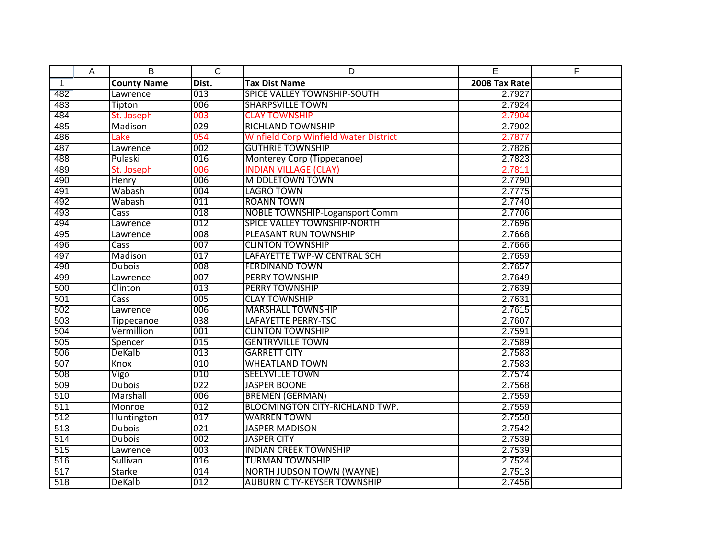|              | Α | B                  | $\overline{C}$ | D                                            | E             | E |
|--------------|---|--------------------|----------------|----------------------------------------------|---------------|---|
| $\mathbf{1}$ |   | <b>County Name</b> | Dist.          | <b>Tax Dist Name</b>                         | 2008 Tax Rate |   |
| 482          |   | Lawrence           | 013            | <b>SPICE VALLEY TOWNSHIP-SOUTH</b>           | 2.7927        |   |
| 483          |   | Tipton             | 006            | <b>SHARPSVILLE TOWN</b>                      | 2.7924        |   |
| 484          |   | St. Joseph         | 003            | <b>CLAY TOWNSHIP</b>                         | 2.7904        |   |
| 485          |   | Madison            | 029            | <b>RICHLAND TOWNSHIP</b>                     | 2.7902        |   |
| 486          |   | Lake               | 054            | <b>Winfield Corp Winfield Water District</b> | 2.7877        |   |
| 487          |   | Lawrence           | 002            | <b>GUTHRIE TOWNSHIP</b>                      | 2.7826        |   |
| 488          |   | Pulaski            | 016            | Monterey Corp (Tippecanoe)                   | 2.7823        |   |
| 489          |   | St. Joseph         | 006            | <b>INDIAN VILLAGE (CLAY)</b>                 | 2.7811        |   |
| 490          |   | Henry              | 006            | <b>MIDDLETOWN TOWN</b>                       | 2.7790        |   |
| 491          |   | Wabash             | 004            | <b>LAGRO TOWN</b>                            | 2.7775        |   |
| 492          |   | Wabash             | 011            | <b>ROANN TOWN</b>                            | 2.7740        |   |
| 493          |   | <b>Cass</b>        | 018            | <b>NOBLE TOWNSHIP-Logansport Comm</b>        | 2.7706        |   |
| 494          |   | Lawrence           | 012            | <b>SPICE VALLEY TOWNSHIP-NORTH</b>           | 2.7696        |   |
| 495          |   | Lawrence           | 008            | PLEASANT RUN TOWNSHIP                        | 2.7668        |   |
| 496          |   | Cass               | 007            | <b>CLINTON TOWNSHIP</b>                      | 2.7666        |   |
| 497          |   | Madison            | 017            | LAFAYETTE TWP-W CENTRAL SCH                  | 2.7659        |   |
| 498          |   | <b>Dubois</b>      | 008            | <b>FERDINAND TOWN</b>                        | 2.7657        |   |
| 499          |   | Lawrence           | 007            | <b>PERRY TOWNSHIP</b>                        | 2.7649        |   |
| 500          |   | Clinton            | 013            | <b>PERRY TOWNSHIP</b>                        | 2.7639        |   |
| 501          |   | Cass               | 005            | <b>CLAY TOWNSHIP</b>                         | 2.7631        |   |
| 502          |   | Lawrence           | 006            | <b>MARSHALL TOWNSHIP</b>                     | 2.7615        |   |
| 503          |   | <b>Tippecanoe</b>  | 038            | LAFAYETTE PERRY-TSC                          | 2.7607        |   |
| 504          |   | Vermillion         | 001            | <b>CLINTON TOWNSHIP</b>                      | 2.7591        |   |
| 505          |   | Spencer            | 015            | <b>GENTRYVILLE TOWN</b>                      | 2.7589        |   |
| 506          |   | DeKalb             | 013            | <b>GARRETT CITY</b>                          | 2.7583        |   |
| 507          |   | Knox               | 010            | <b>WHEATLAND TOWN</b>                        | 2.7583        |   |
| 508          |   | Vigo               | 010            | <b>SEELYVILLE TOWN</b>                       | 2.7574        |   |
| 509          |   | <b>Dubois</b>      | 022            | <b>JASPER BOONE</b>                          | 2.7568        |   |
| 510          |   | Marshall           | 006            | <b>BREMEN (GERMAN)</b>                       | 2.7559        |   |
| 511          |   | Monroe             | 012            | <b>BLOOMINGTON CITY-RICHLAND TWP.</b>        | 2.7559        |   |
| 512          |   | Huntington         | 017            | <b>WARREN TOWN</b>                           | 2.7558        |   |
| 513          |   | <b>Dubois</b>      | 021            | <b>JASPER MADISON</b>                        | 2.7542        |   |
| 514          |   | <b>Dubois</b>      | 002            | <b>JASPER CITY</b>                           | 2.7539        |   |
| 515          |   | Lawrence           | 003            | <b>INDIAN CREEK TOWNSHIP</b>                 | 2.7539        |   |
| 516          |   | Sullivan           | 016            | <b>TURMAN TOWNSHIP</b>                       | 2.7524        |   |
| 517          |   | Starke             | 014            | <b>NORTH JUDSON TOWN (WAYNE)</b>             | 2.7513        |   |
| 518          |   | DeKalb             | 012            | <b>AUBURN CITY-KEYSER TOWNSHIP</b>           | 2.7456        |   |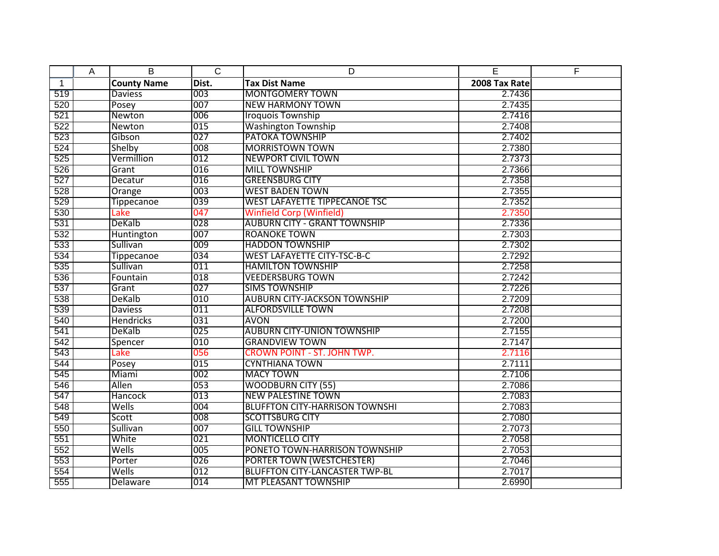|              | Α | B                  | $\overline{C}$ | D                                     | E             | F |
|--------------|---|--------------------|----------------|---------------------------------------|---------------|---|
| $\mathbf{1}$ |   | <b>County Name</b> | Dist.          | <b>Tax Dist Name</b>                  | 2008 Tax Rate |   |
| 519          |   | <b>Daviess</b>     | 003            | <b>MONTGOMERY TOWN</b>                | 2.7436        |   |
| 520          |   | Posey              | 007            | <b>NEW HARMONY TOWN</b>               | 2.7435        |   |
| 521          |   | Newton             | 006            | <b>Iroquois Township</b>              | 2.7416        |   |
| 522          |   | Newton             | 015            | <b>Washington Township</b>            | 2.7408        |   |
| 523          |   | Gibson             | 027            | <b>PATOKA TOWNSHIP</b>                | 2.7402        |   |
| 524          |   | Shelby             | 008            | <b>MORRISTOWN TOWN</b>                | 2.7380        |   |
| 525          |   | Vermillion         | 012            | <b>NEWPORT CIVIL TOWN</b>             | 2.7373        |   |
| 526          |   | Grant              | 016            | <b>MILL TOWNSHIP</b>                  | 2.7366        |   |
| 527          |   | Decatur            | 016            | <b>GREENSBURG CITY</b>                | 2.7358        |   |
| 528          |   | Orange             | 003            | <b>WEST BADEN TOWN</b>                | 2.7355        |   |
| 529          |   | <b>Tippecanoe</b>  | 039            | <b>WEST LAFAYETTE TIPPECANOE TSC</b>  | 2.7352        |   |
| 530          |   | Lake               | 047            | <b>Winfield Corp (Winfield)</b>       | 2.7350        |   |
| 531          |   | DeKalb             | 028            | <b>AUBURN CITY - GRANT TOWNSHIP</b>   | 2.7336        |   |
| 532          |   | Huntington         | 007            | <b>ROANOKE TOWN</b>                   | 2.7303        |   |
| 533          |   | Sullivan           | 009            | <b>HADDON TOWNSHIP</b>                | 2.7302        |   |
| 534          |   | <b>Tippecanoe</b>  | 034            | <b>WEST LAFAYETTE CITY-TSC-B-C</b>    | 2.7292        |   |
| 535          |   | Sullivan           | 011            | <b>HAMILTON TOWNSHIP</b>              | 2.7258        |   |
| 536          |   | Fountain           | 018            | <b>VEEDERSBURG TOWN</b>               | 2.7242        |   |
| 537          |   | Grant              | 027            | <b>SIMS TOWNSHIP</b>                  | 2.7226        |   |
| 538          |   | DeKalb             | 010            | <b>AUBURN CITY-JACKSON TOWNSHIP</b>   | 2.7209        |   |
| 539          |   | <b>Daviess</b>     | 011            | <b>ALFORDSVILLE TOWN</b>              | 2.7208        |   |
| 540          |   | <b>Hendricks</b>   | 031            | <b>AVON</b>                           | 2.7200        |   |
| 541          |   | DeKalb             | 025            | <b>AUBURN CITY-UNION TOWNSHIP</b>     | 2.7155        |   |
| 542          |   | Spencer            | 010            | <b>GRANDVIEW TOWN</b>                 | 2.7147        |   |
| 543          |   | Lake               | 056            | <b>CROWN POINT - ST. JOHN TWP.</b>    | 2.7116        |   |
| 544          |   | Posey              | 015            | <b>CYNTHIANA TOWN</b>                 | 2.7111        |   |
| 545          |   | Miami              | 002            | <b>MACY TOWN</b>                      | 2.7106        |   |
| 546          |   | Allen              | 053            | <b>WOODBURN CITY (55)</b>             | 2.7086        |   |
| 547          |   | Hancock            | 013            | <b>NEW PALESTINE TOWN</b>             | 2.7083        |   |
| 548          |   | Wells              | 004            | <b>BLUFFTON CITY-HARRISON TOWNSHI</b> | 2.7083        |   |
| 549          |   | Scott              | 008            | <b>SCOTTSBURG CITY</b>                | 2.7080        |   |
| 550          |   | Sullivan           | 007            | <b>GILL TOWNSHIP</b>                  | 2.7073        |   |
| 551          |   | White              | 021            | <b>MONTICELLO CITY</b>                | 2.7058        |   |
| 552          |   | Wells              | 005            | PONETO TOWN-HARRISON TOWNSHIP         | 2.7053        |   |
| 553          |   | Porter             | 026            | <b>PORTER TOWN (WESTCHESTER)</b>      | 2.7046        |   |
| 554          |   | Wells              | 012            | <b>BLUFFTON CITY-LANCASTER TWP-BL</b> | 2.7017        |   |
| 555          |   | Delaware           | 014            | MT PLEASANT TOWNSHIP                  | 2.6990        |   |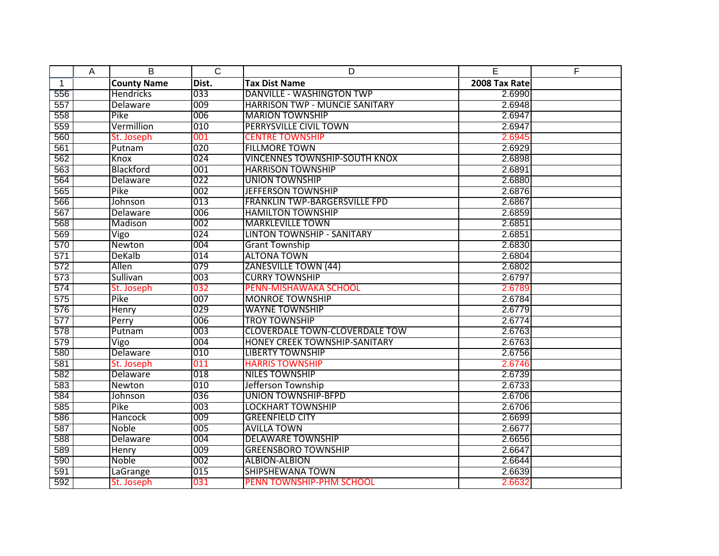|              | Α | B                  | $\overline{C}$ | D                                     | E             | F |
|--------------|---|--------------------|----------------|---------------------------------------|---------------|---|
| $\mathbf{1}$ |   | <b>County Name</b> | Dist.          | <b>Tax Dist Name</b>                  | 2008 Tax Rate |   |
| 556          |   | <b>Hendricks</b>   | 033            | <b>DANVILLE - WASHINGTON TWP</b>      | 2.6990        |   |
| 557          |   | Delaware           | 009            | <b>HARRISON TWP - MUNCIE SANITARY</b> | 2.6948        |   |
| 558          |   | Pike               | 006            | <b>MARION TOWNSHIP</b>                | 2.6947        |   |
| 559          |   | Vermillion         | 010            | <b>PERRYSVILLE CIVIL TOWN</b>         | 2.6947        |   |
| 560          |   | St. Joseph         | 001            | <b>CENTRE TOWNSHIP</b>                | 2.6945        |   |
| 561          |   | Putnam             | 020            | <b>FILLMORE TOWN</b>                  | 2.6929        |   |
| 562          |   | Knox               | 024            | <b>VINCENNES TOWNSHIP-SOUTH KNOX</b>  | 2.6898        |   |
| 563          |   | Blackford          | 001            | <b>HARRISON TOWNSHIP</b>              | 2.6891        |   |
| 564          |   | Delaware           | 022            | <b>UNION TOWNSHIP</b>                 | 2.6880        |   |
| 565          |   | Pike               | 002            | <b>JEFFERSON TOWNSHIP</b>             | 2.6876        |   |
| 566          |   | Johnson            | 013            | FRANKLIN TWP-BARGERSVILLE FPD         | 2.6867        |   |
| 567          |   | Delaware           | 006            | <b>HAMILTON TOWNSHIP</b>              | 2.6859        |   |
| 568          |   | Madison            | 002            | <b>MARKLEVILLE TOWN</b>               | 2.6851        |   |
| 569          |   | Vigo               | 024            | <b>LINTON TOWNSHIP - SANITARY</b>     | 2.6851        |   |
| 570          |   | Newton             | 004            | <b>Grant Township</b>                 | 2.6830        |   |
| 571          |   | DeKalb             | 014            | <b>ALTONA TOWN</b>                    | 2.6804        |   |
| 572          |   | Allen              | 079            | <b>ZANESVILLE TOWN (44)</b>           | 2.6802        |   |
| 573          |   | Sullivan           | 003            | <b>CURRY TOWNSHIP</b>                 | 2.6797        |   |
| 574          |   | St. Joseph         | 032            | PENN-MISHAWAKA SCHOOL                 | 2.6789        |   |
| 575          |   | Pike               | 007            | <b>MONROE TOWNSHIP</b>                | 2.6784        |   |
| 576          |   | Henry              | 029            | <b>WAYNE TOWNSHIP</b>                 | 2.6779        |   |
| 577          |   | Perry              | 006            | <b>TROY TOWNSHIP</b>                  | 2.6774        |   |
| 578          |   | Putnam             | 003            | <b>CLOVERDALE TOWN-CLOVERDALE TOW</b> | 2.6763        |   |
| 579          |   | Vigo               | 004            | <b>HONEY CREEK TOWNSHIP-SANITARY</b>  | 2.6763        |   |
| 580          |   | Delaware           | 010            | <b>LIBERTY TOWNSHIP</b>               | 2.6756        |   |
| 581          |   | St. Joseph         | 011            | <b>HARRIS TOWNSHIP</b>                | 2.6746        |   |
| 582          |   | Delaware           | 018            | <b>NILES TOWNSHIP</b>                 | 2.6739        |   |
| 583          |   | Newton             | 010            | Jefferson Township                    | 2.6733        |   |
| 584          |   | Johnson            | 036            | <b>UNION TOWNSHIP-BFPD</b>            | 2.6706        |   |
| 585          |   | Pike               | 003            | <b>LOCKHART TOWNSHIP</b>              | 2.6706        |   |
| 586          |   | Hancock            | 009            | <b>GREENFIELD CITY</b>                | 2.6699        |   |
| 587          |   | Noble              | 005            | <b>AVILLA TOWN</b>                    | 2.6677        |   |
| 588          |   | Delaware           | 004            | <b>DELAWARE TOWNSHIP</b>              | 2.6656        |   |
| 589          |   | Henry              | 009            | <b>GREENSBORO TOWNSHIP</b>            | 2.6647        |   |
| 590          |   | Noble              | 002            | <b>ALBION-ALBION</b>                  | 2.6644        |   |
| 591          |   | <b>LaGrange</b>    | 015            | <b>SHIPSHEWANA TOWN</b>               | 2.6639        |   |
| 592          |   | St. Joseph         | 031            | PENN TOWNSHIP-PHM SCHOOL              | 2.6632        |   |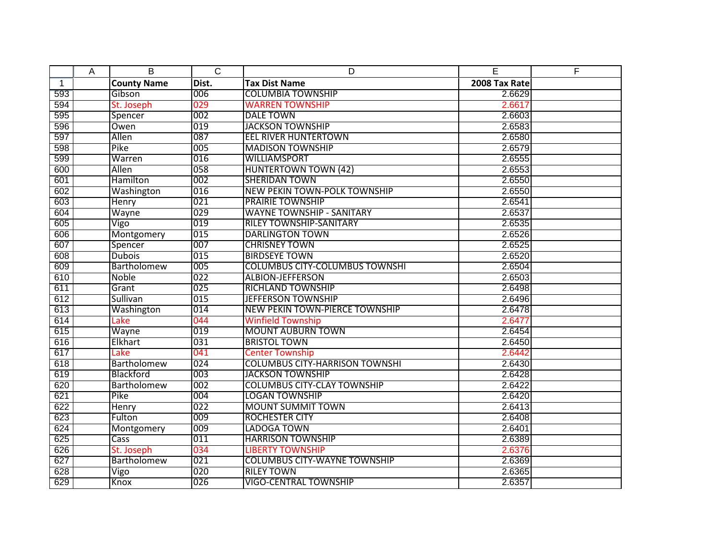|              | A | B                  | $\overline{C}$ | D                                     | E             | F |
|--------------|---|--------------------|----------------|---------------------------------------|---------------|---|
| $\mathbf{1}$ |   | <b>County Name</b> | Dist.          | <b>Tax Dist Name</b>                  | 2008 Tax Rate |   |
| 593          |   | Gibson             | 006            | <b>COLUMBIA TOWNSHIP</b>              | 2.6629        |   |
| 594          |   | St. Joseph         | 029            | <b>WARREN TOWNSHIP</b>                | 2.6617        |   |
| 595          |   | Spencer            | 002            | <b>DALE TOWN</b>                      | 2.6603        |   |
| 596          |   | Owen               | 019            | <b>JACKSON TOWNSHIP</b>               | 2.6583        |   |
| 597          |   | Allen              | 087            | <b>EEL RIVER HUNTERTOWN</b>           | 2.6580        |   |
| 598          |   | Pike               | 005            | <b>MADISON TOWNSHIP</b>               | 2.6579        |   |
| 599          |   | Warren             | 016            | <b>WILLIAMSPORT</b>                   | 2.6555        |   |
| 600          |   | Allen              | 058            | <b>HUNTERTOWN TOWN (42)</b>           | 2.6553        |   |
| 601          |   | Hamilton           | 002            | <b>SHERIDAN TOWN</b>                  | 2.6550        |   |
| 602          |   | Washington         | 016            | <b>NEW PEKIN TOWN-POLK TOWNSHIP</b>   | 2.6550        |   |
| 603          |   | Henry              | 021            | <b>PRAIRIE TOWNSHIP</b>               | 2.6541        |   |
| 604          |   | Wayne              | 029            | <b>WAYNE TOWNSHIP - SANITARY</b>      | 2.6537        |   |
| 605          |   | Vigo               | 019            | <b>RILEY TOWNSHIP-SANITARY</b>        | 2.6535        |   |
| 606          |   | Montgomery         | 015            | <b>DARLINGTON TOWN</b>                | 2.6526        |   |
| 607          |   | Spencer            | 007            | <b>CHRISNEY TOWN</b>                  | 2.6525        |   |
| 608          |   | <b>Dubois</b>      | 015            | <b>BIRDSEYE TOWN</b>                  | 2.6520        |   |
| 609          |   | Bartholomew        | 005            | <b>COLUMBUS CITY-COLUMBUS TOWNSHI</b> | 2.6504        |   |
| 610          |   | <b>Noble</b>       | 022            | <b>ALBION-JEFFERSON</b>               | 2.6503        |   |
| 611          |   | Grant              | 025            | <b>RICHLAND TOWNSHIP</b>              | 2.6498        |   |
| 612          |   | Sullivan           | 015            | <b>JEFFERSON TOWNSHIP</b>             | 2.6496        |   |
| 613          |   | Washington         | 014            | <b>NEW PEKIN TOWN-PIERCE TOWNSHIP</b> | 2.6478        |   |
| 614          |   | Lake               | 044            | <b>Winfield Township</b>              | 2.6477        |   |
| 615          |   | Wayne              | 019            | <b>MOUNT AUBURN TOWN</b>              | 2.6454        |   |
| 616          |   | Elkhart            | 031            | <b>BRISTOL TOWN</b>                   | 2.6450        |   |
| 617          |   | Lake               | 041            | <b>Center Township</b>                | 2.6442        |   |
| 618          |   | Bartholomew        | 024            | <b>COLUMBUS CITY-HARRISON TOWNSHI</b> | 2.6430        |   |
| 619          |   | Blackford          | 003            | <b>JACKSON TOWNSHIP</b>               | 2.6428        |   |
| 620          |   | Bartholomew        | 002            | <b>COLUMBUS CITY-CLAY TOWNSHIP</b>    | 2.6422        |   |
| 621          |   | Pike               | 004            | <b>LOGAN TOWNSHIP</b>                 | 2.6420        |   |
| 622          |   | <b>Henry</b>       | 022            | <b>MOUNT SUMMIT TOWN</b>              | 2.6413        |   |
| 623          |   | Fulton             | 009            | <b>ROCHESTER CITY</b>                 | 2.6408        |   |
| 624          |   | Montgomery         | 009            | <b>LADOGA TOWN</b>                    | 2.6401        |   |
| 625          |   | Cass               | 011            | <b>HARRISON TOWNSHIP</b>              | 2.6389        |   |
| 626          |   | St. Joseph         | 034            | <b>LIBERTY TOWNSHIP</b>               | 2.6376        |   |
| 627          |   | Bartholomew        | 021            | <b>COLUMBUS CITY-WAYNE TOWNSHIP</b>   | 2.6369        |   |
| 628          |   | Vigo               | 020            | <b>RILEY TOWN</b>                     | 2.6365        |   |
| 629          |   | Knox               | 026            | <b>VIGO-CENTRAL TOWNSHIP</b>          | 2.6357        |   |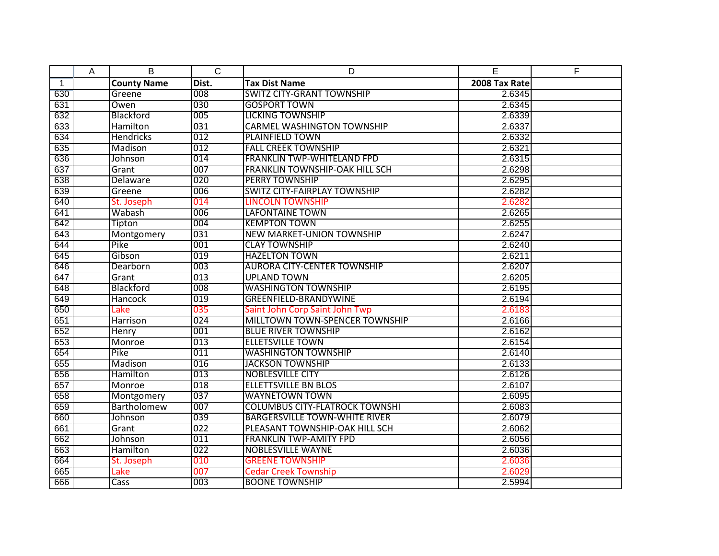|              | A | B                  | $\overline{C}$ | D                                     | E             | F |
|--------------|---|--------------------|----------------|---------------------------------------|---------------|---|
| $\mathbf{1}$ |   | <b>County Name</b> | Dist.          | <b>Tax Dist Name</b>                  | 2008 Tax Rate |   |
| 630          |   | Greene             | 008            | <b>SWITZ CITY-GRANT TOWNSHIP</b>      | 2.6345        |   |
| 631          |   | Owen               | 030            | <b>GOSPORT TOWN</b>                   | 2.6345        |   |
| 632          |   | Blackford          | 005            | <b>LICKING TOWNSHIP</b>               | 2.6339        |   |
| 633          |   | <b>Hamilton</b>    | 031            | <b>CARMEL WASHINGTON TOWNSHIP</b>     | 2.6337        |   |
| 634          |   | <b>Hendricks</b>   | 012            | <b>PLAINFIELD TOWN</b>                | 2.6332        |   |
| 635          |   | Madison            | 012            | <b>FALL CREEK TOWNSHIP</b>            | 2.6321        |   |
| 636          |   | Johnson            | 014            | <b>FRANKLIN TWP-WHITELAND FPD</b>     | 2.6315        |   |
| 637          |   | Grant              | 007            | <b>FRANKLIN TOWNSHIP-OAK HILL SCH</b> | 2.6298        |   |
| 638          |   | <b>Delaware</b>    | 020            | <b>PERRY TOWNSHIP</b>                 | 2.6295        |   |
| 639          |   | Greene             | 006            | <b>SWITZ CITY-FAIRPLAY TOWNSHIP</b>   | 2.6282        |   |
| 640          |   | St. Joseph         | 014            | <b>LINCOLN TOWNSHIP</b>               | 2.6282        |   |
| 641          |   | Wabash             | 006            | <b>LAFONTAINE TOWN</b>                | 2.6265        |   |
| 642          |   | Tipton             | 004            | <b>KEMPTON TOWN</b>                   | 2.6255        |   |
| 643          |   | Montgomery         | 031            | <b>NEW MARKET-UNION TOWNSHIP</b>      | 2.6247        |   |
| 644          |   | Pike               | 001            | <b>CLAY TOWNSHIP</b>                  | 2.6240        |   |
| 645          |   | Gibson             | 019            | <b>HAZELTON TOWN</b>                  | 2.6211        |   |
| 646          |   | Dearborn           | 003            | <b>AURORA CITY-CENTER TOWNSHIP</b>    | 2.6207        |   |
| 647          |   | Grant              | 013            | <b>UPLAND TOWN</b>                    | 2.6205        |   |
| 648          |   | Blackford          | 008            | <b>WASHINGTON TOWNSHIP</b>            | 2.6195        |   |
| 649          |   | <b>Hancock</b>     | 019            | <b>GREENFIELD-BRANDYWINE</b>          | 2.6194        |   |
| 650          |   | Lake               | 035            | Saint John Corp Saint John Twp        | 2.6183        |   |
| 651          |   | Harrison           | 024            | MILLTOWN TOWN-SPENCER TOWNSHIP        | 2.6166        |   |
| 652          |   | <b>Henry</b>       | 001            | <b>BLUE RIVER TOWNSHIP</b>            | 2.6162        |   |
| 653          |   | Monroe             | 013            | <b>ELLETSVILLE TOWN</b>               | 2.6154        |   |
| 654          |   | Pike               | 011            | <b>WASHINGTON TOWNSHIP</b>            | 2.6140        |   |
| 655          |   | Madison            | 016            | <b>JACKSON TOWNSHIP</b>               | 2.6133        |   |
| 656          |   | Hamilton           | 013            | <b>NOBLESVILLE CITY</b>               | 2.6126        |   |
| 657          |   | Monroe             | 018            | <b>ELLETTSVILLE BN BLOS</b>           | 2.6107        |   |
| 658          |   | Montgomery         | 037            | <b>WAYNETOWN TOWN</b>                 | 2.6095        |   |
| 659          |   | Bartholomew        | 007            | <b>COLUMBUS CITY-FLATROCK TOWNSHI</b> | 2.6083        |   |
| 660          |   | Johnson            | 039            | <b>BARGERSVILLE TOWN-WHITE RIVER</b>  | 2.6079        |   |
| 661          |   | Grant              | 022            | PLEASANT TOWNSHIP-OAK HILL SCH        | 2.6062        |   |
| 662          |   | Johnson            | 011            | <b>FRANKLIN TWP-AMITY FPD</b>         | 2.6056        |   |
| 663          |   | <b>Hamilton</b>    | 022            | <b>NOBLESVILLE WAYNE</b>              | 2.6036        |   |
| 664          |   | St. Joseph         | 010            | <b>GREENE TOWNSHIP</b>                | 2.6036        |   |
| 665          |   | Lake               | 007            | <b>Cedar Creek Township</b>           | 2.6029        |   |
| 666          |   | Cass               | 003            | <b>BOONE TOWNSHIP</b>                 | 2.5994        |   |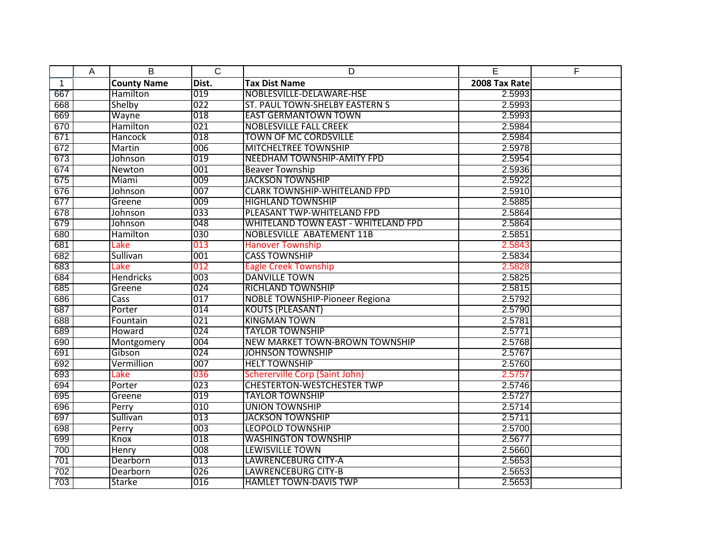|              | A | B                  | $\overline{C}$ | D                                          | E             | F |
|--------------|---|--------------------|----------------|--------------------------------------------|---------------|---|
| $\mathbf{1}$ |   | <b>County Name</b> | Dist.          | <b>Tax Dist Name</b>                       | 2008 Tax Rate |   |
| 667          |   | Hamilton           | 019            | NOBLESVILLE-DELAWARE-HSE                   | 2.5993        |   |
| 668          |   | Shelby             | 022            | ST. PAUL TOWN-SHELBY EASTERN S             | 2.5993        |   |
| 669          |   | Wayne              | 018            | <b>EAST GERMANTOWN TOWN</b>                | 2.5993        |   |
| 670          |   | Hamilton           | 021            | <b>NOBLESVILLE FALL CREEK</b>              | 2.5984        |   |
| 671          |   | <b>Hancock</b>     | 018            | <b>TOWN OF MC CORDSVILLE</b>               | 2.5984        |   |
| 672          |   | Martin             | 006            | MITCHELTREE TOWNSHIP                       | 2.5978        |   |
| 673          |   | Johnson            | 019            | NEEDHAM TOWNSHIP-AMITY FPD                 | 2.5954        |   |
| 674          |   | Newton             | 001            | <b>Beaver Township</b>                     | 2.5936        |   |
| 675          |   | Miami              | 009            | <b>JACKSON TOWNSHIP</b>                    | 2.5922        |   |
| 676          |   | Johnson            | 007            | <b>CLARK TOWNSHIP-WHITELAND FPD</b>        | 2.5910        |   |
| 677          |   | Greene             | 009            | <b>HIGHLAND TOWNSHIP</b>                   | 2.5885        |   |
| 678          |   | Johnson            | 033            | PLEASANT TWP-WHITELAND FPD                 | 2.5864        |   |
| 679          |   | Johnson            | 048            | <b>WHITELAND TOWN EAST - WHITELAND FPD</b> | 2.5864        |   |
| 680          |   | Hamilton           | 030            | <b>NOBLESVILLE ABATEMENT 11B</b>           | 2.5851        |   |
| 681          |   | Lake               | 013            | <b>Hanover Township</b>                    | 2.5843        |   |
| 682          |   | Sullivan           | 001            | <b>CASS TOWNSHIP</b>                       | 2.5834        |   |
| 683          |   | Lake               | 012            | <b>Eagle Creek Township</b>                | 2.5828        |   |
| 684          |   | <b>Hendricks</b>   | 003            | <b>DANVILLE TOWN</b>                       | 2.5825        |   |
| 685          |   | Greene             | 024            | <b>RICHLAND TOWNSHIP</b>                   | 2.5815        |   |
| 686          |   | Cass               | 017            | <b>NOBLE TOWNSHIP-Pioneer Regiona</b>      | 2.5792        |   |
| 687          |   | Porter             | 014            | <b>KOUTS (PLEASANT)</b>                    | 2.5790        |   |
| 688          |   | Fountain           | 021            | <b>KINGMAN TOWN</b>                        | 2.5781        |   |
| 689          |   | Howard             | 024            | <b>TAYLOR TOWNSHIP</b>                     | 2.5771        |   |
| 690          |   | Montgomery         | 004            | <b>NEW MARKET TOWN-BROWN TOWNSHIP</b>      | 2.5768        |   |
| 691          |   | Gibson             | 024            | <b>JOHNSON TOWNSHIP</b>                    | 2.5767        |   |
| 692          |   | Vermillion         | 007            | <b>HELT TOWNSHIP</b>                       | 2.5760        |   |
| 693          |   | Lake               | 036            | <b>Schererville Corp (Saint John)</b>      | 2.5757        |   |
| 694          |   | Porter             | 023            | <b>CHESTERTON-WESTCHESTER TWP</b>          | 2.5746        |   |
| 695          |   | Greene             | 019            | <b>TAYLOR TOWNSHIP</b>                     | 2.5727        |   |
| 696          |   | Perry              | 010            | <b>UNION TOWNSHIP</b>                      | 2.5714        |   |
| 697          |   | Sullivan           | 013            | <b>JACKSON TOWNSHIP</b>                    | 2.5711        |   |
| 698          |   | Perry              | 003            | <b>LEOPOLD TOWNSHIP</b>                    | 2.5700        |   |
| 699          |   | Knox               | 018            | <b>WASHINGTON TOWNSHIP</b>                 | 2.5677        |   |
| 700          |   | <b>Henry</b>       | 008            | <b>LEWISVILLE TOWN</b>                     | 2.5660        |   |
| 701          |   | Dearborn           | 013            | <b>LAWRENCEBURG CITY-A</b>                 | 2.5653        |   |
| 702          |   | Dearborn           | 026            | <b>LAWRENCEBURG CITY-B</b>                 | 2.5653        |   |
| 703          |   | <b>Starke</b>      | 016            | <b>HAMLET TOWN-DAVIS TWP</b>               | 2.5653        |   |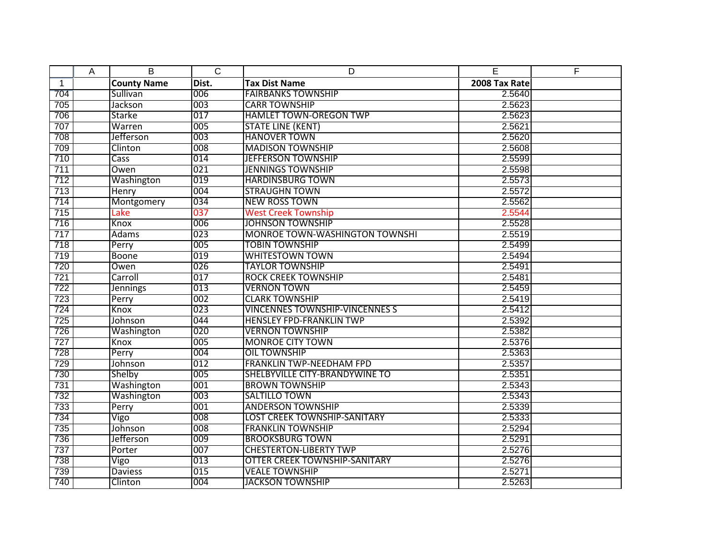|              | A | B                  | $\overline{C}$ | D                                     | E             | F |
|--------------|---|--------------------|----------------|---------------------------------------|---------------|---|
| $\mathbf{1}$ |   | <b>County Name</b> | Dist.          | <b>Tax Dist Name</b>                  | 2008 Tax Rate |   |
| 704          |   | Sullivan           | 006            | <b>FAIRBANKS TOWNSHIP</b>             | 2.5640        |   |
| 705          |   | Jackson            | 003            | <b>CARR TOWNSHIP</b>                  | 2.5623        |   |
| 706          |   | Starke             | 017            | <b>HAMLET TOWN-OREGON TWP</b>         | 2.5623        |   |
| 707          |   | Warren             | 005            | <b>STATE LINE (KENT)</b>              | 2.5621        |   |
| 708          |   | Jefferson          | 003            | <b>HANOVER TOWN</b>                   | 2.5620        |   |
| 709          |   | Clinton            | 008            | <b>MADISON TOWNSHIP</b>               | 2.5608        |   |
| 710          |   | Cass               | 014            | <b>JEFFERSON TOWNSHIP</b>             | 2.5599        |   |
| 711          |   | Owen               | 021            | <b>JENNINGS TOWNSHIP</b>              | 2.5598        |   |
| 712          |   | Washington         | 019            | <b>HARDINSBURG TOWN</b>               | 2.5573        |   |
| 713          |   | Henry              | 004            | <b>STRAUGHN TOWN</b>                  | 2.5572        |   |
| 714          |   | Montgomery         | 034            | <b>NEW ROSS TOWN</b>                  | 2.5562        |   |
| 715          |   | Lake               | 037            | <b>West Creek Township</b>            | 2.5544        |   |
| 716          |   | Knox               | 006            | <b>JOHNSON TOWNSHIP</b>               | 2.5528        |   |
| 717          |   | Adams              | 023            | <b>MONROE TOWN-WASHINGTON TOWNSHI</b> | 2.5519        |   |
| 718          |   | Perry              | 005            | <b>TOBIN TOWNSHIP</b>                 | 2.5499        |   |
| 719          |   | <b>Boone</b>       | 019            | <b>WHITESTOWN TOWN</b>                | 2.5494        |   |
| 720          |   | Owen               | 026            | <b>TAYLOR TOWNSHIP</b>                | 2.5491        |   |
| 721          |   | Carroll            | 017            | <b>ROCK CREEK TOWNSHIP</b>            | 2.5481        |   |
| 722          |   | <b>Jennings</b>    | 013            | <b>VERNON TOWN</b>                    | 2.5459        |   |
| 723          |   | Perry              | 002            | <b>CLARK TOWNSHIP</b>                 | 2.5419        |   |
| 724          |   | Knox               | 023            | <b>VINCENNES TOWNSHIP-VINCENNES S</b> | 2.5412        |   |
| 725          |   | Johnson            | 044            | <b>HENSLEY FPD-FRANKLIN TWP</b>       | 2.5392        |   |
| 726          |   | Washington         | 020            | <b>VERNON TOWNSHIP</b>                | 2.5382        |   |
| 727          |   | <b>Knox</b>        | 005            | <b>MONROE CITY TOWN</b>               | 2.5376        |   |
| 728          |   | Perry              | 004            | <b>OIL TOWNSHIP</b>                   | 2.5363        |   |
| 729          |   | Johnson            | 012            | <b>FRANKLIN TWP-NEEDHAM FPD</b>       | 2.5357        |   |
| 730          |   | Shelby             | 005            | SHELBYVILLE CITY-BRANDYWINE TO        | 2.5351        |   |
| 731          |   | Washington         | 001            | <b>BROWN TOWNSHIP</b>                 | 2.5343        |   |
| 732          |   | Washington         | 003            | <b>SALTILLO TOWN</b>                  | 2.5343        |   |
| 733          |   | Perry              | 001            | <b>ANDERSON TOWNSHIP</b>              | 2.5339        |   |
| 734          |   | Vigo               | 008            | <b>LOST CREEK TOWNSHIP-SANITARY</b>   | 2.5333        |   |
| 735          |   | Johnson            | 008            | <b>FRANKLIN TOWNSHIP</b>              | 2.5294        |   |
| 736          |   | Jefferson          | 009            | <b>BROOKSBURG TOWN</b>                | 2.5291        |   |
| 737          |   | Porter             | 007            | <b>CHESTERTON-LIBERTY TWP</b>         | 2.5276        |   |
| 738          |   | Vigo               | 013            | <b>OTTER CREEK TOWNSHIP-SANITARY</b>  | 2.5276        |   |
| 739          |   | <b>Daviess</b>     | 015            | <b>VEALE TOWNSHIP</b>                 | 2.5271        |   |
| 740          |   | Clinton            | 004            | <b>JACKSON TOWNSHIP</b>               | 2.5263        |   |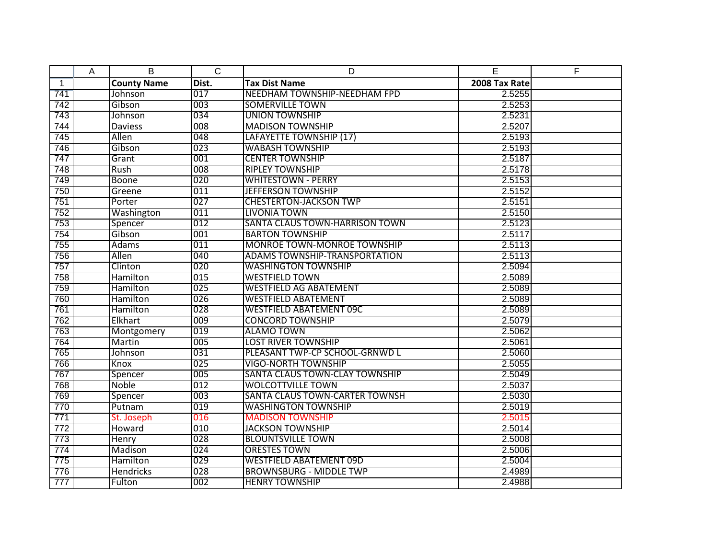|              | A | B                  | $\overline{C}$ | D                                    | E             | F |
|--------------|---|--------------------|----------------|--------------------------------------|---------------|---|
| $\mathbf{1}$ |   | <b>County Name</b> | Dist.          | <b>Tax Dist Name</b>                 | 2008 Tax Rate |   |
| 741          |   | Johnson            | 017            | NEEDHAM TOWNSHIP-NEEDHAM FPD         | 2.5255        |   |
| 742          |   | Gibson             | 003            | <b>SOMERVILLE TOWN</b>               | 2.5253        |   |
| 743          |   | Johnson            | 034            | <b>UNION TOWNSHIP</b>                | 2.5231        |   |
| 744          |   | <b>Daviess</b>     | 008            | <b>MADISON TOWNSHIP</b>              | 2.5207        |   |
| 745          |   | Allen              | 048            | LAFAYETTE TOWNSHIP (17)              | 2.5193        |   |
| 746          |   | Gibson             | 023            | <b>WABASH TOWNSHIP</b>               | 2.5193        |   |
| 747          |   | Grant              | 001            | <b>CENTER TOWNSHIP</b>               | 2.5187        |   |
| 748          |   | Rush               | 008            | <b>RIPLEY TOWNSHIP</b>               | 2.5178        |   |
| 749          |   | <b>Boone</b>       | 020            | <b>WHITESTOWN - PERRY</b>            | 2.5153        |   |
| 750          |   | Greene             | 011            | <b>JEFFERSON TOWNSHIP</b>            | 2.5152        |   |
| 751          |   | Porter             | 027            | <b>CHESTERTON-JACKSON TWP</b>        | 2.5151        |   |
| 752          |   | Washington         | 011            | <b>LIVONIA TOWN</b>                  | 2.5150        |   |
| 753          |   | Spencer            | 012            | SANTA CLAUS TOWN-HARRISON TOWN       | 2.5123        |   |
| 754          |   | Gibson             | 001            | <b>BARTON TOWNSHIP</b>               | 2.5117        |   |
| 755          |   | Adams              | 011            | MONROE TOWN-MONROE TOWNSHIP          | 2.5113        |   |
| 756          |   | Allen              | 040            | <b>ADAMS TOWNSHIP-TRANSPORTATION</b> | 2.5113        |   |
| 757          |   | Clinton            | 020            | <b>WASHINGTON TOWNSHIP</b>           | 2.5094        |   |
| 758          |   | Hamilton           | 015            | <b>WESTFIELD TOWN</b>                | 2.5089        |   |
| 759          |   | Hamilton           | 025            | <b>WESTFIELD AG ABATEMENT</b>        | 2.5089        |   |
| 760          |   | Hamilton           | 026            | <b>WESTFIELD ABATEMENT</b>           | 2.5089        |   |
| 761          |   | Hamilton           | 028            | <b>WESTFIELD ABATEMENT 09C</b>       | 2.5089        |   |
| 762          |   | Elkhart            | 009            | <b>CONCORD TOWNSHIP</b>              | 2.5079        |   |
| 763          |   | Montgomery         | 019            | <b>ALAMO TOWN</b>                    | 2.5062        |   |
| 764          |   | Martin             | 005            | <b>LOST RIVER TOWNSHIP</b>           | 2.5061        |   |
| 765          |   | Johnson            | 031            | PLEASANT TWP-CP SCHOOL-GRNWD L       | 2.5060        |   |
| 766          |   | Knox               | 025            | <b>VIGO-NORTH TOWNSHIP</b>           | 2.5055        |   |
| 767          |   | Spencer            | 005            | SANTA CLAUS TOWN-CLAY TOWNSHIP       | 2.5049        |   |
| 768          |   | Noble              | 012            | <b>WOLCOTTVILLE TOWN</b>             | 2.5037        |   |
| 769          |   | Spencer            | 003            | SANTA CLAUS TOWN-CARTER TOWNSH       | 2.5030        |   |
| 770          |   | Putnam             | 019            | <b>WASHINGTON TOWNSHIP</b>           | 2.5019        |   |
| 771          |   | St. Joseph         | 016            | <b>MADISON TOWNSHIP</b>              | 2.5015        |   |
| 772          |   | Howard             | 010            | <b>JACKSON TOWNSHIP</b>              | 2.5014        |   |
| 773          |   | Henry              | 028            | <b>BLOUNTSVILLE TOWN</b>             | 2.5008        |   |
| 774          |   | Madison            | 024            | <b>ORESTES TOWN</b>                  | 2.5006        |   |
| 775          |   | Hamilton           | 029            | <b>WESTFIELD ABATEMENT 09D</b>       | 2.5004        |   |
| 776          |   | <b>Hendricks</b>   | 028            | <b>BROWNSBURG - MIDDLE TWP</b>       | 2.4989        |   |
| 777          |   | Fulton             | 002            | <b>HENRY TOWNSHIP</b>                | 2.4988        |   |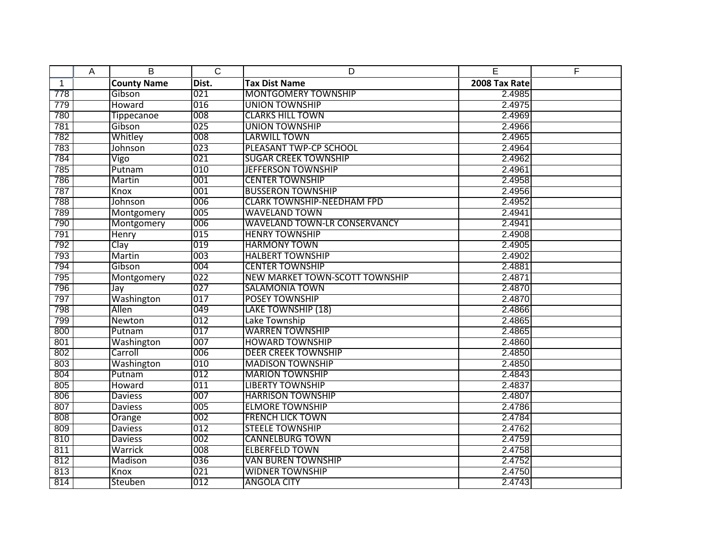|              | Α | B                  | $\overline{C}$   | D                                   | E             | F |
|--------------|---|--------------------|------------------|-------------------------------------|---------------|---|
| $\mathbf{1}$ |   | <b>County Name</b> | Dist.            | <b>Tax Dist Name</b>                | 2008 Tax Rate |   |
| 778          |   | Gibson             | 021              | <b>MONTGOMERY TOWNSHIP</b>          | 2.4985        |   |
| 779          |   | Howard             | 016              | <b>UNION TOWNSHIP</b>               | 2.4975        |   |
| 780          |   | <b>Tippecanoe</b>  | 008              | <b>CLARKS HILL TOWN</b>             | 2.4969        |   |
| 781          |   | Gibson             | 025              | <b>UNION TOWNSHIP</b>               | 2.4966        |   |
| 782          |   | Whitley            | 008              | <b>LARWILL TOWN</b>                 | 2.4965        |   |
| 783          |   | Johnson            | 023              | PLEASANT TWP-CP SCHOOL              | 2.4964        |   |
| 784          |   | Vigo               | 021              | <b>SUGAR CREEK TOWNSHIP</b>         | 2.4962        |   |
| 785          |   | Putnam             | 010              | <b>JEFFERSON TOWNSHIP</b>           | 2.4961        |   |
| 786          |   | Martin             | 001              | <b>CENTER TOWNSHIP</b>              | 2.4958        |   |
| 787          |   | Knox               | 001              | <b>BUSSERON TOWNSHIP</b>            | 2.4956        |   |
| 788          |   | Johnson            | 006              | <b>CLARK TOWNSHIP-NEEDHAM FPD</b>   | 2.4952        |   |
| 789          |   | Montgomery         | 005              | <b>WAVELAND TOWN</b>                | 2.4941        |   |
| 790          |   | Montgomery         | 006              | <b>WAVELAND TOWN-LR CONSERVANCY</b> | 2.4941        |   |
| 791          |   | Henry              | 015              | <b>HENRY TOWNSHIP</b>               | 2.4908        |   |
| 792          |   | Clav               | 019              | <b>HARMONY TOWN</b>                 | 2.4905        |   |
| 793          |   | Martin             | 003              | <b>HALBERT TOWNSHIP</b>             | 2.4902        |   |
| 794          |   | Gibson             | 004              | <b>CENTER TOWNSHIP</b>              | 2.4881        |   |
| 795          |   | Montgomery         | $\overline{022}$ | NEW MARKET TOWN-SCOTT TOWNSHIP      | 2.4871        |   |
| 796          |   | Jay                | 027              | <b>SALAMONIA TOWN</b>               | 2.4870        |   |
| 797          |   | Washington         | 017              | POSEY TOWNSHIP                      | 2.4870        |   |
| 798          |   | <b>Allen</b>       | 049              | <b>LAKE TOWNSHIP (18)</b>           | 2.4866        |   |
| 799          |   | Newton             | 012              | Lake Township                       | 2.4865        |   |
| 800          |   | Putnam             | 017              | <b>WARREN TOWNSHIP</b>              | 2.4865        |   |
| 801          |   | Washington         | 007              | <b>HOWARD TOWNSHIP</b>              | 2.4860        |   |
| 802          |   | Carroll            | 006              | <b>DEER CREEK TOWNSHIP</b>          | 2.4850        |   |
| 803          |   | Washington         | 010              | <b>MADISON TOWNSHIP</b>             | 2.4850        |   |
| 804          |   | Putnam             | 012              | <b>MARION TOWNSHIP</b>              | 2.4843        |   |
| 805          |   | Howard             | 011              | <b>LIBERTY TOWNSHIP</b>             | 2.4837        |   |
| 806          |   | <b>Daviess</b>     | 007              | <b>HARRISON TOWNSHIP</b>            | 2.4807        |   |
| 807          |   | <b>Daviess</b>     | 005              | <b>ELMORE TOWNSHIP</b>              | 2.4786        |   |
| 808          |   | Orange             | 002              | <b>FRENCH LICK TOWN</b>             | 2.4784        |   |
| 809          |   | <b>Daviess</b>     | 012              | <b>STEELE TOWNSHIP</b>              | 2.4762        |   |
| 810          |   | <b>Daviess</b>     | 002              | <b>CANNELBURG TOWN</b>              | 2.4759        |   |
| 811          |   | Warrick            | 008              | <b>ELBERFELD TOWN</b>               | 2.4758        |   |
| 812          |   | Madison            | 036              | <b>VAN BUREN TOWNSHIP</b>           | 2.4752        |   |
| 813          |   | Knox               | 021              | <b>WIDNER TOWNSHIP</b>              | 2.4750        |   |
| 814          |   | Steuben            | 012              | <b>ANGOLA CITY</b>                  | 2.4743        |   |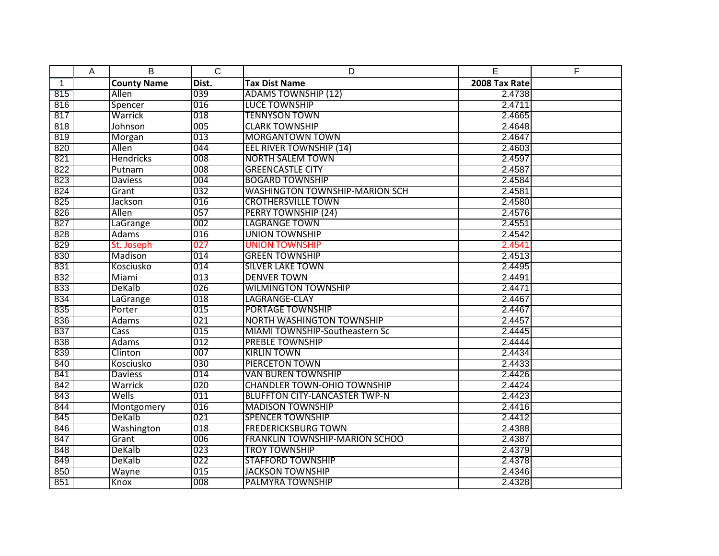|              | Α | B                  | $\overline{C}$ | D                                     | E             | F |
|--------------|---|--------------------|----------------|---------------------------------------|---------------|---|
| $\mathbf{1}$ |   | <b>County Name</b> | Dist.          | <b>Tax Dist Name</b>                  | 2008 Tax Rate |   |
| 815          |   | Allen              | 039            | <b>ADAMS TOWNSHIP (12)</b>            | 2.4738        |   |
| 816          |   | Spencer            | 016            | <b>LUCE TOWNSHIP</b>                  | 2.4711        |   |
| 817          |   | Warrick            | 018            | <b>TENNYSON TOWN</b>                  | 2.4665        |   |
| 818          |   | Johnson            | 005            | <b>CLARK TOWNSHIP</b>                 | 2.4648        |   |
| 819          |   | Morgan             | 013            | <b>MORGANTOWN TOWN</b>                | 2.4647        |   |
| 820          |   | Allen              | 044            | <b>EEL RIVER TOWNSHIP (14)</b>        | 2.4603        |   |
| 821          |   | <b>Hendricks</b>   | 008            | <b>NORTH SALEM TOWN</b>               | 2.4597        |   |
| 822          |   | Putnam             | 008            | <b>GREENCASTLE CITY</b>               | 2.4587        |   |
| 823          |   | <b>Daviess</b>     | 004            | <b>BOGARD TOWNSHIP</b>                | 2.4584        |   |
| 824          |   | Grant              | 032            | <b>WASHINGTON TOWNSHIP-MARION SCH</b> | 2.4581        |   |
| 825          |   | Jackson            | 016            | <b>CROTHERSVILLE TOWN</b>             | 2.4580        |   |
| 826          |   | Allen              | 057            | <b>PERRY TOWNSHIP (24)</b>            | 2.4576        |   |
| 827          |   | LaGrange           | 002            | <b>LAGRANGE TOWN</b>                  | 2.4551        |   |
| 828          |   | Adams              | 016            | <b>UNION TOWNSHIP</b>                 | 2.4542        |   |
| 829          |   | St. Joseph         | 027            | <b>UNION TOWNSHIP</b>                 | 2.4541        |   |
| 830          |   | Madison            | 014            | <b>GREEN TOWNSHIP</b>                 | 2.4513        |   |
| 831          |   | Kosciusko          | 014            | <b>SILVER LAKE TOWN</b>               | 2.4495        |   |
| 832          |   | Miami              | 013            | <b>DENVER TOWN</b>                    | 2.4491        |   |
| 833          |   | DeKalb             | 026            | <b>WILMINGTON TOWNSHIP</b>            | 2.4471        |   |
| 834          |   | LaGrange           | 018            | LAGRANGE-CLAY                         | 2.4467        |   |
| 835          |   | Porter             | 015            | <b>PORTAGE TOWNSHIP</b>               | 2.4467        |   |
| 836          |   | Adams              | 021            | <b>NORTH WASHINGTON TOWNSHIP</b>      | 2.4457        |   |
| 837          |   | <b>Cass</b>        | 015            | MIAMI TOWNSHIP-Southeastern Sc        | 2.4445        |   |
| 838          |   | <b>Adams</b>       | 012            | <b>PREBLE TOWNSHIP</b>                | 2.4444        |   |
| 839          |   | Clinton            | 007            | <b>KIRLIN TOWN</b>                    | 2.4434        |   |
| 840          |   | Kosciusko          | 030            | <b>PIERCETON TOWN</b>                 | 2.4433        |   |
| 841          |   | <b>Daviess</b>     | 014            | <b>VAN BUREN TOWNSHIP</b>             | 2.4426        |   |
| 842          |   | Warrick            | 020            | <b>CHANDLER TOWN-OHIO TOWNSHIP</b>    | 2.4424        |   |
| 843          |   | Wells              | 011            | <b>BLUFFTON CITY-LANCASTER TWP-N</b>  | 2.4423        |   |
| 844          |   | Montgomery         | 016            | <b>MADISON TOWNSHIP</b>               | 2.4416        |   |
| 845          |   | DeKalb             | 021            | <b>SPENCER TOWNSHIP</b>               | 2.4412        |   |
| 846          |   | Washington         | 018            | <b>FREDERICKSBURG TOWN</b>            | 2.4388        |   |
| 847          |   | Grant              | 006            | <b>FRANKLIN TOWNSHIP-MARION SCHOO</b> | 2.4387        |   |
| 848          |   | <b>DeKalb</b>      | 023            | <b>TROY TOWNSHIP</b>                  | 2.4379        |   |
| 849          |   | DeKalb             | 022            | <b>STAFFORD TOWNSHIP</b>              | 2.4378        |   |
| 850          |   | Wayne              | 015            | <b>JACKSON TOWNSHIP</b>               | 2.4346        |   |
| 851          |   | Knox               | 008            | <b>PALMYRA TOWNSHIP</b>               | 2.4328        |   |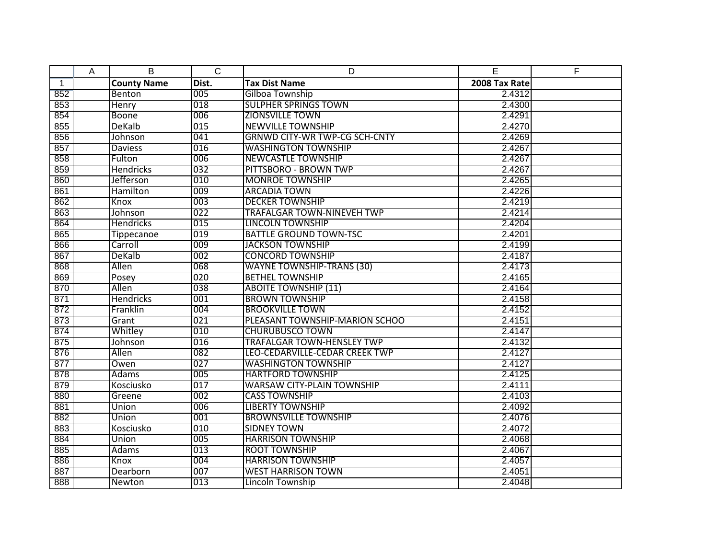|              | Α | B                  | $\overline{C}$ | D                                    | E             | F |
|--------------|---|--------------------|----------------|--------------------------------------|---------------|---|
| $\mathbf{1}$ |   | <b>County Name</b> | Dist.          | <b>Tax Dist Name</b>                 | 2008 Tax Rate |   |
| 852          |   | Benton             | 005            | Gilboa Township                      | 2.4312        |   |
| 853          |   | <b>Henry</b>       | 018            | <b>SULPHER SPRINGS TOWN</b>          | 2.4300        |   |
| 854          |   | <b>Boone</b>       | 006            | <b>ZIONSVILLE TOWN</b>               | 2.4291        |   |
| 855          |   | DeKalb             | 015            | <b>NEWVILLE TOWNSHIP</b>             | 2.4270        |   |
| 856          |   | Johnson            | 041            | <b>GRNWD CITY-WR TWP-CG SCH-CNTY</b> | 2.4269        |   |
| 857          |   | <b>Daviess</b>     | 016            | <b>WASHINGTON TOWNSHIP</b>           | 2.4267        |   |
| 858          |   | Fulton             | 006            | <b>NEWCASTLE TOWNSHIP</b>            | 2.4267        |   |
| 859          |   | <b>Hendricks</b>   | 032            | PITTSBORO - BROWN TWP                | 2.4267        |   |
| 860          |   | Jefferson          | 010            | <b>MONROE TOWNSHIP</b>               | 2.4265        |   |
| 861          |   | Hamilton           | 009            | <b>ARCADIA TOWN</b>                  | 2.4226        |   |
| 862          |   | Knox               | 003            | <b>DECKER TOWNSHIP</b>               | 2.4219        |   |
| 863          |   | Johnson            | 022            | <b>TRAFALGAR TOWN-NINEVEH TWP</b>    | 2.4214        |   |
| 864          |   | <b>Hendricks</b>   | 015            | <b>LINCOLN TOWNSHIP</b>              | 2.4204        |   |
| 865          |   | <b>Tippecanoe</b>  | 019            | <b>BATTLE GROUND TOWN-TSC</b>        | 2.4201        |   |
| 866          |   | Carroll            | 009            | <b>JACKSON TOWNSHIP</b>              | 2.4199        |   |
| 867          |   | DeKalb             | 002            | <b>CONCORD TOWNSHIP</b>              | 2.4187        |   |
| 868          |   | Allen              | 068            | <b>WAYNE TOWNSHIP-TRANS (30)</b>     | 2.4173        |   |
| 869          |   | Posey              | 020            | <b>BETHEL TOWNSHIP</b>               | 2.4165        |   |
| 870          |   | Allen              | 038            | <b>ABOITE TOWNSHIP (11)</b>          | 2.4164        |   |
| 871          |   | <b>Hendricks</b>   | 001            | <b>BROWN TOWNSHIP</b>                | 2.4158        |   |
| 872          |   | Franklin           | 004            | <b>BROOKVILLE TOWN</b>               | 2.4152        |   |
| 873          |   | Grant              | 021            | PLEASANT TOWNSHIP-MARION SCHOO       | 2.4151        |   |
| 874          |   | Whitley            | 010            | <b>CHURUBUSCO TOWN</b>               | 2.4147        |   |
| 875          |   | Johnson            | 016            | <b>TRAFALGAR TOWN-HENSLEY TWP</b>    | 2.4132        |   |
| 876          |   | Allen              | 082            | LEO-CEDARVILLE-CEDAR CREEK TWP       | 2.4127        |   |
| 877          |   | Owen               | 027            | <b>WASHINGTON TOWNSHIP</b>           | 2.4127        |   |
| 878          |   | Adams              | 005            | <b>HARTFORD TOWNSHIP</b>             | 2.4125        |   |
| 879          |   | Kosciusko          | 017            | <b>WARSAW CITY-PLAIN TOWNSHIP</b>    | 2.4111        |   |
| 880          |   | Greene             | 002            | <b>CASS TOWNSHIP</b>                 | 2.4103        |   |
| 881          |   | Union              | 006            | <b>LIBERTY TOWNSHIP</b>              | 2.4092        |   |
| 882          |   | Union              | 001            | <b>BROWNSVILLE TOWNSHIP</b>          | 2.4076        |   |
| 883          |   | Kosciusko          | 010            | <b>SIDNEY TOWN</b>                   | 2.4072        |   |
| 884          |   | Union              | 005            | <b>HARRISON TOWNSHIP</b>             | 2.4068        |   |
| 885          |   | <b>Adams</b>       | 013            | <b>ROOT TOWNSHIP</b>                 | 2.4067        |   |
| 886          |   | Knox               | 004            | <b>HARRISON TOWNSHIP</b>             | 2.4057        |   |
| 887          |   | Dearborn           | 007            | <b>WEST HARRISON TOWN</b>            | 2.4051        |   |
| 888          |   | Newton             | 013            | Lincoln Township                     | 2.4048        |   |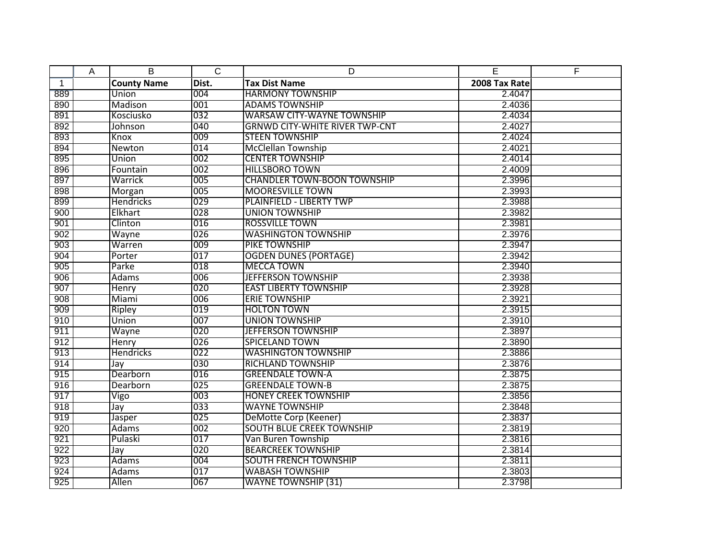|              | Α | B                  | $\overline{C}$ | D                                     | E             | E |
|--------------|---|--------------------|----------------|---------------------------------------|---------------|---|
| $\mathbf{1}$ |   | <b>County Name</b> | Dist.          | <b>Tax Dist Name</b>                  | 2008 Tax Rate |   |
| 889          |   | Union              | 004            | <b>HARMONY TOWNSHIP</b>               | 2.4047        |   |
| 890          |   | Madison            | 001            | <b>ADAMS TOWNSHIP</b>                 | 2.4036        |   |
| 891          |   | Kosciusko          | 032            | <b>WARSAW CITY-WAYNE TOWNSHIP</b>     | 2.4034        |   |
| 892          |   | Johnson            | 040            | <b>GRNWD CITY-WHITE RIVER TWP-CNT</b> | 2.4027        |   |
| 893          |   | Knox               | 009            | <b>STEEN TOWNSHIP</b>                 | 2.4024        |   |
| 894          |   | Newton             | 014            | <b>McClellan Township</b>             | 2.4021        |   |
| 895          |   | Union              | 002            | <b>CENTER TOWNSHIP</b>                | 2.4014        |   |
| 896          |   | Fountain           | 002            | <b>HILLSBORO TOWN</b>                 | 2.4009        |   |
| 897          |   | Warrick            | 005            | <b>CHANDLER TOWN-BOON TOWNSHIP</b>    | 2.3996        |   |
| 898          |   | Morgan             | 005            | <b>MOORESVILLE TOWN</b>               | 2.3993        |   |
| 899          |   | <b>Hendricks</b>   | 029            | <b>PLAINFIELD - LIBERTY TWP</b>       | 2.3988        |   |
| 900          |   | Elkhart            | 028            | <b>UNION TOWNSHIP</b>                 | 2.3982        |   |
| 901          |   | Clinton            | 016            | <b>ROSSVILLE TOWN</b>                 | 2.3981        |   |
| 902          |   | Wayne              | 026            | <b>WASHINGTON TOWNSHIP</b>            | 2.3976        |   |
| 903          |   | Warren             | 009            | PIKE TOWNSHIP                         | 2.3947        |   |
| 904          |   | Porter             | 017            | <b>OGDEN DUNES (PORTAGE)</b>          | 2.3942        |   |
| 905          |   | Parke              | 018            | <b>MECCA TOWN</b>                     | 2.3940        |   |
| 906          |   | <b>Adams</b>       | 006            | <b>JEFFERSON TOWNSHIP</b>             | 2.3938        |   |
| 907          |   | <b>Henry</b>       | 020            | <b>EAST LIBERTY TOWNSHIP</b>          | 2.3928        |   |
| 908          |   | Miami              | 006            | <b>ERIE TOWNSHIP</b>                  | 2.3921        |   |
| 909          |   | Ripley             | 019            | <b>HOLTON TOWN</b>                    | 2.3915        |   |
| 910          |   | Union              | 007            | <b>UNION TOWNSHIP</b>                 | 2.3910        |   |
| 911          |   | Wayne              | 020            | <b>JEFFERSON TOWNSHIP</b>             | 2.3897        |   |
| 912          |   | Henry              | 026            | <b>SPICELAND TOWN</b>                 | 2.3890        |   |
| 913          |   | <b>Hendricks</b>   | 022            | <b>WASHINGTON TOWNSHIP</b>            | 2.3886        |   |
| 914          |   | Jay                | 030            | <b>RICHLAND TOWNSHIP</b>              | 2.3876        |   |
| 915          |   | Dearborn           | 016            | <b>GREENDALE TOWN-A</b>               | 2.3875        |   |
| 916          |   | Dearborn           | 025            | <b>GREENDALE TOWN-B</b>               | 2.3875        |   |
| 917          |   | Vigo               | 003            | <b>HONEY CREEK TOWNSHIP</b>           | 2.3856        |   |
| 918          |   | Jay                | 033            | <b>WAYNE TOWNSHIP</b>                 | 2.3848        |   |
| 919          |   | Jasper             | 025            | DeMotte Corp (Keener)                 | 2.3837        |   |
| 920          |   | Adams              | 002            | <b>SOUTH BLUE CREEK TOWNSHIP</b>      | 2.3819        |   |
| 921          |   | Pulaski            | 017            | Van Buren Township                    | 2.3816        |   |
| 922          |   | Jay                | 020            | <b>BEARCREEK TOWNSHIP</b>             | 2.3814        |   |
| 923          |   | <b>Adams</b>       | 004            | <b>SOUTH FRENCH TOWNSHIP</b>          | 2.3811        |   |
| 924          |   | <b>Adams</b>       | 017            | <b>WABASH TOWNSHIP</b>                | 2.3803        |   |
| 925          |   | Allen              | 067            | <b>WAYNE TOWNSHIP (31)</b>            | 2.3798        |   |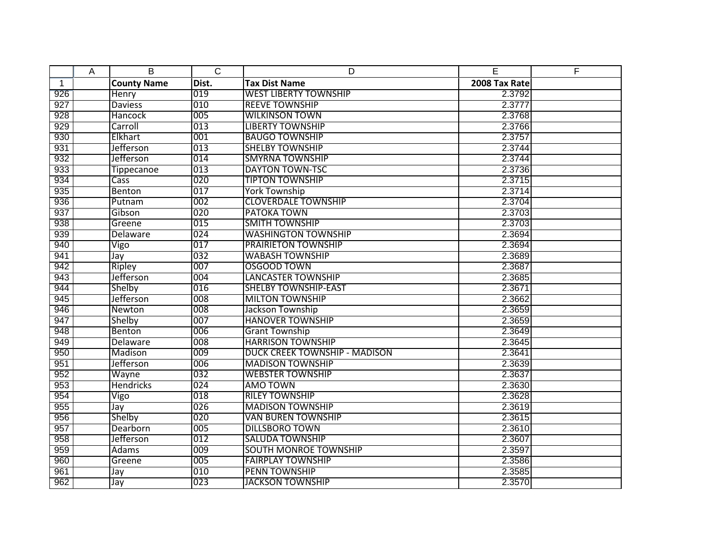|              | A | B                  | $\overline{C}$ | D                                    | E             | F |
|--------------|---|--------------------|----------------|--------------------------------------|---------------|---|
| $\mathbf{1}$ |   | <b>County Name</b> | Dist.          | <b>Tax Dist Name</b>                 | 2008 Tax Rate |   |
| 926          |   | Henry              | 019            | <b>WEST LIBERTY TOWNSHIP</b>         | 2.3792        |   |
| 927          |   | <b>Daviess</b>     | 010            | <b>REEVE TOWNSHIP</b>                | 2.3777        |   |
| 928          |   | <b>Hancock</b>     | 005            | <b>WILKINSON TOWN</b>                | 2.3768        |   |
| 929          |   | Carroll            | 013            | <b>LIBERTY TOWNSHIP</b>              | 2.3766        |   |
| 930          |   | Elkhart            | 001            | <b>BAUGO TOWNSHIP</b>                | 2.3757        |   |
| 931          |   | Jefferson          | 013            | <b>SHELBY TOWNSHIP</b>               | 2.3744        |   |
| 932          |   | <b>Jefferson</b>   | 014            | <b>SMYRNA TOWNSHIP</b>               | 2.3744        |   |
| 933          |   | <b>Tippecanoe</b>  | 013            | <b>DAYTON TOWN-TSC</b>               | 2.3736        |   |
| 934          |   | Cass               | 020            | <b>TIPTON TOWNSHIP</b>               | 2.3715        |   |
| 935          |   | Benton             | 017            | <b>York Township</b>                 | 2.3714        |   |
| 936          |   | Putnam             | 002            | <b>CLOVERDALE TOWNSHIP</b>           | 2.3704        |   |
| 937          |   | Gibson             | 020            | <b>PATOKA TOWN</b>                   | 2.3703        |   |
| 938          |   | Greene             | 015            | <b>SMITH TOWNSHIP</b>                | 2.3703        |   |
| 939          |   | <b>Delaware</b>    | 024            | <b>WASHINGTON TOWNSHIP</b>           | 2.3694        |   |
| 940          |   | Vigo               | 017            | <b>PRAIRIETON TOWNSHIP</b>           | 2.3694        |   |
| 941          |   | Jay                | 032            | <b>WABASH TOWNSHIP</b>               | 2.3689        |   |
| 942          |   | Ripley             | 007            | OSGOOD TOWN                          | 2.3687        |   |
| 943          |   | Jefferson          | 004            | <b>LANCASTER TOWNSHIP</b>            | 2.3685        |   |
| 944          |   | Shelby             | 016            | <b>SHELBY TOWNSHIP-EAST</b>          | 2.3671        |   |
| 945          |   | Jefferson          | 008            | <b>MILTON TOWNSHIP</b>               | 2.3662        |   |
| 946          |   | Newton             | 008            | Jackson Township                     | 2.3659        |   |
| 947          |   | Shelby             | 007            | <b>HANOVER TOWNSHIP</b>              | 2.3659        |   |
| 948          |   | <b>Benton</b>      | 006            | <b>Grant Township</b>                | 2.3649        |   |
| 949          |   | Delaware           | 008            | <b>HARRISON TOWNSHIP</b>             | 2.3645        |   |
| 950          |   | Madison            | 009            | <b>DUCK CREEK TOWNSHIP - MADISON</b> | 2.3641        |   |
| 951          |   | Jefferson          | 006            | <b>MADISON TOWNSHIP</b>              | 2.3639        |   |
| 952          |   | Wayne              | 032            | <b>WEBSTER TOWNSHIP</b>              | 2.3637        |   |
| 953          |   | <b>Hendricks</b>   | 024            | AMO TOWN                             | 2.3630        |   |
| 954          |   | Vigo               | 018            | <b>RILEY TOWNSHIP</b>                | 2.3628        |   |
| 955          |   | Jay                | 026            | <b>MADISON TOWNSHIP</b>              | 2.3619        |   |
| 956          |   | Shelby             | 020            | <b>VAN BUREN TOWNSHIP</b>            | 2.3615        |   |
| 957          |   | Dearborn           | 005            | <b>DILLSBORO TOWN</b>                | 2.3610        |   |
| 958          |   | Jefferson          | 012            | <b>SALUDA TOWNSHIP</b>               | 2.3607        |   |
| 959          |   | <b>Adams</b>       | 009            | <b>SOUTH MONROE TOWNSHIP</b>         | 2.3597        |   |
| 960          |   | Greene             | 005            | <b>FAIRPLAY TOWNSHIP</b>             | 2.3586        |   |
| 961          |   | Jay                | 010            | <b>PENN TOWNSHIP</b>                 | 2.3585        |   |
| 962          |   | Jay                | 023            | <b>JACKSON TOWNSHIP</b>              | 2.3570        |   |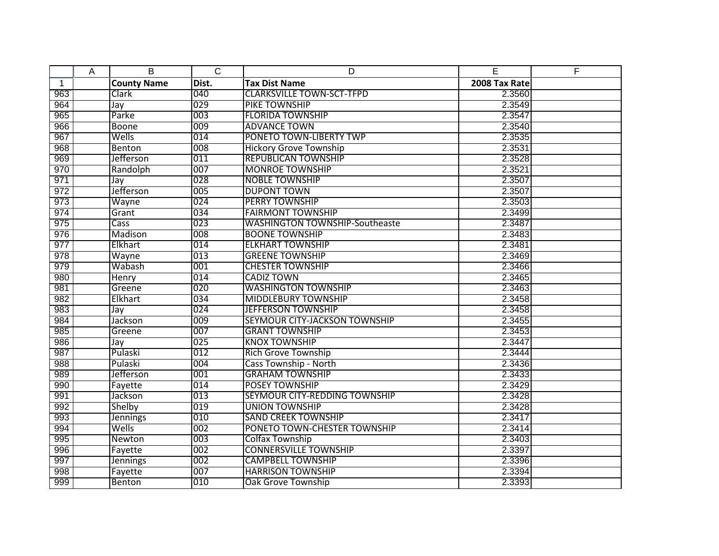|              | Α | B                  | $\overline{C}$ | D                                     | E             | F |
|--------------|---|--------------------|----------------|---------------------------------------|---------------|---|
| $\mathbf{1}$ |   | <b>County Name</b> | Dist.          | <b>Tax Dist Name</b>                  | 2008 Tax Rate |   |
| 963          |   | Clark              | 040            | <b>CLARKSVILLE TOWN-SCT-TFPD</b>      | 2.3560        |   |
| 964          |   | Jay                | 029            | PIKE TOWNSHIP                         | 2.3549        |   |
| 965          |   | Parke              | 003            | <b>FLORIDA TOWNSHIP</b>               | 2.3547        |   |
| 966          |   | Boone              | 009            | <b>ADVANCE TOWN</b>                   | 2.3540        |   |
| 967          |   | Wells              | 014            | PONETO TOWN-LIBERTY TWP               | 2.3535        |   |
| 968          |   | Benton             | 008            | <b>Hickory Grove Township</b>         | 2.3531        |   |
| 969          |   | Jefferson          | 011            | <b>REPUBLICAN TOWNSHIP</b>            | 2.3528        |   |
| 970          |   | Randolph           | 007            | <b>MONROE TOWNSHIP</b>                | 2.3521        |   |
| 971          |   | Jay                | 028            | <b>NOBLE TOWNSHIP</b>                 | 2.3507        |   |
| 972          |   | Jefferson          | 005            | <b>DUPONT TOWN</b>                    | 2.3507        |   |
| 973          |   | Wayne              | 024            | <b>PERRY TOWNSHIP</b>                 | 2.3503        |   |
| 974          |   | Grant              | 034            | <b>FAIRMONT TOWNSHIP</b>              | 2.3499        |   |
| 975          |   | Cass               | 023            | <b>WASHINGTON TOWNSHIP-Southeaste</b> | 2.3487        |   |
| 976          |   | Madison            | 008            | <b>BOONE TOWNSHIP</b>                 | 2.3483        |   |
| 977          |   | Elkhart            | 014            | <b>ELKHART TOWNSHIP</b>               | 2.3481        |   |
| 978          |   | Wayne              | 013            | <b>GREENE TOWNSHIP</b>                | 2.3469        |   |
| 979          |   | Wabash             | 001            | <b>CHESTER TOWNSHIP</b>               | 2.3466        |   |
| 980          |   | Henry              | 014            | <b>CADIZ TOWN</b>                     | 2.3465        |   |
| 981          |   | Greene             | 020            | <b>WASHINGTON TOWNSHIP</b>            | 2.3463        |   |
| 982          |   | Elkhart            | 034            | <b>MIDDLEBURY TOWNSHIP</b>            | 2.3458        |   |
| 983          |   | Jay                | 024            | <b>JEFFERSON TOWNSHIP</b>             | 2.3458        |   |
| 984          |   | Jackson            | 009            | SEYMOUR CITY-JACKSON TOWNSHIP         | 2.3455        |   |
| 985          |   | Greene             | 007            | <b>GRANT TOWNSHIP</b>                 | 2.3453        |   |
| 986          |   | Jay                | 025            | <b>KNOX TOWNSHIP</b>                  | 2.3447        |   |
| 987          |   | Pulaski            | 012            | <b>Rich Grove Township</b>            | 2.3444        |   |
| 988          |   | Pulaski            | 004            | <b>Cass Township - North</b>          | 2.3436        |   |
| 989          |   | Jefferson          | 001            | <b>GRAHAM TOWNSHIP</b>                | 2.3433        |   |
| 990          |   | Fayette            | 014            | <b>POSEY TOWNSHIP</b>                 | 2.3429        |   |
| 991          |   | Jackson            | 013            | SEYMOUR CITY-REDDING TOWNSHIP         | 2.3428        |   |
| 992          |   | Shelby             | 019            | <b>UNION TOWNSHIP</b>                 | 2.3428        |   |
| 993          |   | Jennings           | 010            | <b>SAND CREEK TOWNSHIP</b>            | 2.3417        |   |
| 994          |   | Wells              | 002            | PONETO TOWN-CHESTER TOWNSHIP          | 2.3414        |   |
| 995          |   | Newton             | 003            | <b>Colfax Township</b>                | 2.3403        |   |
| 996          |   | Fayette            | 002            | <b>CONNERSVILLE TOWNSHIP</b>          | 2.3397        |   |
| 997          |   | <b>Jennings</b>    | 002            | <b>CAMPBELL TOWNSHIP</b>              | 2.3396        |   |
| 998          |   | Fayette            | 007            | <b>HARRISON TOWNSHIP</b>              | 2.3394        |   |
| 999          |   | Benton             | 010            | <b>Oak Grove Township</b>             | 2.3393        |   |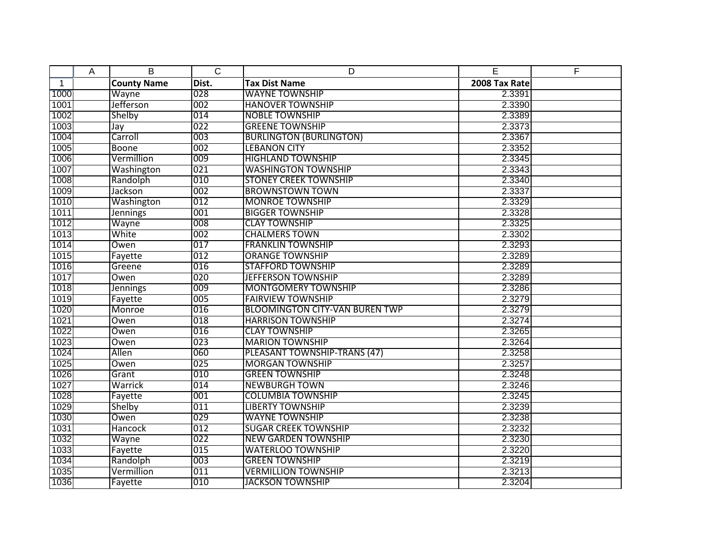|              | Α | B                  | $\overline{C}$ | D                                     | E             | F |
|--------------|---|--------------------|----------------|---------------------------------------|---------------|---|
| $\mathbf{1}$ |   | <b>County Name</b> | Dist.          | <b>Tax Dist Name</b>                  | 2008 Tax Rate |   |
| 1000         |   | Wayne              | 028            | <b>WAYNE TOWNSHIP</b>                 | 2.3391        |   |
| 1001         |   | Jefferson          | 002            | <b>HANOVER TOWNSHIP</b>               | 2.3390        |   |
| 1002         |   | Shelby             | 014            | <b>NOBLE TOWNSHIP</b>                 | 2.3389        |   |
| 1003         |   | Jay                | 022            | <b>GREENE TOWNSHIP</b>                | 2.3373        |   |
| 1004         |   | Carroll            | 003            | <b>BURLINGTON (BURLINGTON)</b>        | 2.3367        |   |
| 1005         |   | Boone              | 002            | <b>LEBANON CITY</b>                   | 2.3352        |   |
| 1006         |   | Vermillion         | 009            | <b>HIGHLAND TOWNSHIP</b>              | 2.3345        |   |
| 1007         |   | Washington         | 021            | <b>WASHINGTON TOWNSHIP</b>            | 2.3343        |   |
| 1008         |   | Randolph           | 010            | <b>STONEY CREEK TOWNSHIP</b>          | 2.3340        |   |
| 1009         |   | Jackson            | 002            | <b>BROWNSTOWN TOWN</b>                | 2.3337        |   |
| 1010         |   | Washington         | 012            | <b>MONROE TOWNSHIP</b>                | 2.3329        |   |
| 1011         |   | <b>Jennings</b>    | 001            | <b>BIGGER TOWNSHIP</b>                | 2.3328        |   |
| 1012         |   | Wayne              | 008            | <b>CLAY TOWNSHIP</b>                  | 2.3325        |   |
| 1013         |   | White              | 002            | <b>CHALMERS TOWN</b>                  | 2.3302        |   |
| 1014         |   | Owen               | 017            | <b>FRANKLIN TOWNSHIP</b>              | 2.3293        |   |
| 1015         |   | Fayette            | 012            | <b>ORANGE TOWNSHIP</b>                | 2.3289        |   |
| 1016         |   | Greene             | 016            | <b>STAFFORD TOWNSHIP</b>              | 2.3289        |   |
| 1017         |   | Owen               | 020            | <b>JEFFERSON TOWNSHIP</b>             | 2.3289        |   |
| 1018         |   | <b>Jennings</b>    | 009            | <b>MONTGOMERY TOWNSHIP</b>            | 2.3286        |   |
| 1019         |   | Fayette            | 005            | <b>FAIRVIEW TOWNSHIP</b>              | 2.3279        |   |
| 1020         |   | Monroe             | 016            | <b>BLOOMINGTON CITY-VAN BUREN TWP</b> | 2.3279        |   |
| 1021         |   | Owen               | $ 018\rangle$  | <b>HARRISON TOWNSHIP</b>              | 2.3274        |   |
| 1022         |   | Owen               | 016            | <b>CLAY TOWNSHIP</b>                  | 2.3265        |   |
| 1023         |   | Owen               | 023            | <b>MARION TOWNSHIP</b>                | 2.3264        |   |
| 1024         |   | Allen              | 060            | PLEASANT TOWNSHIP-TRANS (47)          | 2.3258        |   |
| 1025         |   | Owen               | 025            | <b>MORGAN TOWNSHIP</b>                | 2.3257        |   |
| 1026         |   | Grant              | 010            | <b>GREEN TOWNSHIP</b>                 | 2.3248        |   |
| 1027         |   | Warrick            | 014            | <b>NEWBURGH TOWN</b>                  | 2.3246        |   |
| 1028         |   | Fayette            | 001            | <b>COLUMBIA TOWNSHIP</b>              | 2.3245        |   |
| 1029         |   | Shelby             | 011            | <b>LIBERTY TOWNSHIP</b>               | 2.3239        |   |
| 1030         |   | Owen               | 029            | <b>WAYNE TOWNSHIP</b>                 | 2.3238        |   |
| 1031         |   | <b>Hancock</b>     | 012            | <b>SUGAR CREEK TOWNSHIP</b>           | 2.3232        |   |
| 1032         |   | Wayne              | 022            | <b>NEW GARDEN TOWNSHIP</b>            | 2.3230        |   |
| 1033         |   | Fayette            | 015            | <b>WATERLOO TOWNSHIP</b>              | 2.3220        |   |
| 1034         |   | Randolph           | 003            | <b>GREEN TOWNSHIP</b>                 | 2.3219        |   |
| 1035         |   | Vermillion         | 011            | <b>VERMILLION TOWNSHIP</b>            | 2.3213        |   |
| 1036         |   | Fayette            | 010            | <b>JACKSON TOWNSHIP</b>               | 2.3204        |   |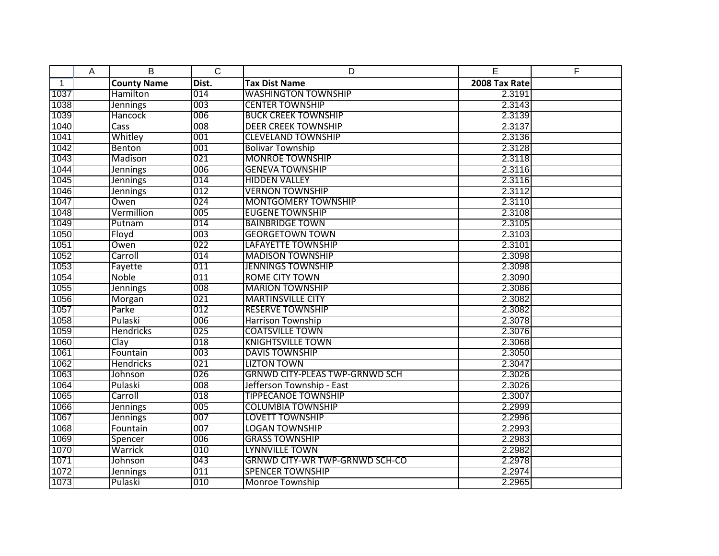|              | Α | B                  | $\overline{C}$ | D                                     | E             | F |
|--------------|---|--------------------|----------------|---------------------------------------|---------------|---|
| $\mathbf{1}$ |   | <b>County Name</b> | Dist.          | <b>Tax Dist Name</b>                  | 2008 Tax Rate |   |
| 1037         |   | Hamilton           | 014            | <b>WASHINGTON TOWNSHIP</b>            | 2.3191        |   |
| 1038         |   | <b>Jennings</b>    | 003            | <b>CENTER TOWNSHIP</b>                | 2.3143        |   |
| 1039         |   | <b>Hancock</b>     | 006            | <b>BUCK CREEK TOWNSHIP</b>            | 2.3139        |   |
| 1040         |   | <b>Cass</b>        | 008            | <b>DEER CREEK TOWNSHIP</b>            | 2.3137        |   |
| 1041         |   | Whitley            | 001            | <b>CLEVELAND TOWNSHIP</b>             | 2.3136        |   |
| 1042         |   | Benton             | 001            | <b>Bolivar Township</b>               | 2.3128        |   |
| 1043         |   | Madison            | 021            | <b>MONROE TOWNSHIP</b>                | 2.3118        |   |
| 1044         |   | <b>Jennings</b>    | 006            | <b>GENEVA TOWNSHIP</b>                | 2.3116        |   |
| 1045         |   | Jennings           | 014            | <b>HIDDEN VALLEY</b>                  | 2.3116        |   |
| 1046         |   | <b>Jennings</b>    | 012            | <b>VERNON TOWNSHIP</b>                | 2.3112        |   |
| 1047         |   | Owen               | 024            | <b>MONTGOMERY TOWNSHIP</b>            | 2.3110        |   |
| 1048         |   | Vermillion         | 005            | <b>EUGENE TOWNSHIP</b>                | 2.3108        |   |
| 1049         |   | Putnam             | 014            | <b>BAINBRIDGE TOWN</b>                | 2.3105        |   |
| 1050         |   | Floyd              | 003            | <b>GEORGETOWN TOWN</b>                | 2.3103        |   |
| 1051         |   | Owen               | 022            | <b>LAFAYETTE TOWNSHIP</b>             | 2.3101        |   |
| 1052         |   | Carroll            | 014            | <b>MADISON TOWNSHIP</b>               | 2.3098        |   |
| 1053         |   | Fayette            | 011            | <b>JENNINGS TOWNSHIP</b>              | 2.3098        |   |
| 1054         |   | <b>Noble</b>       | 011            | <b>ROME CITY TOWN</b>                 | 2.3090        |   |
| 1055         |   | <b>Jennings</b>    | 008            | <b>MARION TOWNSHIP</b>                | 2.3086        |   |
| 1056         |   | Morgan             | 021            | <b>MARTINSVILLE CITY</b>              | 2.3082        |   |
| 1057         |   | Parke              | 012            | <b>RESERVE TOWNSHIP</b>               | 2.3082        |   |
| 1058         |   | Pulaski            | 006            | <b>Harrison Township</b>              | 2.3078        |   |
| 1059         |   | Hendricks          | 025            | <b>COATSVILLE TOWN</b>                | 2.3076        |   |
| 1060         |   | Clay               | 018            | <b>KNIGHTSVILLE TOWN</b>              | 2.3068        |   |
| 1061         |   | Fountain           | 003            | <b>DAVIS TOWNSHIP</b>                 | 2.3050        |   |
| 1062         |   | <b>Hendricks</b>   | 021            | <b>LIZTON TOWN</b>                    | 2.3047        |   |
| 1063         |   | Johnson            | 026            | <b>GRNWD CITY-PLEAS TWP-GRNWD SCH</b> | 2.3026        |   |
| 1064         |   | Pulaski            | 008            | Jefferson Township - East             | 2.3026        |   |
| 1065         |   | Carroll            | 018            | <b>TIPPECANOE TOWNSHIP</b>            | 2.3007        |   |
| 1066         |   | <b>Jennings</b>    | 005            | <b>COLUMBIA TOWNSHIP</b>              | 2.2999        |   |
| 1067         |   | Jennings           | 007            | <b>LOVETT TOWNSHIP</b>                | 2.2996        |   |
| 1068         |   | Fountain           | 007            | LOGAN TOWNSHIP                        | 2.2993        |   |
| 1069         |   | Spencer            | 006            | <b>GRASS TOWNSHIP</b>                 | 2.2983        |   |
| 1070         |   | Warrick            | 010            | <b>LYNNVILLE TOWN</b>                 | 2.2982        |   |
| 1071         |   | Johnson            | 043            | <b>GRNWD CITY-WR TWP-GRNWD SCH-CO</b> | 2.2978        |   |
| 1072         |   | <b>Jennings</b>    | 011            | <b>SPENCER TOWNSHIP</b>               | 2.2974        |   |
| 1073         |   | Pulaski            | 010            | <b>Monroe Township</b>                | 2.2965        |   |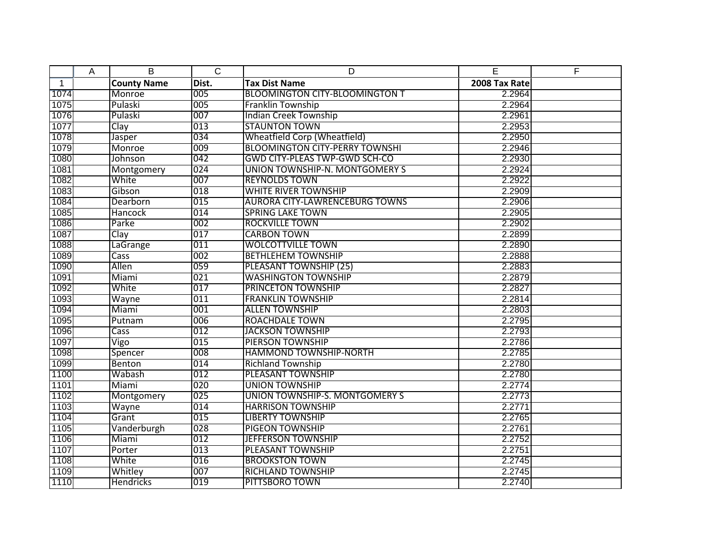|              | Α | B                  | $\overline{C}$ | D                                     | E             | F |
|--------------|---|--------------------|----------------|---------------------------------------|---------------|---|
| $\mathbf{1}$ |   | <b>County Name</b> | Dist.          | <b>Tax Dist Name</b>                  | 2008 Tax Rate |   |
| 1074         |   | Monroe             | 005            | <b>BLOOMINGTON CITY-BLOOMINGTON T</b> | 2.2964        |   |
| 1075         |   | Pulaski            | 005            | Franklin Township                     | 2.2964        |   |
| 1076         |   | Pulaski            | 007            | <b>Indian Creek Township</b>          | 2.2961        |   |
| 1077         |   | Clay               | 013            | <b>STAUNTON TOWN</b>                  | 2.2953        |   |
| 1078         |   | Jasper             | 034            | <b>Wheatfield Corp (Wheatfield)</b>   | 2.2950        |   |
| 1079         |   | Monroe             | 009            | <b>BLOOMINGTON CITY-PERRY TOWNSHI</b> | 2.2946        |   |
| 1080         |   | Johnson            | 042            | GWD CITY-PLEAS TWP-GWD SCH-CO         | 2.2930        |   |
| 1081         |   | Montgomery         | 024            | UNION TOWNSHIP-N. MONTGOMERY S        | 2.2924        |   |
| 1082         |   | White              | 007            | <b>REYNOLDS TOWN</b>                  | 2.2922        |   |
| 1083         |   | Gibson             | 018            | <b>WHITE RIVER TOWNSHIP</b>           | 2.2909        |   |
| 1084         |   | Dearborn           | 015            | <b>AURORA CITY-LAWRENCEBURG TOWNS</b> | 2.2906        |   |
| 1085         |   | <b>Hancock</b>     | 014            | <b>SPRING LAKE TOWN</b>               | 2.2905        |   |
| 1086         |   | Parke              | 002            | <b>ROCKVILLE TOWN</b>                 | 2.2902        |   |
| 1087         |   | Clay               | 017            | <b>CARBON TOWN</b>                    | 2.2899        |   |
| 1088         |   | LaGrange           | 011            | <b>WOLCOTTVILLE TOWN</b>              | 2.2890        |   |
| 1089         |   | Cass               | 002            | <b>BETHLEHEM TOWNSHIP</b>             | 2.2888        |   |
| 1090         |   | Allen              | 059            | PLEASANT TOWNSHIP (25)                | 2.2883        |   |
| 1091         |   | Miami              | 021            | <b>WASHINGTON TOWNSHIP</b>            | 2.2879        |   |
| 1092         |   | White              | 017            | <b>PRINCETON TOWNSHIP</b>             | 2.2827        |   |
| 1093         |   | Wayne              | 011            | <b>FRANKLIN TOWNSHIP</b>              | 2.2814        |   |
| 1094         |   | Miami              | 001            | <b>ALLEN TOWNSHIP</b>                 | 2.2803        |   |
| 1095         |   | Putnam             | 006            | <b>ROACHDALE TOWN</b>                 | 2.2795        |   |
| 1096         |   | Cass               | 012            | <b>JACKSON TOWNSHIP</b>               | 2.2793        |   |
| 1097         |   | Vigo               | 015            | <b>PIERSON TOWNSHIP</b>               | 2.2786        |   |
| 1098         |   | Spencer            | 008            | <b>HAMMOND TOWNSHIP-NORTH</b>         | 2.2785        |   |
| 1099         |   | Benton             | 014            | <b>Richland Township</b>              | 2.2780        |   |
| 1100         |   | Wabash             | 012            | PLEASANT TOWNSHIP                     | 2.2780        |   |
| 1101         |   | Miami              | 020            | <b>UNION TOWNSHIP</b>                 | 2.2774        |   |
| 1102         |   | Montgomery         | 025            | UNION TOWNSHIP-S. MONTGOMERY S        | 2.2773        |   |
| 1103         |   | Wayne              | 014            | <b>HARRISON TOWNSHIP</b>              | 2.2771        |   |
| 1104         |   | Grant              | 015            | <b>LIBERTY TOWNSHIP</b>               | 2.2765        |   |
| 1105         |   | Vanderburgh        | 028            | <b>PIGEON TOWNSHIP</b>                | 2.2761        |   |
| 1106         |   | Miami              | 012            | <b>JEFFERSON TOWNSHIP</b>             | 2.2752        |   |
| 1107         |   | Porter             | 013            | PLEASANT TOWNSHIP                     | 2.2751        |   |
| 1108         |   | White              | 016            | <b>BROOKSTON TOWN</b>                 | 2.2745        |   |
| 1109         |   | Whitley            | 007            | <b>RICHLAND TOWNSHIP</b>              | 2.2745        |   |
| 1110         |   | <b>Hendricks</b>   | 019            | PITTSBORO TOWN                        | 2.2740        |   |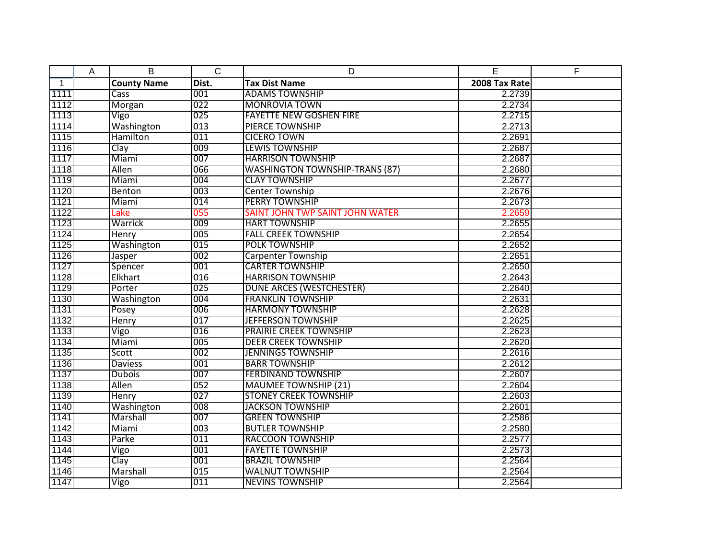|                | Α | B                  | $\overline{C}$ | D                                      | E             | E |
|----------------|---|--------------------|----------------|----------------------------------------|---------------|---|
| $\overline{1}$ |   | <b>County Name</b> | Dist.          | <b>Tax Dist Name</b>                   | 2008 Tax Rate |   |
| 1111           |   | Cass               | 001            | <b>ADAMS TOWNSHIP</b>                  | 2.2739        |   |
| 1112           |   | Morgan             | 022            | <b>MONROVIA TOWN</b>                   | 2.2734        |   |
| 1113           |   | Vigo               | 025            | <b>FAYETTE NEW GOSHEN FIRE</b>         | 2.2715        |   |
| 1114           |   | Washington         | 013            | <b>PIERCE TOWNSHIP</b>                 | 2.2713        |   |
| 1115           |   | Hamilton           | 011            | <b>CICERO TOWN</b>                     | 2.2691        |   |
| 1116           |   | Clay               | 009            | <b>LEWIS TOWNSHIP</b>                  | 2.2687        |   |
| 1117           |   | Miami              | 007            | <b>HARRISON TOWNSHIP</b>               | 2.2687        |   |
| 1118           |   | Allen              | 066            | <b>WASHINGTON TOWNSHIP-TRANS (87)</b>  | 2.2680        |   |
| 1119           |   | Miami              | 004            | <b>CLAY TOWNSHIP</b>                   | 2.2677        |   |
| 1120           |   | Benton             | 003            | <b>Center Township</b>                 | 2.2676        |   |
| 1121           |   | Miami              | 014            | <b>PERRY TOWNSHIP</b>                  | 2.2673        |   |
| 1122           |   | Lake               | 055            | <b>SAINT JOHN TWP SAINT JOHN WATER</b> | 2.2659        |   |
| 1123           |   | Warrick            | 009            | <b>HART TOWNSHIP</b>                   | 2.2655        |   |
| 1124           |   | <b>Henry</b>       | 005            | <b>FALL CREEK TOWNSHIP</b>             | 2.2654        |   |
| 1125           |   | Washington         | 015            | <b>POLK TOWNSHIP</b>                   | 2.2652        |   |
| 1126           |   | Jasper             | 002            | <b>Carpenter Township</b>              | 2.2651        |   |
| 1127           |   | Spencer            | 001            | <b>CARTER TOWNSHIP</b>                 | 2.2650        |   |
| 1128           |   | Elkhart            | 016            | <b>HARRISON TOWNSHIP</b>               | 2.2643        |   |
| 1129           |   | Porter             | 025            | DUNE ARCES (WESTCHESTER)               | 2.2640        |   |
| 1130           |   | Washington         | 004            | <b>FRANKLIN TOWNSHIP</b>               | 2.2631        |   |
| 1131           |   | Posey              | 006            | <b>HARMONY TOWNSHIP</b>                | 2.2628        |   |
| 1132           |   | <b>Henry</b>       | 017            | <b>JEFFERSON TOWNSHIP</b>              | 2.2625        |   |
| 1133           |   | Vigo               | 016            | <b>PRAIRIE CREEK TOWNSHIP</b>          | 2.2623        |   |
| 1134           |   | Miami              | 005            | <b>DEER CREEK TOWNSHIP</b>             | 2.2620        |   |
| 1135           |   | Scott              | 002            | <b>JENNINGS TOWNSHIP</b>               | 2.2616        |   |
| 1136           |   | <b>Daviess</b>     | 001            | <b>BARR TOWNSHIP</b>                   | 2.2612        |   |
| 1137           |   | <b>Dubois</b>      | 007            | <b>FERDINAND TOWNSHIP</b>              | 2.2607        |   |
| 1138           |   | Allen              | 052            | <b>MAUMEE TOWNSHIP (21)</b>            | 2.2604        |   |
| 1139           |   | Henry              | 027            | <b>STONEY CREEK TOWNSHIP</b>           | 2.2603        |   |
| 1140           |   | Washington         | 008            | <b>JACKSON TOWNSHIP</b>                | 2.2601        |   |
| 1141           |   | Marshall           | 007            | <b>GREEN TOWNSHIP</b>                  | 2.2586        |   |
| 1142           |   | Miami              | 003            | <b>BUTLER TOWNSHIP</b>                 | 2.2580        |   |
| 1143           |   | Parke              | 011            | <b>RACCOON TOWNSHIP</b>                | 2.2577        |   |
| 1144           |   | Vigo               | 001            | <b>FAYETTE TOWNSHIP</b>                | 2.2573        |   |
| 1145           |   | Clay               | 001            | <b>BRAZIL TOWNSHIP</b>                 | 2.2564        |   |
| 1146           |   | Marshall           | 015            | <b>WALNUT TOWNSHIP</b>                 | 2.2564        |   |
| 1147           |   | Vigo               | 011            | <b>NEVINS TOWNSHIP</b>                 | 2.2564        |   |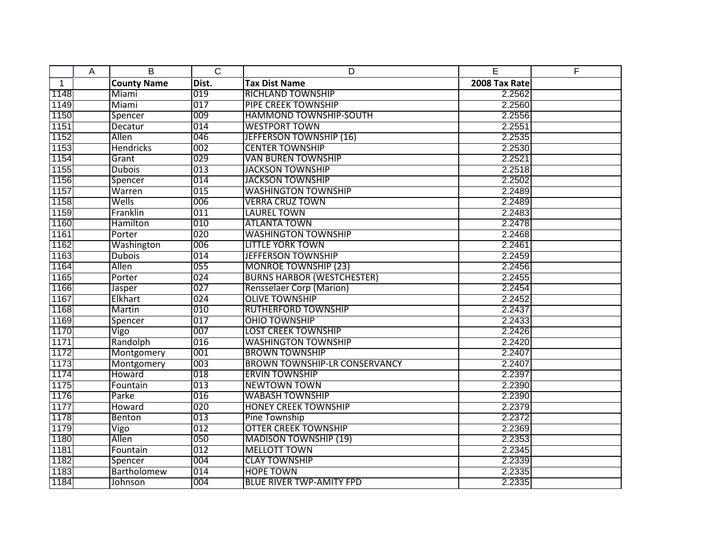|              | A | B                  | $\overline{C}$ | D                                    | E             | F |
|--------------|---|--------------------|----------------|--------------------------------------|---------------|---|
| $\mathbf{1}$ |   | <b>County Name</b> | Dist.          | <b>Tax Dist Name</b>                 | 2008 Tax Rate |   |
| 1148         |   | Miami              | 019            | <b>RICHLAND TOWNSHIP</b>             | 2.2562        |   |
| 1149         |   | Miami              | 017            | <b>PIPE CREEK TOWNSHIP</b>           | 2.2560        |   |
| 1150         |   | Spencer            | 009            | <b>HAMMOND TOWNSHIP-SOUTH</b>        | 2.2556        |   |
| 1151         |   | Decatur            | 014            | <b>WESTPORT TOWN</b>                 | 2.2551        |   |
| 1152         |   | Allen              | 046            | <b>JEFFERSON TOWNSHIP (16)</b>       | 2.2535        |   |
| 1153         |   | <b>Hendricks</b>   | 002            | <b>CENTER TOWNSHIP</b>               | 2.2530        |   |
| 1154         |   | Grant              | 029            | <b>VAN BUREN TOWNSHIP</b>            | 2.2521        |   |
| 1155         |   | <b>Dubois</b>      | 013            | <b>JACKSON TOWNSHIP</b>              | 2.2518        |   |
| 1156         |   | Spencer            | 014            | <b>JACKSON TOWNSHIP</b>              | 2.2502        |   |
| 1157         |   | Warren             | 015            | <b>WASHINGTON TOWNSHIP</b>           | 2.2489        |   |
| 1158         |   | Wells              | 006            | <b>VERRA CRUZ TOWN</b>               | 2.2489        |   |
| 1159         |   | Franklin           | 011            | <b>LAUREL TOWN</b>                   | 2.2483        |   |
| 1160         |   | Hamilton           | 010            | <b>ATLANTA TOWN</b>                  | 2.2478        |   |
| 1161         |   | Porter             | 020            | <b>WASHINGTON TOWNSHIP</b>           | 2.2468        |   |
| 1162         |   | Washington         | 006            | <b>LITTLE YORK TOWN</b>              | 2.2461        |   |
| 1163         |   | <b>Dubois</b>      | 014            | <b>JEFFERSON TOWNSHIP</b>            | 2.2459        |   |
| 1164         |   | Allen              | 055            | <b>MONROE TOWNSHIP (23)</b>          | 2.2456        |   |
| 1165         |   | Porter             | 024            | <b>BURNS HARBOR (WESTCHESTER)</b>    | 2.2455        |   |
| 1166         |   | Jasper             | 027            | <b>Rensselaer Corp (Marion)</b>      | 2.2454        |   |
| 1167         |   | Elkhart            | 024            | <b>OLIVE TOWNSHIP</b>                | 2.2452        |   |
| 1168         |   | Martin             | 010            | <b>RUTHERFORD TOWNSHIP</b>           | 2.2437        |   |
| 1169         |   | Spencer            | 017            | <b>OHIO TOWNSHIP</b>                 | 2.2433        |   |
| 1170         |   | Vigo               | 007            | <b>LOST CREEK TOWNSHIP</b>           | 2.2426        |   |
| 1171         |   | Randolph           | 016            | <b>WASHINGTON TOWNSHIP</b>           | 2.2420        |   |
| 1172         |   | Montgomery         | 001            | <b>BROWN TOWNSHIP</b>                | 2.2407        |   |
| 1173         |   | Montgomery         | 003            | <b>BROWN TOWNSHIP-LR CONSERVANCY</b> | 2.2407        |   |
| 1174         |   | Howard             | 018            | <b>ERVIN TOWNSHIP</b>                | 2.2397        |   |
| 1175         |   | Fountain           | 013            | <b>NEWTOWN TOWN</b>                  | 2.2390        |   |
| 1176         |   | Parke              | 016            | <b>WABASH TOWNSHIP</b>               | 2.2390        |   |
| 1177         |   | Howard             | 020            | <b>HONEY CREEK TOWNSHIP</b>          | 2.2379        |   |
| 1178         |   | Benton             | 013            | Pine Township                        | 2.2372        |   |
| 1179         |   | Vigo               | 012            | <b>OTTER CREEK TOWNSHIP</b>          | 2.2369        |   |
| 1180         |   | Allen              | 050            | <b>MADISON TOWNSHIP (19)</b>         | 2.2353        |   |
| 1181         |   | Fountain           | 012            | <b>MELLOTT TOWN</b>                  | 2.2345        |   |
| 1182         |   | Spencer            | 004            | <b>CLAY TOWNSHIP</b>                 | 2.2339        |   |
| 1183         |   | Bartholomew        | 014            | <b>HOPE TOWN</b>                     | 2.2335        |   |
| 1184         |   | Johnson            | 004            | <b>BLUE RIVER TWP-AMITY FPD</b>      | 2.2335        |   |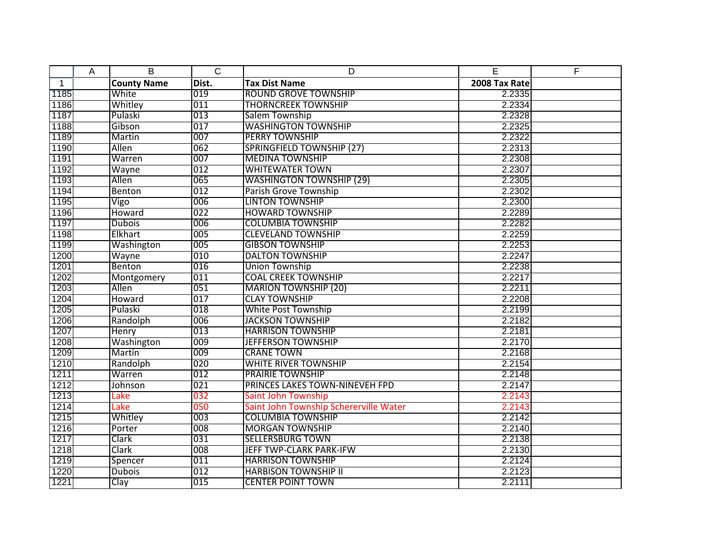|              | A | B                  | $\overline{C}$ | D                                      | E             | F |
|--------------|---|--------------------|----------------|----------------------------------------|---------------|---|
| $\mathbf{1}$ |   | <b>County Name</b> | Dist.          | <b>Tax Dist Name</b>                   | 2008 Tax Rate |   |
| 1185         |   | White              | 019            | <b>ROUND GROVE TOWNSHIP</b>            | 2.2335        |   |
| 1186         |   | Whitley            | 011            | <b>THORNCREEK TOWNSHIP</b>             | 2.2334        |   |
| 1187         |   | Pulaski            | 013            | Salem Township                         | 2.2328        |   |
| 1188         |   | Gibson             | 017            | <b>WASHINGTON TOWNSHIP</b>             | 2.2325        |   |
| 1189         |   | Martin             | 007            | <b>PERRY TOWNSHIP</b>                  | 2.2322        |   |
| 1190         |   | Allen              | 062            | <b>SPRINGFIELD TOWNSHIP (27)</b>       | 2.2313        |   |
| 1191         |   | Warren             | 007            | <b>MEDINA TOWNSHIP</b>                 | 2.2308        |   |
| 1192         |   | Wayne              | 012            | <b>WHITEWATER TOWN</b>                 | 2.2307        |   |
| 1193         |   | Allen              | 065            | <b>WASHINGTON TOWNSHIP (29)</b>        | 2.2305        |   |
| 1194         |   | Benton             | 012            | Parish Grove Township                  | 2.2302        |   |
| 1195         |   | Vigo               | 006            | <b>LINTON TOWNSHIP</b>                 | 2.2300        |   |
| 1196         |   | Howard             | 022            | <b>HOWARD TOWNSHIP</b>                 | 2.2289        |   |
| 1197         |   | <b>Dubois</b>      | 006            | <b>COLUMBIA TOWNSHIP</b>               | 2.2282        |   |
| 1198         |   | Elkhart            | 005            | <b>CLEVELAND TOWNSHIP</b>              | 2.2259        |   |
| 1199         |   | Washington         | 005            | <b>GIBSON TOWNSHIP</b>                 | 2.2253        |   |
| 1200         |   | Wayne              | 010            | <b>DALTON TOWNSHIP</b>                 | 2.2247        |   |
| 1201         |   | Benton             | 016            | <b>Union Township</b>                  | 2.2238        |   |
| 1202         |   | Montgomery         | 011            | <b>COAL CREEK TOWNSHIP</b>             | 2.2217        |   |
| 1203         |   | Allen              | 051            | <b>MARION TOWNSHIP (20)</b>            | 2.2211        |   |
| 1204         |   | Howard             | 017            | <b>CLAY TOWNSHIP</b>                   | 2.2208        |   |
| 1205         |   | Pulaski            | 018            | <b>White Post Township</b>             | 2.2199        |   |
| 1206         |   | Randolph           | 006            | <b>JACKSON TOWNSHIP</b>                | 2.2182        |   |
| 1207         |   | Henry              | 013            | <b>HARRISON TOWNSHIP</b>               | 2.2181        |   |
| 1208         |   | Washington         | 009            | <b>JEFFERSON TOWNSHIP</b>              | 2.2170        |   |
| 1209         |   | Martin             | 009            | <b>CRANE TOWN</b>                      | 2.2168        |   |
| 1210         |   | Randolph           | 020            | <b>WHITE RIVER TOWNSHIP</b>            | 2.2154        |   |
| 1211         |   | Warren             | 012            | <b>PRAIRIE TOWNSHIP</b>                | 2.2148        |   |
| 1212         |   | Johnson            | 021            | PRINCES LAKES TOWN-NINEVEH FPD         | 2.2147        |   |
| 1213         |   | Lake               | 032            | Saint John Township                    | 2.2143        |   |
| 1214         |   | Lake               | 050            | Saint John Township Schererville Water | 2.2143        |   |
| 1215         |   | Whitley            | 003            | <b>COLUMBIA TOWNSHIP</b>               | 2.2142        |   |
| 1216         |   | Porter             | 008            | <b>MORGAN TOWNSHIP</b>                 | 2.2140        |   |
| 1217         |   | Clark              | 031            | <b>SELLERSBURG TOWN</b>                | 2.2138        |   |
| 1218         |   | Clark              | 008            | JEFF TWP-CLARK PARK-IFW                | 2.2130        |   |
| 1219         |   | Spencer            | 011            | <b>HARRISON TOWNSHIP</b>               | 2.2124        |   |
| 1220         |   | <b>Dubois</b>      | 012            | <b>HARBISON TOWNSHIP II</b>            | 2.2123        |   |
| 1221         |   | Clay               | 015            | <b>CENTER POINT TOWN</b>               | 2.2111        |   |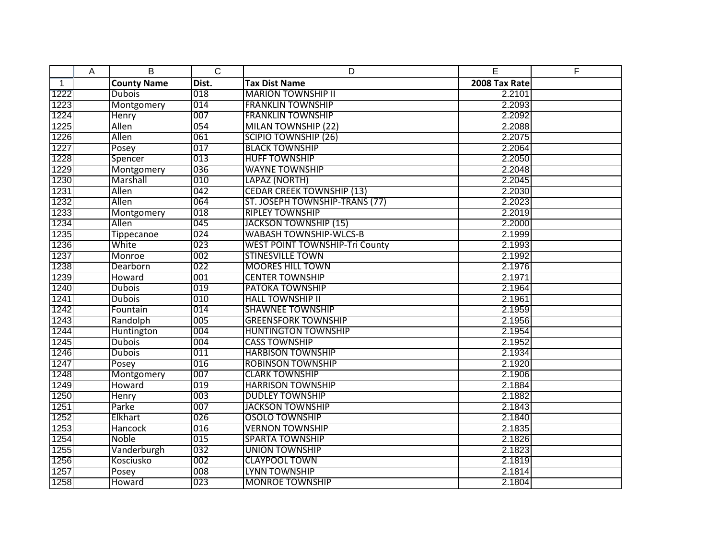|              | A | B                  | $\overline{C}$ | D                                     | E             | F |
|--------------|---|--------------------|----------------|---------------------------------------|---------------|---|
| $\mathbf{1}$ |   | <b>County Name</b> | Dist.          | <b>Tax Dist Name</b>                  | 2008 Tax Rate |   |
| 1222         |   | <b>Dubois</b>      | 018            | <b>MARION TOWNSHIP II</b>             | 2.2101        |   |
| 1223         |   | Montgomery         | 014            | <b>FRANKLIN TOWNSHIP</b>              | 2.2093        |   |
| 1224         |   | Henry              | 007            | <b>FRANKLIN TOWNSHIP</b>              | 2.2092        |   |
| 1225         |   | Allen              | 054            | <b>MILAN TOWNSHIP (22)</b>            | 2.2088        |   |
| 1226         |   | Allen              | 061            | <b>SCIPIO TOWNSHIP (26)</b>           | 2.2075        |   |
| 1227         |   | Posey              | 017            | <b>BLACK TOWNSHIP</b>                 | 2.2064        |   |
| 1228         |   | Spencer            | 013            | <b>HUFF TOWNSHIP</b>                  | 2.2050        |   |
| 1229         |   | Montgomery         | 036            | <b>WAYNE TOWNSHIP</b>                 | 2.2048        |   |
| 1230         |   | Marshall           | 010            | LAPAZ (NORTH)                         | 2.2045        |   |
| 1231         |   | Allen              | 042            | <b>CEDAR CREEK TOWNSHIP (13)</b>      | 2.2030        |   |
| 1232         |   | Allen              | 064            | ST. JOSEPH TOWNSHIP-TRANS (77)        | 2.2023        |   |
| 1233         |   | Montgomery         | 018            | <b>RIPLEY TOWNSHIP</b>                | 2.2019        |   |
| 1234         |   | Allen              | 045            | <b>JACKSON TOWNSHIP (15)</b>          | 2.2000        |   |
| 1235         |   | <b>Tippecanoe</b>  | 024            | <b>WABASH TOWNSHIP-WLCS-B</b>         | 2.1999        |   |
| 1236         |   | White              | 023            | <b>WEST POINT TOWNSHIP-Tri County</b> | 2.1993        |   |
| 1237         |   | Monroe             | 002            | <b>STINESVILLE TOWN</b>               | 2.1992        |   |
| 1238         |   | Dearborn           | 022            | <b>MOORES HILL TOWN</b>               | 2.1976        |   |
| 1239         |   | Howard             | 001            | <b>CENTER TOWNSHIP</b>                | 2.1971        |   |
| 1240         |   | <b>Dubois</b>      | 019            | <b>PATOKA TOWNSHIP</b>                | 2.1964        |   |
| 1241         |   | <b>Dubois</b>      | 010            | <b>HALL TOWNSHIP II</b>               | 2.1961        |   |
| 1242         |   | Fountain           | 014            | <b>SHAWNEE TOWNSHIP</b>               | 2.1959        |   |
| 1243         |   | Randolph           | 005            | <b>GREENSFORK TOWNSHIP</b>            | 2.1956        |   |
| 1244         |   | Huntington         | 004            | <b>HUNTINGTON TOWNSHIP</b>            | 2.1954        |   |
| 1245         |   | <b>Dubois</b>      | 004            | <b>CASS TOWNSHIP</b>                  | 2.1952        |   |
| 1246         |   | <b>Dubois</b>      | 011            | <b>HARBISON TOWNSHIP</b>              | 2.1934        |   |
| 1247         |   | Posey              | 016            | <b>ROBINSON TOWNSHIP</b>              | 2.1920        |   |
| 1248         |   | Montgomery         | 007            | <b>CLARK TOWNSHIP</b>                 | 2.1906        |   |
| 1249         |   | Howard             | 019            | <b>HARRISON TOWNSHIP</b>              | 2.1884        |   |
| 1250         |   | Henry              | 003            | <b>DUDLEY TOWNSHIP</b>                | 2.1882        |   |
| 1251         |   | Parke              | 007            | <b>JACKSON TOWNSHIP</b>               | 2.1843        |   |
| 1252         |   | Elkhart            | 026            | <b>OSOLO TOWNSHIP</b>                 | 2.1840        |   |
| 1253         |   | <b>Hancock</b>     | 016            | <b>VERNON TOWNSHIP</b>                | 2.1835        |   |
| 1254         |   | Noble              | 015            | <b>SPARTA TOWNSHIP</b>                | 2.1826        |   |
| 1255         |   | Vanderburgh        | 032            | <b>UNION TOWNSHIP</b>                 | 2.1823        |   |
| 1256         |   | Kosciusko          | 002            | <b>CLAYPOOL TOWN</b>                  | 2.1819        |   |
| 1257         |   | Posey              | 008            | <b>LYNN TOWNSHIP</b>                  | 2.1814        |   |
| 1258         |   | <b>Howard</b>      | 023            | <b>MONROE TOWNSHIP</b>                | 2.1804        |   |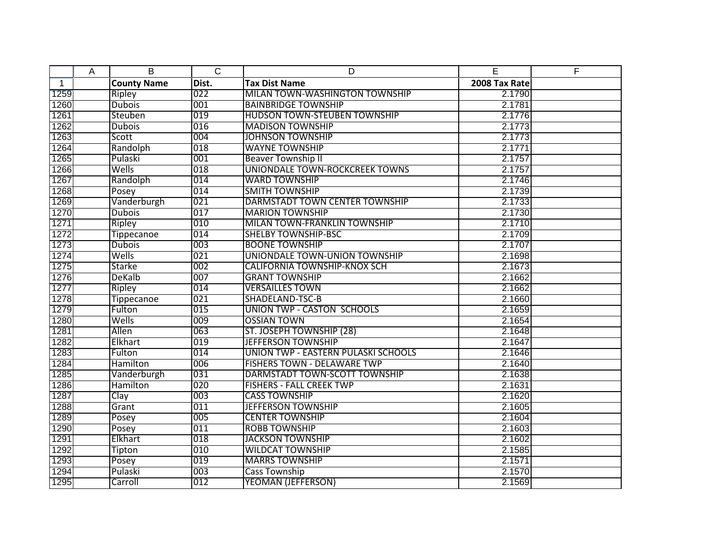|              | A | B                  | $\overline{C}$ | D                                   | E             | F |
|--------------|---|--------------------|----------------|-------------------------------------|---------------|---|
| $\mathbf{1}$ |   | <b>County Name</b> | Dist.          | <b>Tax Dist Name</b>                | 2008 Tax Rate |   |
| 1259         |   | Ripley             | 022            | MILAN TOWN-WASHINGTON TOWNSHIP      | 2.1790        |   |
| 1260         |   | <b>Dubois</b>      | 001            | <b>BAINBRIDGE TOWNSHIP</b>          | 2.1781        |   |
| 1261         |   | Steuben            | 019            | <b>HUDSON TOWN-STEUBEN TOWNSHIP</b> | 2.1776        |   |
| 1262         |   | <b>Dubois</b>      | 016            | <b>MADISON TOWNSHIP</b>             | 2.1773        |   |
| 1263         |   | Scott              | 004            | <b>JOHNSON TOWNSHIP</b>             | 2.1773        |   |
| 1264         |   | Randolph           | 018            | <b>WAYNE TOWNSHIP</b>               | 2.1771        |   |
| 1265         |   | Pulaski            | 001            | <b>Beaver Township II</b>           | 2.1757        |   |
| 1266         |   | Wells              | 018            | UNIONDALE TOWN-ROCKCREEK TOWNS      | 2.1757        |   |
| 1267         |   | Randolph           | 014            | <b>WARD TOWNSHIP</b>                | 2.1746        |   |
| 1268         |   | Posey              | 014            | <b>SMITH TOWNSHIP</b>               | 2.1739        |   |
| 1269         |   | Vanderburgh        | 021            | DARMSTADT TOWN CENTER TOWNSHIP      | 2.1733        |   |
| 1270         |   | <b>Dubois</b>      | 017            | <b>MARION TOWNSHIP</b>              | 2.1730        |   |
| 1271         |   | Ripley             | 010            | MILAN TOWN-FRANKLIN TOWNSHIP        | 2.1710        |   |
| 1272         |   | <b>Tippecanoe</b>  | 014            | <b>SHELBY TOWNSHIP-BSC</b>          | 2.1709        |   |
| 1273         |   | <b>Dubois</b>      | 003            | <b>BOONE TOWNSHIP</b>               | 2.1707        |   |
| 1274         |   | Wells              | 021            | UNIONDALE TOWN-UNION TOWNSHIP       | 2.1698        |   |
| 1275         |   | Starke             | 002            | <b>CALIFORNIA TOWNSHIP-KNOX SCH</b> | 2.1673        |   |
| 1276         |   | DeKalb             | 007            | <b>GRANT TOWNSHIP</b>               | 2.1662        |   |
| 1277         |   | Ripley             | 014            | <b>VERSAILLES TOWN</b>              | 2.1662        |   |
| 1278         |   | Tippecanoe         | 021            | SHADELAND-TSC-B                     | 2.1660        |   |
| 1279         |   | Fulton             | 015            | <b>UNION TWP - CASTON SCHOOLS</b>   | 2.1659        |   |
| 1280         |   | Wells              | 009            | <b>OSSIAN TOWN</b>                  | 2.1654        |   |
| 1281         |   | Allen              | 063            | ST. JOSEPH TOWNSHIP (28)            | 2.1648        |   |
| 1282         |   | Elkhart            | 019            | <b>JEFFERSON TOWNSHIP</b>           | 2.1647        |   |
| 1283         |   | Fulton             | 014            | UNION TWP - EASTERN PULASKI SCHOOLS | 2.1646        |   |
| 1284         |   | Hamilton           | 006            | <b>FISHERS TOWN - DELAWARE TWP</b>  | 2.1640        |   |
| 1285         |   | Vanderburgh        | 031            | DARMSTADT TOWN-SCOTT TOWNSHIP       | 2.1638        |   |
| 1286         |   | Hamilton           | 020            | <b>FISHERS - FALL CREEK TWP</b>     | 2.1631        |   |
| 1287         |   | Clay               | 003            | <b>CASS TOWNSHIP</b>                | 2.1620        |   |
| 1288         |   | Grant              | 011            | <b>JEFFERSON TOWNSHIP</b>           | 2.1605        |   |
| 1289         |   | Posey              | 005            | <b>CENTER TOWNSHIP</b>              | 2.1604        |   |
| 1290         |   | Posey              | 011            | <b>ROBB TOWNSHIP</b>                | 2.1603        |   |
| 1291         |   | Elkhart            | 018            | <b>JACKSON TOWNSHIP</b>             | 2.1602        |   |
| 1292         |   | Tipton             | 010            | <b>WILDCAT TOWNSHIP</b>             | 2.1585        |   |
| 1293         |   | Posey              | 019            | <b>MARRS TOWNSHIP</b>               | 2.1571        |   |
| 1294         |   | Pulaski            | 003            | <b>Cass Township</b>                | 2.1570        |   |
| 1295         |   | Carroll            | 012            | <b>YEOMAN (JEFFERSON)</b>           | 2.1569        |   |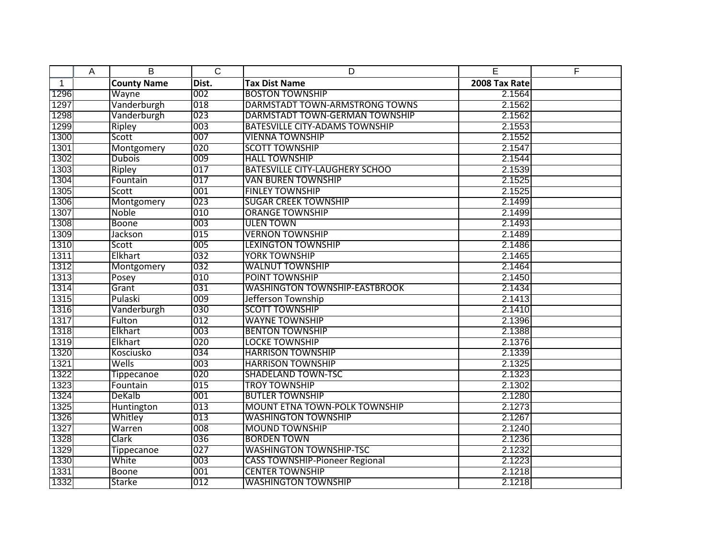|              | A | B                  | $\overline{C}$ | D                                     | E             | F |
|--------------|---|--------------------|----------------|---------------------------------------|---------------|---|
| $\mathbf{1}$ |   | <b>County Name</b> | Dist.          | <b>Tax Dist Name</b>                  | 2008 Tax Rate |   |
| 1296         |   | Wayne              | 002            | <b>BOSTON TOWNSHIP</b>                | 2.1564        |   |
| 1297         |   | Vanderburgh        | 018            | DARMSTADT TOWN-ARMSTRONG TOWNS        | 2.1562        |   |
| 1298         |   | Vanderburgh        | 023            | DARMSTADT TOWN-GERMAN TOWNSHIP        | 2.1562        |   |
| 1299         |   | Ripley             | 003            | <b>BATESVILLE CITY-ADAMS TOWNSHIP</b> | 2.1553        |   |
| 1300         |   | Scott              | 007            | <b>VIENNA TOWNSHIP</b>                | 2.1552        |   |
| 1301         |   | Montgomery         | 020            | <b>SCOTT TOWNSHIP</b>                 | 2.1547        |   |
| 1302         |   | <b>Dubois</b>      | 009            | <b>HALL TOWNSHIP</b>                  | 2.1544        |   |
| 1303         |   | Ripley             | 017            | <b>BATESVILLE CITY-LAUGHERY SCHOO</b> | 2.1539        |   |
| 1304         |   | Fountain           | 017            | VAN BUREN TOWNSHIP                    | 2.1525        |   |
| 1305         |   | Scott              | 001            | <b>FINLEY TOWNSHIP</b>                | 2.1525        |   |
| 1306         |   | Montgomery         | 023            | <b>SUGAR CREEK TOWNSHIP</b>           | 2.1499        |   |
| 1307         |   | <b>Noble</b>       | 010            | <b>ORANGE TOWNSHIP</b>                | 2.1499        |   |
| 1308         |   | Boone              | 003            | <b>ULEN TOWN</b>                      | 2.1493        |   |
| 1309         |   | Jackson            | 015            | <b>VERNON TOWNSHIP</b>                | 2.1489        |   |
| 1310         |   | Scott              | 005            | <b>LEXINGTON TOWNSHIP</b>             | 2.1486        |   |
| 1311         |   | Elkhart            | 032            | <b>YORK TOWNSHIP</b>                  | 2.1465        |   |
| 1312         |   | Montgomery         | 032            | <b>WALNUT TOWNSHIP</b>                | 2.1464        |   |
| 1313         |   | Posey              | 010            | POINT TOWNSHIP                        | 2.1450        |   |
| 1314         |   | Grant              | 031            | <b>WASHINGTON TOWNSHIP-EASTBROOK</b>  | 2.1434        |   |
| 1315         |   | Pulaski            | 009            | Jefferson Township                    | 2.1413        |   |
| 1316         |   | Vanderburgh        | 030            | <b>SCOTT TOWNSHIP</b>                 | 2.1410        |   |
| 1317         |   | Fulton             | 012            | <b>WAYNE TOWNSHIP</b>                 | 2.1396        |   |
| 1318         |   | Elkhart            | 003            | <b>BENTON TOWNSHIP</b>                | 2.1388        |   |
| 1319         |   | Elkhart            | 020            | <b>LOCKE TOWNSHIP</b>                 | 2.1376        |   |
| 1320         |   | Kosciusko          | 034            | <b>HARRISON TOWNSHIP</b>              | 2.1339        |   |
| 1321         |   | Wells              | 003            | <b>HARRISON TOWNSHIP</b>              | 2.1325        |   |
| 1322         |   | <b>Tippecanoe</b>  | 020            | <b>SHADELAND TOWN-TSC</b>             | 2.1323        |   |
| 1323         |   | Fountain           | 015            | <b>TROY TOWNSHIP</b>                  | 2.1302        |   |
| 1324         |   | DeKalb             | 001            | <b>BUTLER TOWNSHIP</b>                | 2.1280        |   |
| 1325         |   | Huntington         | 013            | <b>MOUNT ETNA TOWN-POLK TOWNSHIP</b>  | 2.1273        |   |
| 1326         |   | Whitley            | 013            | <b>WASHINGTON TOWNSHIP</b>            | 2.1267        |   |
| 1327         |   | Warren             | 008            | <b>MOUND TOWNSHIP</b>                 | 2.1240        |   |
| 1328         |   | Clark              | 036            | <b>BORDEN TOWN</b>                    | 2.1236        |   |
| 1329         |   | Tippecanoe         | 027            | <b>WASHINGTON TOWNSHIP-TSC</b>        | 2.1232        |   |
| 1330         |   | White              | 003            | <b>CASS TOWNSHIP-Pioneer Regional</b> | 2.1223        |   |
| 1331         |   | <b>Boone</b>       | 001            | <b>CENTER TOWNSHIP</b>                | 2.1218        |   |
| 1332         |   | <b>Starke</b>      | 012            | <b>WASHINGTON TOWNSHIP</b>            | 2.1218        |   |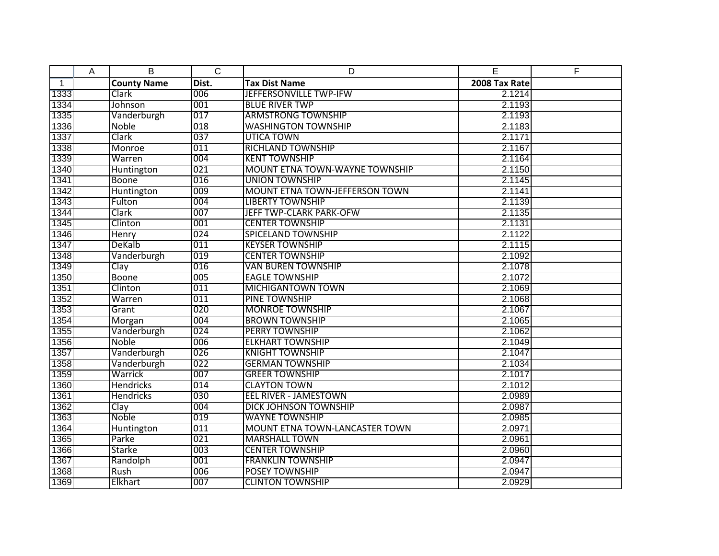|              | A | B                  | $\overline{C}$ | D                                     | E             | F |
|--------------|---|--------------------|----------------|---------------------------------------|---------------|---|
| $\mathbf{1}$ |   | <b>County Name</b> | Dist.          | <b>Tax Dist Name</b>                  | 2008 Tax Rate |   |
| 1333         |   | Clark              | 006            | JEFFERSONVILLE TWP-IFW                | 2.1214        |   |
| 1334         |   | Johnson            | 001            | <b>BLUE RIVER TWP</b>                 | 2.1193        |   |
| 1335         |   | Vanderburgh        | 017            | <b>ARMSTRONG TOWNSHIP</b>             | 2.1193        |   |
| 1336         |   | Noble              | 018            | <b>WASHINGTON TOWNSHIP</b>            | 2.1183        |   |
| 1337         |   | Clark              | 037            | <b>UTICA TOWN</b>                     | 2.1171        |   |
| 1338         |   | Monroe             | 011            | <b>RICHLAND TOWNSHIP</b>              | 2.1167        |   |
| 1339         |   | Warren             | 004            | <b>KENT TOWNSHIP</b>                  | 2.1164        |   |
| 1340         |   | <b>Huntington</b>  | 021            | <b>MOUNT ETNA TOWN-WAYNE TOWNSHIP</b> | 2.1150        |   |
| 1341         |   | Boone              | 016            | <b>UNION TOWNSHIP</b>                 | 2.1145        |   |
| 1342         |   | Huntington         | 009            | <b>MOUNT ETNA TOWN-JEFFERSON TOWN</b> | 2.1141        |   |
| 1343         |   | Fulton             | 004            | <b>LIBERTY TOWNSHIP</b>               | 2.1139        |   |
| 1344         |   | Clark              | 007            | JEFF TWP-CLARK PARK-OFW               | 2.1135        |   |
| 1345         |   | Clinton            | 001            | <b>CENTER TOWNSHIP</b>                | 2.1131        |   |
| 1346         |   | <b>Henry</b>       | 024            | <b>SPICELAND TOWNSHIP</b>             | 2.1122        |   |
| 1347         |   | <b>DeKalb</b>      | 011            | <b>KEYSER TOWNSHIP</b>                | 2.1115        |   |
| 1348         |   | Vanderburgh        | 019            | <b>CENTER TOWNSHIP</b>                | 2.1092        |   |
| 1349         |   | Clay               | 016            | <b>VAN BUREN TOWNSHIP</b>             | 2.1078        |   |
| 1350         |   | <b>Boone</b>       | 005            | <b>EAGLE TOWNSHIP</b>                 | 2.1072        |   |
| 1351         |   | Clinton            | 011            | <b>MICHIGANTOWN TOWN</b>              | 2.1069        |   |
| 1352         |   | Warren             | 011            | PINE TOWNSHIP                         | 2.1068        |   |
| 1353         |   | Grant              | 020            | <b>MONROE TOWNSHIP</b>                | 2.1067        |   |
| 1354         |   | Morgan             | 004            | <b>BROWN TOWNSHIP</b>                 | 2.1065        |   |
| 1355         |   | Vanderburgh        | 024            | <b>PERRY TOWNSHIP</b>                 | 2.1062        |   |
| 1356         |   | Noble              | 006            | <b>ELKHART TOWNSHIP</b>               | 2.1049        |   |
| 1357         |   | Vanderburgh        | 026            | <b>KNIGHT TOWNSHIP</b>                | 2.1047        |   |
| 1358         |   | Vanderburgh        | 022            | <b>GERMAN TOWNSHIP</b>                | 2.1034        |   |
| 1359         |   | Warrick            | 007            | <b>GREER TOWNSHIP</b>                 | 2.1017        |   |
| 1360         |   | <b>Hendricks</b>   | 014            | <b>CLAYTON TOWN</b>                   | 2.1012        |   |
| 1361         |   | Hendricks          | 030            | <b>EEL RIVER - JAMESTOWN</b>          | 2.0989        |   |
| 1362         |   | Clay               | 004            | <b>DICK JOHNSON TOWNSHIP</b>          | 2.0987        |   |
| 1363         |   | Noble              | 019            | <b>WAYNE TOWNSHIP</b>                 | 2.0985        |   |
| 1364         |   | Huntington         | 011            | <b>MOUNT ETNA TOWN-LANCASTER TOWN</b> | 2.0971        |   |
| 1365         |   | Parke              | 021            | <b>MARSHALL TOWN</b>                  | 2.0961        |   |
| 1366         |   | <b>Starke</b>      | 003            | <b>CENTER TOWNSHIP</b>                | 2.0960        |   |
| 1367         |   | Randolph           | 001            | <b>FRANKLIN TOWNSHIP</b>              | 2.0947        |   |
| 1368         |   | Rush               | 006            | <b>POSEY TOWNSHIP</b>                 | 2.0947        |   |
| 1369         |   | Elkhart            | 007            | <b>CLINTON TOWNSHIP</b>               | 2.0929        |   |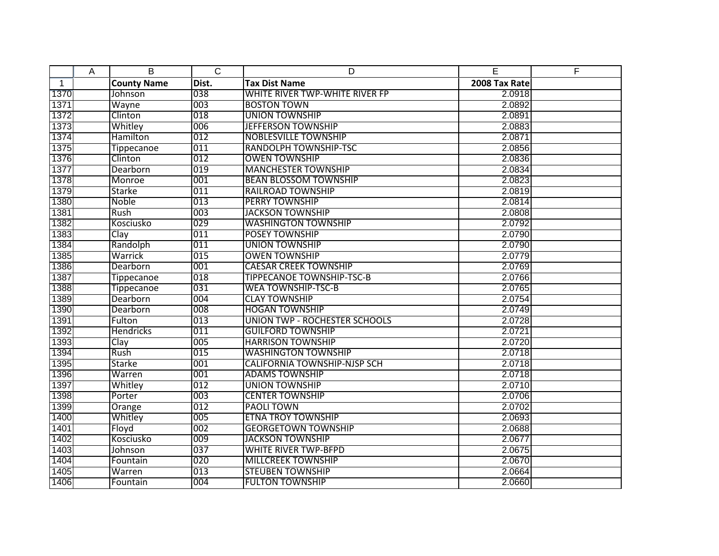|              | A | B                  | $\overline{C}$ | D                                    | E             | F |
|--------------|---|--------------------|----------------|--------------------------------------|---------------|---|
| $\mathbf{1}$ |   | <b>County Name</b> | Dist.          | <b>Tax Dist Name</b>                 | 2008 Tax Rate |   |
| 1370         |   | Johnson            | 038            | WHITE RIVER TWP-WHITE RIVER FP       | 2.0918        |   |
| 1371         |   | Wayne              | 003            | <b>BOSTON TOWN</b>                   | 2.0892        |   |
| 1372         |   | Clinton            | 018            | <b>UNION TOWNSHIP</b>                | 2.0891        |   |
| 1373         |   | Whitley            | 006            | <b>JEFFERSON TOWNSHIP</b>            | 2.0883        |   |
| 1374         |   | Hamilton           | 012            | <b>NOBLESVILLE TOWNSHIP</b>          | 2.0871        |   |
| 1375         |   | Tippecanoe         | 011            | <b>RANDOLPH TOWNSHIP-TSC</b>         | 2.0856        |   |
| 1376         |   | Clinton            | 012            | <b>OWEN TOWNSHIP</b>                 | 2.0836        |   |
| 1377         |   | Dearborn           | 019            | <b>MANCHESTER TOWNSHIP</b>           | 2.0834        |   |
| 1378         |   | Monroe             | 001            | <b>BEAN BLOSSOM TOWNSHIP</b>         | 2.0823        |   |
| 1379         |   | <b>Starke</b>      | 011            | <b>RAILROAD TOWNSHIP</b>             | 2.0819        |   |
| 1380         |   | Noble              | 013            | <b>PERRY TOWNSHIP</b>                | 2.0814        |   |
| 1381         |   | Rush               | 003            | <b>JACKSON TOWNSHIP</b>              | 2.0808        |   |
| 1382         |   | Kosciusko          | 029            | <b>WASHINGTON TOWNSHIP</b>           | 2.0792        |   |
| 1383         |   | Clay               | 011            | <b>POSEY TOWNSHIP</b>                | 2.0790        |   |
| 1384         |   | Randolph           | 011            | <b>UNION TOWNSHIP</b>                | 2.0790        |   |
| 1385         |   | Warrick            | 015            | <b>OWEN TOWNSHIP</b>                 | 2.0779        |   |
| 1386         |   | Dearborn           | 001            | <b>CAESAR CREEK TOWNSHIP</b>         | 2.0769        |   |
| 1387         |   | Tippecanoe         | 018            | <b>TIPPECANOE TOWNSHIP-TSC-B</b>     | 2.0766        |   |
| 1388         |   | <b>Tippecanoe</b>  | 031            | <b>WEA TOWNSHIP-TSC-B</b>            | 2.0765        |   |
| 1389         |   | Dearborn           | 004            | <b>CLAY TOWNSHIP</b>                 | 2.0754        |   |
| 1390         |   | <b>Dearborn</b>    | 008            | <b>HOGAN TOWNSHIP</b>                | 2.0749        |   |
| 1391         |   | Fulton             | 013            | <b>UNION TWP - ROCHESTER SCHOOLS</b> | 2.0728        |   |
| 1392         |   | <b>Hendricks</b>   | 011            | <b>GUILFORD TOWNSHIP</b>             | 2.0721        |   |
| 1393         |   | Clay               | 005            | <b>HARRISON TOWNSHIP</b>             | 2.0720        |   |
| 1394         |   | Rush               | 015            | <b>WASHINGTON TOWNSHIP</b>           | 2.0718        |   |
| 1395         |   | <b>Starke</b>      | 001            | <b>CALIFORNIA TOWNSHIP-NJSP SCH</b>  | 2.0718        |   |
| 1396         |   | Warren             | 001            | <b>ADAMS TOWNSHIP</b>                | 2.0718        |   |
| 1397         |   | Whitley            | 012            | <b>UNION TOWNSHIP</b>                | 2.0710        |   |
| 1398         |   | Porter             | 003            | <b>CENTER TOWNSHIP</b>               | 2.0706        |   |
| 1399         |   | Orange             | 012            | PAOLI TOWN                           | 2.0702        |   |
| 1400         |   | Whitley            | 005            | <b>ETNA TROY TOWNSHIP</b>            | 2.0693        |   |
| 1401         |   | Floyd              | 002            | <b>GEORGETOWN TOWNSHIP</b>           | 2.0688        |   |
| 1402         |   | Kosciusko          | 009            | <b>JACKSON TOWNSHIP</b>              | 2.0677        |   |
| 1403         |   | Johnson            | 037            | <b>WHITE RIVER TWP-BFPD</b>          | 2.0675        |   |
| 1404         |   | Fountain           | 020            | <b>MILLCREEK TOWNSHIP</b>            | 2.0670        |   |
| 1405         |   | Warren             | 013            | <b>STEUBEN TOWNSHIP</b>              | 2.0664        |   |
| 1406         |   | Fountain           | 004            | <b>FULTON TOWNSHIP</b>               | 2.0660        |   |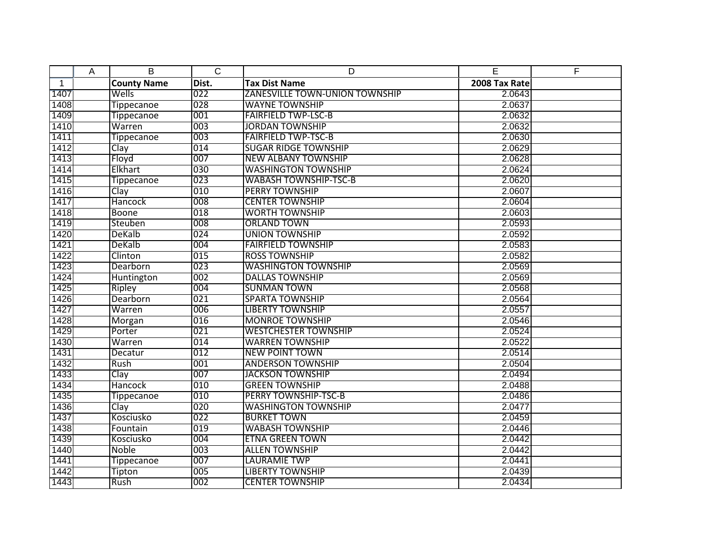|              | A | B                  | $\overline{C}$ | D                                     | E             | F |
|--------------|---|--------------------|----------------|---------------------------------------|---------------|---|
| $\mathbf{1}$ |   | <b>County Name</b> | Dist.          | <b>Tax Dist Name</b>                  | 2008 Tax Rate |   |
| 1407         |   | Wells              | 022            | <b>ZANESVILLE TOWN-UNION TOWNSHIP</b> | 2.0643        |   |
| 1408         |   | <b>Tippecanoe</b>  | 028            | <b>WAYNE TOWNSHIP</b>                 | 2.0637        |   |
| 1409         |   | Tippecanoe         | 001            | <b>FAIRFIELD TWP-LSC-B</b>            | 2.0632        |   |
| 1410         |   | Warren             | 003            | <b>JORDAN TOWNSHIP</b>                | 2.0632        |   |
| 1411         |   | <b>Tippecanoe</b>  | 003            | <b>FAIRFIELD TWP-TSC-B</b>            | 2.0630        |   |
| 1412         |   | Clay               | 014            | <b>SUGAR RIDGE TOWNSHIP</b>           | 2.0629        |   |
| 1413         |   | Floyd              | 007            | <b>NEW ALBANY TOWNSHIP</b>            | 2.0628        |   |
| 1414         |   | Elkhart            | 030            | <b>WASHINGTON TOWNSHIP</b>            | 2.0624        |   |
| 1415         |   | Tippecanoe         | 023            | <b>WABASH TOWNSHIP-TSC-B</b>          | 2.0620        |   |
| 1416         |   | Clay               | 010            | <b>PERRY TOWNSHIP</b>                 | 2.0607        |   |
| 1417         |   | <b>Hancock</b>     | 008            | <b>CENTER TOWNSHIP</b>                | 2.0604        |   |
| 1418         |   | <b>Boone</b>       | 018            | <b>WORTH TOWNSHIP</b>                 | 2.0603        |   |
| 1419         |   | Steuben            | 008            | <b>ORLAND TOWN</b>                    | 2.0593        |   |
| 1420         |   | DeKalb             | 024            | <b>UNION TOWNSHIP</b>                 | 2.0592        |   |
| 1421         |   | <b>DeKalb</b>      | 004            | <b>FAIRFIELD TOWNSHIP</b>             | 2.0583        |   |
| 1422         |   | Clinton            | 015            | <b>ROSS TOWNSHIP</b>                  | 2.0582        |   |
| 1423         |   | Dearborn           | 023            | <b>WASHINGTON TOWNSHIP</b>            | 2.0569        |   |
| 1424         |   | Huntington         | 002            | <b>DALLAS TOWNSHIP</b>                | 2.0569        |   |
| 1425         |   | <b>Ripley</b>      | 004            | <b>SUNMAN TOWN</b>                    | 2.0568        |   |
| 1426         |   | Dearborn           | 021            | <b>SPARTA TOWNSHIP</b>                | 2.0564        |   |
| 1427         |   | Warren             | 006            | <b>LIBERTY TOWNSHIP</b>               | 2.0557        |   |
| 1428         |   | Morgan             | 016            | <b>MONROE TOWNSHIP</b>                | 2.0546        |   |
| 1429         |   | Porter             | 021            | <b>WESTCHESTER TOWNSHIP</b>           | 2.0524        |   |
| 1430         |   | Warren             | 014            | <b>WARREN TOWNSHIP</b>                | 2.0522        |   |
| 1431         |   | Decatur            | 012            | <b>NEW POINT TOWN</b>                 | 2.0514        |   |
| 1432         |   | Rush               | 001            | <b>ANDERSON TOWNSHIP</b>              | 2.0504        |   |
| 1433         |   | Clay               | 007            | <b>JACKSON TOWNSHIP</b>               | 2.0494        |   |
| 1434         |   | Hancock            | 010            | <b>GREEN TOWNSHIP</b>                 | 2.0488        |   |
| 1435         |   | <b>Tippecanoe</b>  | 010            | <b>PERRY TOWNSHIP-TSC-B</b>           | 2.0486        |   |
| 1436         |   | Clay               | 020            | <b>WASHINGTON TOWNSHIP</b>            | 2.0477        |   |
| 1437         |   | Kosciusko          | 022            | <b>BURKET TOWN</b>                    | 2.0459        |   |
| 1438         |   | Fountain           | 019            | <b>WABASH TOWNSHIP</b>                | 2.0446        |   |
| 1439         |   | Kosciusko          | 004            | <b>ETNA GREEN TOWN</b>                | 2.0442        |   |
| 1440         |   | <b>Noble</b>       | 003            | <b>ALLEN TOWNSHIP</b>                 | 2.0442        |   |
| 1441         |   | <b>Tippecanoe</b>  | 007            | <b>LAURAMIE TWP</b>                   | 2.0441        |   |
| 1442         |   | Tipton             | 005            | <b>LIBERTY TOWNSHIP</b>               | 2.0439        |   |
| 1443         |   | Rush               | 002            | <b>CENTER TOWNSHIP</b>                | 2.0434        |   |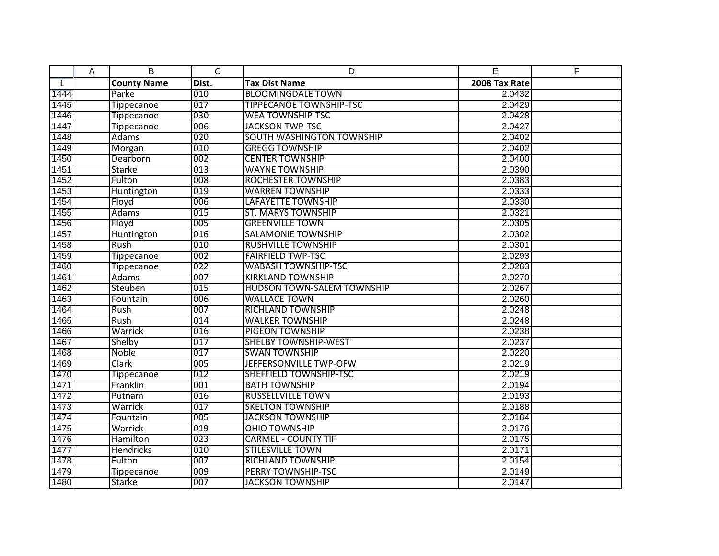|              | Α | B                  | $\overline{C}$ | D                                 | E             | F |
|--------------|---|--------------------|----------------|-----------------------------------|---------------|---|
| $\mathbf{1}$ |   | <b>County Name</b> | Dist.          | <b>Tax Dist Name</b>              | 2008 Tax Rate |   |
| 1444         |   | Parke              | 010            | <b>BLOOMINGDALE TOWN</b>          | 2.0432        |   |
| 1445         |   | Tippecanoe         | 017            | <b>TIPPECANOE TOWNSHIP-TSC</b>    | 2.0429        |   |
| 1446         |   | <b>Tippecanoe</b>  | 030            | <b>WEA TOWNSHIP-TSC</b>           | 2.0428        |   |
| 1447         |   | <b>Tippecanoe</b>  | 006            | <b>JACKSON TWP-TSC</b>            | 2.0427        |   |
| 1448         |   | Adams              | 020            | <b>SOUTH WASHINGTON TOWNSHIP</b>  | 2.0402        |   |
| 1449         |   | Morgan             | 010            | <b>GREGG TOWNSHIP</b>             | 2.0402        |   |
| 1450         |   | Dearborn           | 002            | <b>CENTER TOWNSHIP</b>            | 2.0400        |   |
| 1451         |   | Starke             | 013            | <b>WAYNE TOWNSHIP</b>             | 2.0390        |   |
| 1452         |   | Fulton             | 008            | <b>ROCHESTER TOWNSHIP</b>         | 2.0383        |   |
| 1453         |   | Huntington         | 019            | <b>WARREN TOWNSHIP</b>            | 2.0333        |   |
| 1454         |   | Floyd              | 006            | LAFAYETTE TOWNSHIP                | 2.0330        |   |
| 1455         |   | <b>Adams</b>       | 015            | <b>ST. MARYS TOWNSHIP</b>         | 2.0321        |   |
| 1456         |   | Floyd              | 005            | <b>GREENVILLE TOWN</b>            | 2.0305        |   |
| 1457         |   | Huntington         | 016            | <b>SALAMONIE TOWNSHIP</b>         | 2.0302        |   |
| 1458         |   | Rush               | 010            | <b>RUSHVILLE TOWNSHIP</b>         | 2.0301        |   |
| 1459         |   | <b>Tippecanoe</b>  | 002            | <b>FAIRFIELD TWP-TSC</b>          | 2.0293        |   |
| 1460         |   | Tippecanoe         | 022            | <b>WABASH TOWNSHIP-TSC</b>        | 2.0283        |   |
| 1461         |   | <b>Adams</b>       | 007            | <b>KIRKLAND TOWNSHIP</b>          | 2.0270        |   |
| 1462         |   | Steuben            | 015            | <b>HUDSON TOWN-SALEM TOWNSHIP</b> | 2.0267        |   |
| 1463         |   | Fountain           | 006            | <b>WALLACE TOWN</b>               | 2.0260        |   |
| 1464         |   | Rush               | 007            | <b>RICHLAND TOWNSHIP</b>          | 2.0248        |   |
| 1465         |   | Rush               | 014            | <b>WALKER TOWNSHIP</b>            | 2.0248        |   |
| 1466         |   | Warrick            | 016            | <b>PIGEON TOWNSHIP</b>            | 2.0238        |   |
| 1467         |   | Shelby             | 017            | <b>SHELBY TOWNSHIP-WEST</b>       | 2.0237        |   |
| 1468         |   | Noble              | 017            | <b>SWAN TOWNSHIP</b>              | 2.0220        |   |
| 1469         |   | Clark              | 005            | JEFFERSONVILLE TWP-OFW            | 2.0219        |   |
| 1470         |   | <b>Tippecanoe</b>  | 012            | <b>SHEFFIELD TOWNSHIP-TSC</b>     | 2.0219        |   |
| 1471         |   | Franklin           | 001            | <b>BATH TOWNSHIP</b>              | 2.0194        |   |
| 1472         |   | Putnam             | 016            | <b>RUSSELLVILLE TOWN</b>          | 2.0193        |   |
| 1473         |   | Warrick            | 017            | <b>SKELTON TOWNSHIP</b>           | 2.0188        |   |
| 1474         |   | Fountain           | 005            | <b>JACKSON TOWNSHIP</b>           | 2.0184        |   |
| 1475         |   | Warrick            | 019            | <b>OHIO TOWNSHIP</b>              | 2.0176        |   |
| 1476         |   | Hamilton           | 023            | <b>CARMEL - COUNTY TIF</b>        | 2.0175        |   |
| 1477         |   | <b>Hendricks</b>   | 010            | <b>STILESVILLE TOWN</b>           | 2.0171        |   |
| 1478         |   | Fulton             | 007            | <b>RICHLAND TOWNSHIP</b>          | 2.0154        |   |
| 1479         |   | <b>Tippecanoe</b>  | 009            | <b>PERRY TOWNSHIP-TSC</b>         | 2.0149        |   |
| 1480         |   | <b>Starke</b>      | 007            | <b>JACKSON TOWNSHIP</b>           | 2.0147        |   |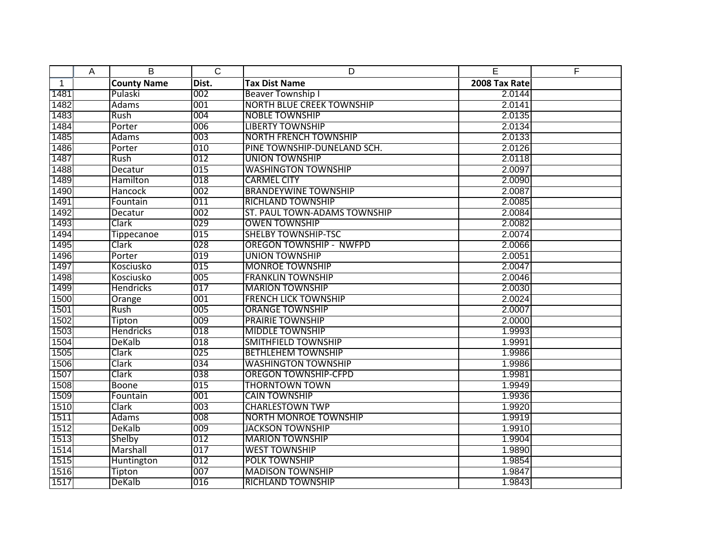|              | A | B                  | $\overline{C}$ | D                                | E             | F |
|--------------|---|--------------------|----------------|----------------------------------|---------------|---|
| $\mathbf{1}$ |   | <b>County Name</b> | Dist.          | <b>Tax Dist Name</b>             | 2008 Tax Rate |   |
| 1481         |   | Pulaski            | 002            | <b>Beaver Township I</b>         | 2.0144        |   |
| 1482         |   | Adams              | 001            | <b>NORTH BLUE CREEK TOWNSHIP</b> | 2.0141        |   |
| 1483         |   | Rush               | 004            | <b>NOBLE TOWNSHIP</b>            | 2.0135        |   |
| 1484         |   | Porter             | 006            | <b>LIBERTY TOWNSHIP</b>          | 2.0134        |   |
| 1485         |   | <b>Adams</b>       | 003            | <b>NORTH FRENCH TOWNSHIP</b>     | 2.0133        |   |
| 1486         |   | Porter             | 010            | PINE TOWNSHIP-DUNELAND SCH.      | 2.0126        |   |
| 1487         |   | Rush               | 012            | <b>UNION TOWNSHIP</b>            | 2.0118        |   |
| 1488         |   | Decatur            | 015            | <b>WASHINGTON TOWNSHIP</b>       | 2.0097        |   |
| 1489         |   | Hamilton           | 018            | <b>CARMEL CITY</b>               | 2.0090        |   |
| 1490         |   | Hancock            | 002            | <b>BRANDEYWINE TOWNSHIP</b>      | 2.0087        |   |
| 1491         |   | Fountain           | 011            | <b>RICHLAND TOWNSHIP</b>         | 2.0085        |   |
| 1492         |   | Decatur            | 002            | ST. PAUL TOWN-ADAMS TOWNSHIP     | 2.0084        |   |
| 1493         |   | Clark              | 029            | <b>OWEN TOWNSHIP</b>             | 2.0082        |   |
| 1494         |   | <b>Tippecanoe</b>  | 015            | <b>SHELBY TOWNSHIP-TSC</b>       | 2.0074        |   |
| 1495         |   | Clark              | 028            | <b>OREGON TOWNSHIP - NWFPD</b>   | 2.0066        |   |
| 1496         |   | Porter             | 019            | <b>UNION TOWNSHIP</b>            | 2.0051        |   |
| 1497         |   | Kosciusko          | 015            | <b>MONROE TOWNSHIP</b>           | 2.0047        |   |
| 1498         |   | Kosciusko          | 005            | <b>FRANKLIN TOWNSHIP</b>         | 2.0046        |   |
| 1499         |   | <b>Hendricks</b>   | 017            | <b>MARION TOWNSHIP</b>           | 2.0030        |   |
| 1500         |   | Orange             | 001            | <b>FRENCH LICK TOWNSHIP</b>      | 2.0024        |   |
| 1501         |   | Rush               | 005            | <b>ORANGE TOWNSHIP</b>           | 2.0007        |   |
| 1502         |   | Tipton             | 009            | <b>PRAIRIE TOWNSHIP</b>          | 2.0000        |   |
| 1503         |   | Hendricks          | 018            | <b>MIDDLE TOWNSHIP</b>           | 1.9993        |   |
| 1504         |   | <b>DeKalb</b>      | 018            | <b>SMITHFIELD TOWNSHIP</b>       | 1.9991        |   |
| 1505         |   | Clark              | 025            | <b>BETHLEHEM TOWNSHIP</b>        | 1.9986        |   |
| 1506         |   | Clark              | 034            | <b>WASHINGTON TOWNSHIP</b>       | 1.9986        |   |
| 1507         |   | Clark              | 038            | <b>OREGON TOWNSHIP-CFPD</b>      | 1.9981        |   |
| 1508         |   | <b>Boone</b>       | 015            | <b>THORNTOWN TOWN</b>            | 1.9949        |   |
| 1509         |   | Fountain           | 001            | <b>CAIN TOWNSHIP</b>             | 1.9936        |   |
| 1510         |   | Clark              | 003            | <b>CHARLESTOWN TWP</b>           | 1.9920        |   |
| 1511         |   | Adams              | 008            | <b>NORTH MONROE TOWNSHIP</b>     | 1.9919        |   |
| 1512         |   | DeKalb             | 009            | <b>JACKSON TOWNSHIP</b>          | 1.9910        |   |
| 1513         |   | Shelby             | 012            | <b>MARION TOWNSHIP</b>           | 1.9904        |   |
| 1514         |   | Marshall           | 017            | <b>WEST TOWNSHIP</b>             | 1.9890        |   |
| 1515         |   | Huntington         | 012            | POLK TOWNSHIP                    | 1.9854        |   |
| 1516         |   | Tipton             | 007            | <b>MADISON TOWNSHIP</b>          | 1.9847        |   |
| 1517         |   | DeKalb             | 016            | <b>RICHLAND TOWNSHIP</b>         | 1.9843        |   |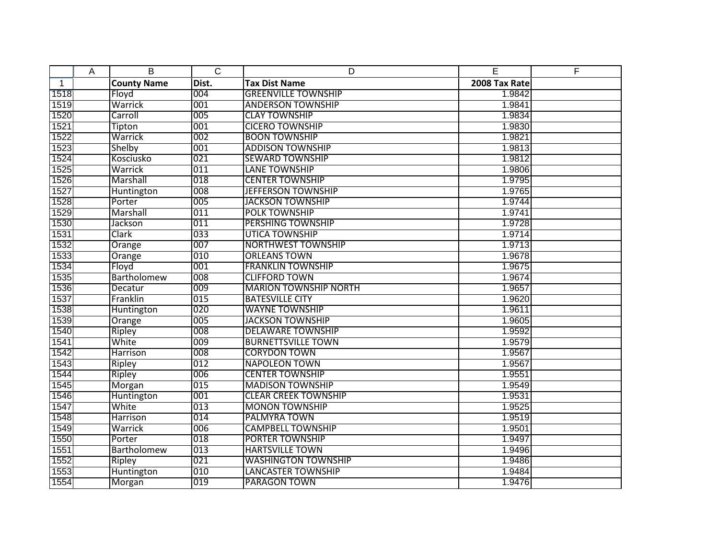|      | Α | B                  | $\overline{C}$ | D                            | E             | F |
|------|---|--------------------|----------------|------------------------------|---------------|---|
| 1    |   | <b>County Name</b> | Dist.          | <b>Tax Dist Name</b>         | 2008 Tax Rate |   |
| 1518 |   | Floyd              | 004            | <b>GREENVILLE TOWNSHIP</b>   | 1.9842        |   |
| 1519 |   | Warrick            | 001            | <b>ANDERSON TOWNSHIP</b>     | 1.9841        |   |
| 1520 |   | Carroll            | 005            | <b>CLAY TOWNSHIP</b>         | 1.9834        |   |
| 1521 |   | Tipton             | 001            | <b>CICERO TOWNSHIP</b>       | 1.9830        |   |
| 1522 |   | Warrick            | 002            | <b>BOON TOWNSHIP</b>         | 1.9821        |   |
| 1523 |   | Shelby             | 001            | <b>ADDISON TOWNSHIP</b>      | 1.9813        |   |
| 1524 |   | Kosciusko          | 021            | <b>SEWARD TOWNSHIP</b>       | 1.9812        |   |
| 1525 |   | Warrick            | 011            | <b>LANE TOWNSHIP</b>         | 1.9806        |   |
| 1526 |   | Marshall           | 018            | <b>CENTER TOWNSHIP</b>       | 1.9795        |   |
| 1527 |   | Huntington         | 008            | <b>JEFFERSON TOWNSHIP</b>    | 1.9765        |   |
| 1528 |   | Porter             | 005            | <b>JACKSON TOWNSHIP</b>      | 1.9744        |   |
| 1529 |   | Marshall           | 011            | POLK TOWNSHIP                | 1.9741        |   |
| 1530 |   | Jackson            | 011            | <b>PERSHING TOWNSHIP</b>     | 1.9728        |   |
| 1531 |   | Clark              | 033            | <b>UTICA TOWNSHIP</b>        | 1.9714        |   |
| 1532 |   | Orange             | 007            | <b>NORTHWEST TOWNSHIP</b>    | 1.9713        |   |
| 1533 |   | Orange             | 010            | <b>ORLEANS TOWN</b>          | 1.9678        |   |
| 1534 |   | Floyd              | 001            | <b>FRANKLIN TOWNSHIP</b>     | 1.9675        |   |
| 1535 |   | Bartholomew        | 008            | <b>CLIFFORD TOWN</b>         | 1.9674        |   |
| 1536 |   | Decatur            | 009            | <b>MARION TOWNSHIP NORTH</b> | 1.9657        |   |
| 1537 |   | Franklin           | 015            | <b>BATESVILLE CITY</b>       | 1.9620        |   |
| 1538 |   | Huntington         | 020            | <b>WAYNE TOWNSHIP</b>        | 1.9611        |   |
| 1539 |   | Orange             | 005            | <b>JACKSON TOWNSHIP</b>      | 1.9605        |   |
| 1540 |   | Ripley             | 008            | <b>DELAWARE TOWNSHIP</b>     | 1.9592        |   |
| 1541 |   | White              | 009            | <b>BURNETTSVILLE TOWN</b>    | 1.9579        |   |
| 1542 |   | <b>Harrison</b>    | 008            | <b>CORYDON TOWN</b>          | 1.9567        |   |
| 1543 |   | Ripley             | 012            | <b>NAPOLEON TOWN</b>         | 1.9567        |   |
| 1544 |   | Ripley             | 006            | <b>CENTER TOWNSHIP</b>       | 1.9551        |   |
| 1545 |   | Morgan             | 015            | <b>MADISON TOWNSHIP</b>      | 1.9549        |   |
| 1546 |   | Huntington         | 001            | <b>CLEAR CREEK TOWNSHIP</b>  | 1.9531        |   |
| 1547 |   | White              | 013            | <b>MONON TOWNSHIP</b>        | 1.9525        |   |
| 1548 |   | <b>Harrison</b>    | 014            | PALMYRA TOWN                 | 1.9519        |   |
| 1549 |   | Warrick            | 006            | <b>CAMPBELL TOWNSHIP</b>     | 1.9501        |   |
| 1550 |   | Porter             | 018            | <b>PORTER TOWNSHIP</b>       | 1.9497        |   |
| 1551 |   | <b>Bartholomew</b> | 013            | <b>HARTSVILLE TOWN</b>       | 1.9496        |   |
| 1552 |   | Ripley             | 021            | <b>WASHINGTON TOWNSHIP</b>   | 1.9486        |   |
| 1553 |   | Huntington         | 010            | <b>LANCASTER TOWNSHIP</b>    | 1.9484        |   |
| 1554 |   | <b>Morgan</b>      | 019            | PARAGON TOWN                 | 1.9476        |   |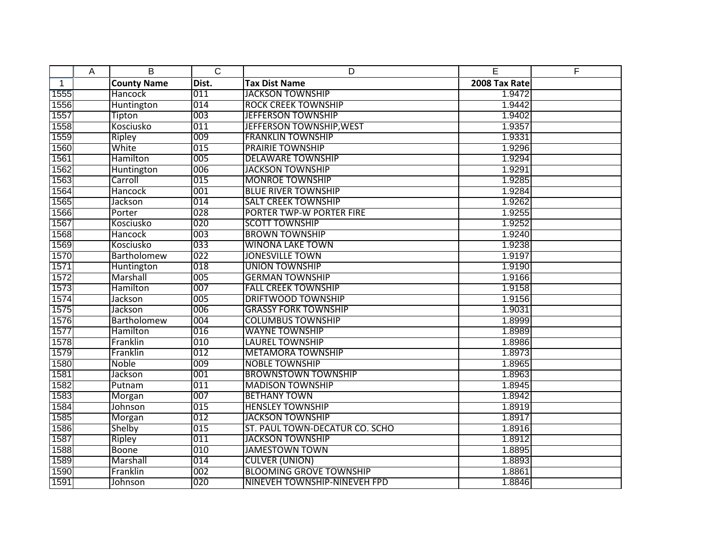|              | A | B                  | $\overline{C}$ | D                              | E             | F |
|--------------|---|--------------------|----------------|--------------------------------|---------------|---|
| $\mathbf{1}$ |   | <b>County Name</b> | Dist.          | <b>Tax Dist Name</b>           | 2008 Tax Rate |   |
| 1555         |   | Hancock            | 011            | <b>JACKSON TOWNSHIP</b>        | 1.9472        |   |
| 1556         |   | Huntington         | 014            | <b>ROCK CREEK TOWNSHIP</b>     | 1.9442        |   |
| 1557         |   | Tipton             | 003            | <b>JEFFERSON TOWNSHIP</b>      | 1.9402        |   |
| 1558         |   | Kosciusko          | 011            | JEFFERSON TOWNSHIP, WEST       | 1.9357        |   |
| 1559         |   | Ripley             | 009            | <b>FRANKLIN TOWNSHIP</b>       | 1.9331        |   |
| 1560         |   | White              | 015            | <b>PRAIRIE TOWNSHIP</b>        | 1.9296        |   |
| 1561         |   | Hamilton           | 005            | <b>DELAWARE TOWNSHIP</b>       | 1.9294        |   |
| 1562         |   | <b>Huntington</b>  | 006            | <b>JACKSON TOWNSHIP</b>        | 1.9291        |   |
| 1563         |   | Carroll            | 015            | <b>MONROE TOWNSHIP</b>         | 1.9285        |   |
| 1564         |   | <b>Hancock</b>     | 001            | <b>BLUE RIVER TOWNSHIP</b>     | 1.9284        |   |
| 1565         |   | Jackson            | 014            | <b>SALT CREEK TOWNSHIP</b>     | 1.9262        |   |
| 1566         |   | Porter             | 028            | PORTER TWP-W PORTER FIRE       | 1.9255        |   |
| 1567         |   | Kosciusko          | 020            | <b>SCOTT TOWNSHIP</b>          | 1.9252        |   |
| 1568         |   | <b>Hancock</b>     | 003            | <b>BROWN TOWNSHIP</b>          | 1.9240        |   |
| 1569         |   | Kosciusko          | 033            | <b>WINONA LAKE TOWN</b>        | 1.9238        |   |
| 1570         |   | Bartholomew        | 022            | <b>JONESVILLE TOWN</b>         | 1.9197        |   |
| 1571         |   | Huntington         | 018            | <b>UNION TOWNSHIP</b>          | 1.9190        |   |
| 1572         |   | Marshall           | 005            | <b>GERMAN TOWNSHIP</b>         | 1.9166        |   |
| 1573         |   | Hamilton           | 007            | <b>FALL CREEK TOWNSHIP</b>     | 1.9158        |   |
| 1574         |   | Jackson            | 005            | <b>DRIFTWOOD TOWNSHIP</b>      | 1.9156        |   |
| 1575         |   | Jackson            | 006            | <b>GRASSY FORK TOWNSHIP</b>    | 1.9031        |   |
| 1576         |   | Bartholomew        | 004            | <b>COLUMBUS TOWNSHIP</b>       | 1.8999        |   |
| 1577         |   | Hamilton           | 016            | <b>WAYNE TOWNSHIP</b>          | 1.8989        |   |
| 1578         |   | Franklin           | 010            | <b>LAUREL TOWNSHIP</b>         | 1.8986        |   |
| 1579         |   | Franklin           | 012            | <b>METAMORA TOWNSHIP</b>       | 1.8973        |   |
| 1580         |   | Noble              | 009            | <b>NOBLE TOWNSHIP</b>          | 1.8965        |   |
| 1581         |   | Jackson            | 001            | <b>BROWNSTOWN TOWNSHIP</b>     | 1.8963        |   |
| 1582         |   | Putnam             | 011            | <b>MADISON TOWNSHIP</b>        | 1.8945        |   |
| 1583         |   | Morgan             | 007            | <b>BETHANY TOWN</b>            | 1.8942        |   |
| 1584         |   | Johnson            | 015            | <b>HENSLEY TOWNSHIP</b>        | 1.8919        |   |
| 1585         |   | Morgan             | 012            | <b>JACKSON TOWNSHIP</b>        | 1.8917        |   |
| 1586         |   | Shelby             | 015            | ST. PAUL TOWN-DECATUR CO. SCHO | 1.8916        |   |
| 1587         |   | Ripley             | 011            | <b>JACKSON TOWNSHIP</b>        | 1.8912        |   |
| 1588         |   | <b>Boone</b>       | 010            | <b>JAMESTOWN TOWN</b>          | 1.8895        |   |
| 1589         |   | Marshall           | 014            | <b>CULVER (UNION)</b>          | 1.8893        |   |
| 1590         |   | Franklin           | 002            | <b>BLOOMING GROVE TOWNSHIP</b> | 1.8861        |   |
| 1591         |   | Johnson            | 020            | NINEVEH TOWNSHIP-NINEVEH FPD   | 1.8846        |   |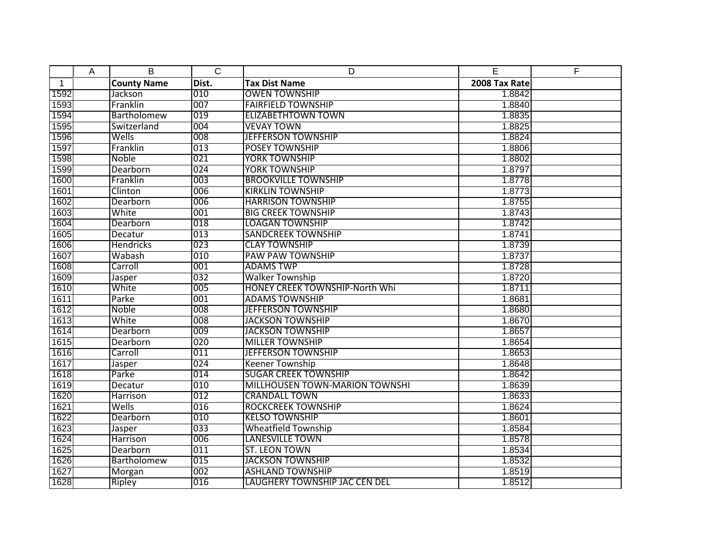|              | A | B                  | $\overline{C}$ | D                                     | E             | F |
|--------------|---|--------------------|----------------|---------------------------------------|---------------|---|
| $\mathbf{1}$ |   | <b>County Name</b> | Dist.          | <b>Tax Dist Name</b>                  | 2008 Tax Rate |   |
| 1592         |   | Jackson            | 010            | <b>OWEN TOWNSHIP</b>                  | 1.8842        |   |
| 1593         |   | Franklin           | 007            | <b>FAIRFIELD TOWNSHIP</b>             | 1.8840        |   |
| 1594         |   | <b>Bartholomew</b> | 019            | <b>ELIZABETHTOWN TOWN</b>             | 1.8835        |   |
| 1595         |   | Switzerland        | 004            | <b>VEVAY TOWN</b>                     | 1.8825        |   |
| 1596         |   | Wells              | 008            | <b>JEFFERSON TOWNSHIP</b>             | 1.8824        |   |
| 1597         |   | Franklin           | 013            | POSEY TOWNSHIP                        | 1.8806        |   |
| 1598         |   | Noble              | 021            | <b>YORK TOWNSHIP</b>                  | 1.8802        |   |
| 1599         |   | Dearborn           | 024            | <b>YORK TOWNSHIP</b>                  | 1.8797        |   |
| 1600         |   | Franklin           | 003            | <b>BROOKVILLE TOWNSHIP</b>            | 1.8778        |   |
| 1601         |   | Clinton            | 006            | <b>KIRKLIN TOWNSHIP</b>               | 1.8773        |   |
| 1602         |   | Dearborn           | 006            | <b>HARRISON TOWNSHIP</b>              | 1.8755        |   |
| 1603         |   | White              | 001            | <b>BIG CREEK TOWNSHIP</b>             | 1.8743        |   |
| 1604         |   | Dearborn           | 018            | <b>LOAGAN TOWNSHIP</b>                | 1.8742        |   |
| 1605         |   | Decatur            | 013            | <b>SANDCREEK TOWNSHIP</b>             | 1.8741        |   |
| 1606         |   | <b>Hendricks</b>   | 023            | <b>CLAY TOWNSHIP</b>                  | 1.8739        |   |
| 1607         |   | Wabash             | 010            | <b>PAW PAW TOWNSHIP</b>               | 1.8737        |   |
| 1608         |   | Carroll            | 001            | <b>ADAMS TWP</b>                      | 1.8728        |   |
| 1609         |   | Jasper             | 032            | <b>Walker Township</b>                | 1.8720        |   |
| 1610         |   | White              | 005            | <b>HONEY CREEK TOWNSHIP-North Whi</b> | 1.8711        |   |
| 1611         |   | Parke              | 001            | <b>ADAMS TOWNSHIP</b>                 | 1.8681        |   |
| 1612         |   | <b>Noble</b>       | 008            | <b>JEFFERSON TOWNSHIP</b>             | 1.8680        |   |
| 1613         |   | White              | 008            | <b>JACKSON TOWNSHIP</b>               | 1.8670        |   |
| 1614         |   | Dearborn           | 009            | <b>JACKSON TOWNSHIP</b>               | 1.8657        |   |
| 1615         |   | Dearborn           | 020            | <b>MILLER TOWNSHIP</b>                | 1.8654        |   |
| 1616         |   | Carroll            | 011            | <b>JEFFERSON TOWNSHIP</b>             | 1.8653        |   |
| 1617         |   | Jasper             | 024            | <b>Keener Township</b>                | 1.8648        |   |
| 1618         |   | Parke              | 014            | <b>SUGAR CREEK TOWNSHIP</b>           | 1.8642        |   |
| 1619         |   | Decatur            | 010            | MILLHOUSEN TOWN-MARION TOWNSHI        | 1.8639        |   |
| 1620         |   | Harrison           | 012            | <b>CRANDALL TOWN</b>                  | 1.8633        |   |
| 1621         |   | Wells              | 016            | <b>ROCKCREEK TOWNSHIP</b>             | 1.8624        |   |
| 1622         |   | Dearborn           | 010            | <b>KELSO TOWNSHIP</b>                 | 1.8601        |   |
| 1623         |   | Jasper             | 033            | <b>Wheatfield Township</b>            | 1.8584        |   |
| 1624         |   | Harrison           | 006            | <b>LANESVILLE TOWN</b>                | 1.8578        |   |
| 1625         |   | Dearborn           | 011            | <b>ST. LEON TOWN</b>                  | 1.8534        |   |
| 1626         |   | <b>Bartholomew</b> | 015            | <b>JACKSON TOWNSHIP</b>               | 1.8532        |   |
| 1627         |   | Morgan             | 002            | <b>ASHLAND TOWNSHIP</b>               | 1.8519        |   |
| 1628         |   | Ripley             | 016            | LAUGHERY TOWNSHIP JAC CEN DEL         | 1.8512        |   |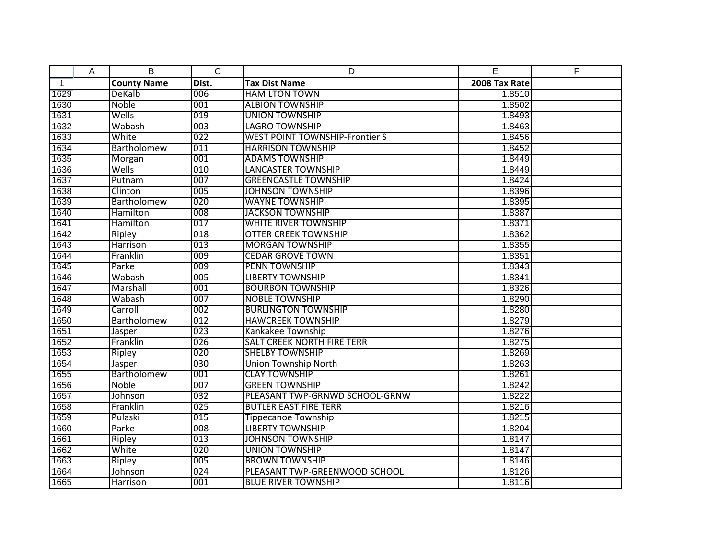|              | A | B                  | $\overline{C}$   | D                                     | E             | F |
|--------------|---|--------------------|------------------|---------------------------------------|---------------|---|
| $\mathbf{1}$ |   | <b>County Name</b> | Dist.            | <b>Tax Dist Name</b>                  | 2008 Tax Rate |   |
| 1629         |   | DeKalb             | 006              | <b>HAMILTON TOWN</b>                  | 1.8510        |   |
| 1630         |   | Noble              | 001              | <b>ALBION TOWNSHIP</b>                | 1.8502        |   |
| 1631         |   | Wells              | 019              | <b>UNION TOWNSHIP</b>                 | 1.8493        |   |
| 1632         |   | Wabash             | 003              | <b>LAGRO TOWNSHIP</b>                 | 1.8463        |   |
| 1633         |   | White              | 022              | <b>WEST POINT TOWNSHIP-Frontier S</b> | 1.8456        |   |
| 1634         |   | Bartholomew        | 011              | <b>HARRISON TOWNSHIP</b>              | 1.8452        |   |
| 1635         |   | Morgan             | 001              | <b>ADAMS TOWNSHIP</b>                 | 1.8449        |   |
| 1636         |   | Wells              | 010              | <b>LANCASTER TOWNSHIP</b>             | 1.8449        |   |
| 1637         |   | Putnam             | 007              | <b>GREENCASTLE TOWNSHIP</b>           | 1.8424        |   |
| 1638         |   | Clinton            | 005              | <b>JOHNSON TOWNSHIP</b>               | 1.8396        |   |
| 1639         |   | <b>Bartholomew</b> | 020              | <b>WAYNE TOWNSHIP</b>                 | 1.8395        |   |
| 1640         |   | Hamilton           | 008              | <b>JACKSON TOWNSHIP</b>               | 1.8387        |   |
| 1641         |   | Hamilton           | 017              | <b>WHITE RIVER TOWNSHIP</b>           | 1.8371        |   |
| 1642         |   | Ripley             | 018              | <b>OTTER CREEK TOWNSHIP</b>           | 1.8362        |   |
| 1643         |   | <b>Harrison</b>    | 013              | <b>MORGAN TOWNSHIP</b>                | 1.8355        |   |
| 1644         |   | Franklin           | 009              | <b>CEDAR GROVE TOWN</b>               | 1.8351        |   |
| 1645         |   | Parke              | 009              | <b>PENN TOWNSHIP</b>                  | 1.8343        |   |
| 1646         |   | Wabash             | 005              | <b>LIBERTY TOWNSHIP</b>               | 1.8341        |   |
| 1647         |   | Marshall           | 001              | <b>BOURBON TOWNSHIP</b>               | 1.8326        |   |
| 1648         |   | Wabash             | 007              | <b>NOBLE TOWNSHIP</b>                 | 1.8290        |   |
| 1649         |   | Carroll            | 002              | <b>BURLINGTON TOWNSHIP</b>            | 1.8280        |   |
| 1650         |   | Bartholomew        | 012              | <b>HAWCREEK TOWNSHIP</b>              | 1.8279        |   |
| 1651         |   | Jasper             | 023              | Kankakee Township                     | 1.8276        |   |
| 1652         |   | Franklin           | 026              | <b>SALT CREEK NORTH FIRE TERR</b>     | 1.8275        |   |
| 1653         |   | Ripley             | 020              | <b>SHELBY TOWNSHIP</b>                | 1.8269        |   |
| 1654         |   | Jasper             | 030              | <b>Union Township North</b>           | 1.8263        |   |
| 1655         |   | Bartholomew        | 001              | <b>CLAY TOWNSHIP</b>                  | 1.8261        |   |
| 1656         |   | Noble              | 007              | <b>GREEN TOWNSHIP</b>                 | 1.8242        |   |
| 1657         |   | Johnson            | 032              | PLEASANT TWP-GRNWD SCHOOL-GRNW        | 1.8222        |   |
| 1658         |   | Franklin           | 025              | <b>BUTLER EAST FIRE TERR</b>          | 1.8216        |   |
| 1659         |   | Pulaski            | $\overline{015}$ | <b>Tippecanoe Township</b>            | 1.8215        |   |
| 1660         |   | Parke              | 008              | <b>LIBERTY TOWNSHIP</b>               | 1.8204        |   |
| 1661         |   | <b>Ripley</b>      | 013              | <b>JOHNSON TOWNSHIP</b>               | 1.8147        |   |
| 1662         |   | White              | 020              | <b>UNION TOWNSHIP</b>                 | 1.8147        |   |
| 1663         |   | Ripley             | 005              | <b>BROWN TOWNSHIP</b>                 | 1.8146        |   |
| 1664         |   | <b>Johnson</b>     | 024              | PLEASANT TWP-GREENWOOD SCHOOL         | 1.8126        |   |
| 1665         |   | <b>Harrison</b>    | 001              | <b>BLUE RIVER TOWNSHIP</b>            | 1.8116        |   |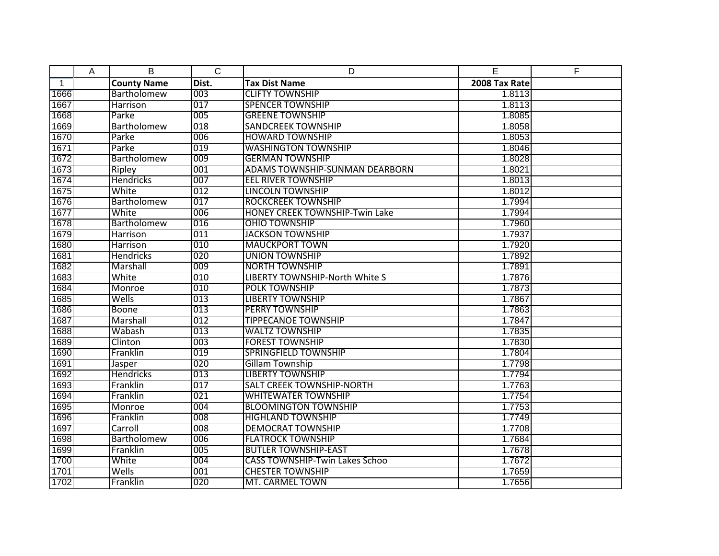|              | A | B                  | $\mathsf{C}$ | D                                     | E             | F |
|--------------|---|--------------------|--------------|---------------------------------------|---------------|---|
| $\mathbf{1}$ |   | <b>County Name</b> | Dist.        | <b>Tax Dist Name</b>                  | 2008 Tax Rate |   |
| 1666         |   | Bartholomew        | 003          | <b>CLIFTY TOWNSHIP</b>                | 1.8113        |   |
| 1667         |   | Harrison           | 017          | <b>SPENCER TOWNSHIP</b>               | 1.8113        |   |
| 1668         |   | Parke              | 005          | <b>GREENE TOWNSHIP</b>                | 1.8085        |   |
| 1669         |   | Bartholomew        | 018          | <b>SANDCREEK TOWNSHIP</b>             | 1.8058        |   |
| 1670         |   | Parke              | 006          | <b>HOWARD TOWNSHIP</b>                | 1.8053        |   |
| 1671         |   | Parke              | 019          | <b>WASHINGTON TOWNSHIP</b>            | 1.8046        |   |
| 1672         |   | Bartholomew        | 009          | <b>GERMAN TOWNSHIP</b>                | 1.8028        |   |
| 1673         |   | Ripley             | 001          | <b>ADAMS TOWNSHIP-SUNMAN DEARBORN</b> | 1.8021        |   |
| 1674         |   | <b>Hendricks</b>   | 007          | <b>EEL RIVER TOWNSHIP</b>             | 1.8013        |   |
| 1675         |   | White              | 012          | <b>LINCOLN TOWNSHIP</b>               | 1.8012        |   |
| 1676         |   | Bartholomew        | 017          | <b>ROCKCREEK TOWNSHIP</b>             | 1.7994        |   |
| 1677         |   | White              | 006          | <b>HONEY CREEK TOWNSHIP-Twin Lake</b> | 1.7994        |   |
| 1678         |   | Bartholomew        | 016          | <b>OHIO TOWNSHIP</b>                  | 1.7960        |   |
| 1679         |   | Harrison           | 011          | <b>JACKSON TOWNSHIP</b>               | 1.7937        |   |
| 1680         |   | Harrison           | 010          | <b>MAUCKPORT TOWN</b>                 | 1.7920        |   |
| 1681         |   | <b>Hendricks</b>   | 020          | <b>UNION TOWNSHIP</b>                 | 1.7892        |   |
| 1682         |   | Marshall           | 009          | <b>NORTH TOWNSHIP</b>                 | 1.7891        |   |
| 1683         |   | White              | 010          | <b>LIBERTY TOWNSHIP-North White S</b> | 1.7876        |   |
| 1684         |   | Monroe             | 010          | <b>POLK TOWNSHIP</b>                  | 1.7873        |   |
| 1685         |   | Wells              | 013          | <b>LIBERTY TOWNSHIP</b>               | 1.7867        |   |
| 1686         |   | Boone              | 013          | <b>PERRY TOWNSHIP</b>                 | 1.7863        |   |
| 1687         |   | Marshall           | 012          | <b>TIPPECANOE TOWNSHIP</b>            | 1.7847        |   |
| 1688         |   | Wabash             | 013          | <b>WALTZ TOWNSHIP</b>                 | 1.7835        |   |
| 1689         |   | Clinton            | 003          | <b>FOREST TOWNSHIP</b>                | 1.7830        |   |
| 1690         |   | Franklin           | 019          | <b>SPRINGFIELD TOWNSHIP</b>           | 1.7804        |   |
| 1691         |   | Jasper             | 020          | <b>Gillam Township</b>                | 1.7798        |   |
| 1692         |   | Hendricks          | 013          | <b>LIBERTY TOWNSHIP</b>               | 1.7794        |   |
| 1693         |   | Franklin           | 017          | <b>SALT CREEK TOWNSHIP-NORTH</b>      | 1.7763        |   |
| 1694         |   | Franklin           | 021          | <b>WHITEWATER TOWNSHIP</b>            | 1.7754        |   |
| 1695         |   | Monroe             | 004          | <b>BLOOMINGTON TOWNSHIP</b>           | 1.7753        |   |
| 1696         |   | Franklin           | 008          | <b>HIGHLAND TOWNSHIP</b>              | 1.7749        |   |
| 1697         |   | Carroll            | 008          | <b>DEMOCRAT TOWNSHIP</b>              | 1.7708        |   |
| 1698         |   | Bartholomew        | 006          | <b>FLATROCK TOWNSHIP</b>              | 1.7684        |   |
| 1699         |   | Franklin           | 005          | <b>BUTLER TOWNSHIP-EAST</b>           | 1.7678        |   |
| 1700         |   | White              | 004          | <b>CASS TOWNSHIP-Twin Lakes Schoo</b> | 1.7672        |   |
| 1701         |   | Wells              | 001          | <b>CHESTER TOWNSHIP</b>               | 1.7659        |   |
| 1702         |   | Franklin           | 020          | MT. CARMEL TOWN                       | 1.7656        |   |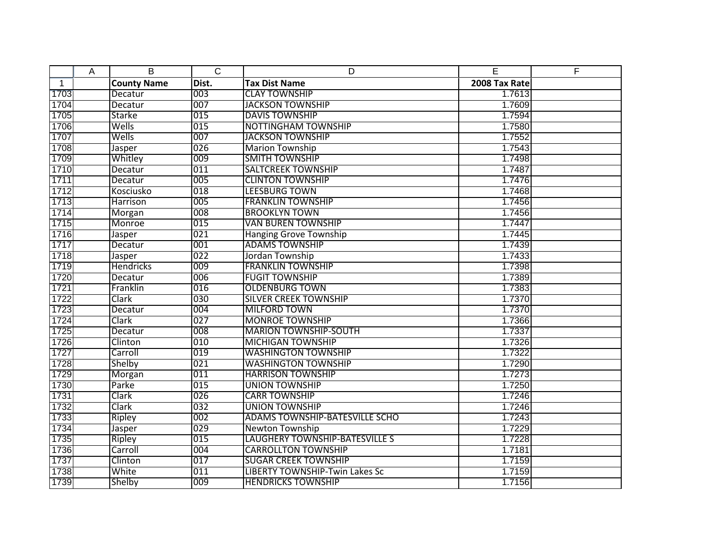|                | Α | B                  | $\overline{C}$ | D                                     | E             | F |
|----------------|---|--------------------|----------------|---------------------------------------|---------------|---|
| $\overline{1}$ |   | <b>County Name</b> | Dist.          | <b>Tax Dist Name</b>                  | 2008 Tax Rate |   |
| 1703           |   | Decatur            | 003            | <b>CLAY TOWNSHIP</b>                  | 1.7613        |   |
| 1704           |   | Decatur            | 007            | <b>JACKSON TOWNSHIP</b>               | 1.7609        |   |
| 1705           |   | <b>Starke</b>      | 015            | <b>DAVIS TOWNSHIP</b>                 | 1.7594        |   |
| 1706           |   | Wells              | 015            | <b>NOTTINGHAM TOWNSHIP</b>            | 1.7580        |   |
| 1707           |   | Wells              | 007            | <b>JACKSON TOWNSHIP</b>               | 1.7552        |   |
| 1708           |   | Jasper             | 026            | <b>Marion Township</b>                | 1.7543        |   |
| 1709           |   | Whitley            | 009            | <b>SMITH TOWNSHIP</b>                 | 1.7498        |   |
| 1710           |   | Decatur            | 011            | <b>SALTCREEK TOWNSHIP</b>             | 1.7487        |   |
| 1711           |   | Decatur            | 005            | <b>CLINTON TOWNSHIP</b>               | 1.7476        |   |
| 1712           |   | Kosciusko          | 018            | <b>LEESBURG TOWN</b>                  | 1.7468        |   |
| 1713           |   | Harrison           | 005            | <b>FRANKLIN TOWNSHIP</b>              | 1.7456        |   |
| 1714           |   | Morgan             | 008            | <b>BROOKLYN TOWN</b>                  | 1.7456        |   |
| 1715           |   | Monroe             | 015            | <b>VAN BUREN TOWNSHIP</b>             | 1.7447        |   |
| 1716           |   | Jasper             | 021            | <b>Hanging Grove Township</b>         | 1.7445        |   |
| 1717           |   | Decatur            | 001            | <b>ADAMS TOWNSHIP</b>                 | 1.7439        |   |
| 1718           |   | Jasper             | 022            | Jordan Township                       | 1.7433        |   |
| 1719           |   | <b>Hendricks</b>   | 009            | <b>FRANKLIN TOWNSHIP</b>              | 1.7398        |   |
| 1720           |   | Decatur            | 006            | <b>FUGIT TOWNSHIP</b>                 | 1.7389        |   |
| 1721           |   | Franklin           | 016            | <b>OLDENBURG TOWN</b>                 | 1.7383        |   |
| 1722           |   | Clark              | 030            | <b>SILVER CREEK TOWNSHIP</b>          | 1.7370        |   |
| 1723           |   | Decatur            | 004            | <b>MILFORD TOWN</b>                   | 1.7370        |   |
| 1724           |   | Clark              | 027            | <b>MONROE TOWNSHIP</b>                | 1.7366        |   |
| 1725           |   | Decatur            | 008            | <b>MARION TOWNSHIP-SOUTH</b>          | 1.7337        |   |
| 1726           |   | Clinton            | 010            | <b>MICHIGAN TOWNSHIP</b>              | 1.7326        |   |
| 1727           |   | Carroll            | 019            | <b>WASHINGTON TOWNSHIP</b>            | 1.7322        |   |
| 1728           |   | Shelby             | 021            | <b>WASHINGTON TOWNSHIP</b>            | 1.7290        |   |
| 1729           |   | Morgan             | 011            | <b>HARRISON TOWNSHIP</b>              | 1.7273        |   |
| 1730           |   | Parke              | 015            | <b>UNION TOWNSHIP</b>                 | 1.7250        |   |
| 1731           |   | Clark              | 026            | <b>CARR TOWNSHIP</b>                  | 1.7246        |   |
| 1732           |   | Clark              | 032            | <b>UNION TOWNSHIP</b>                 | 1.7246        |   |
| 1733           |   | Ripley             | 002            | <b>ADAMS TOWNSHIP-BATESVILLE SCHO</b> | 1.7243        |   |
| 1734           |   | Jasper             | 029            | Newton Township                       | 1.7229        |   |
| 1735           |   | <b>Ripley</b>      | 015            | <b>LAUGHERY TOWNSHIP-BATESVILLE S</b> | 1.7228        |   |
| 1736           |   | Carroll            | 004            | <b>CARROLLTON TOWNSHIP</b>            | 1.7181        |   |
| 1737           |   | Clinton            | 017            | <b>SUGAR CREEK TOWNSHIP</b>           | 1.7159        |   |
| 1738           |   | White              | 011            | LIBERTY TOWNSHIP-Twin Lakes Sc        | 1.7159        |   |
| 1739           |   | Shelby             | 009            | <b>HENDRICKS TOWNSHIP</b>             | 1.7156        |   |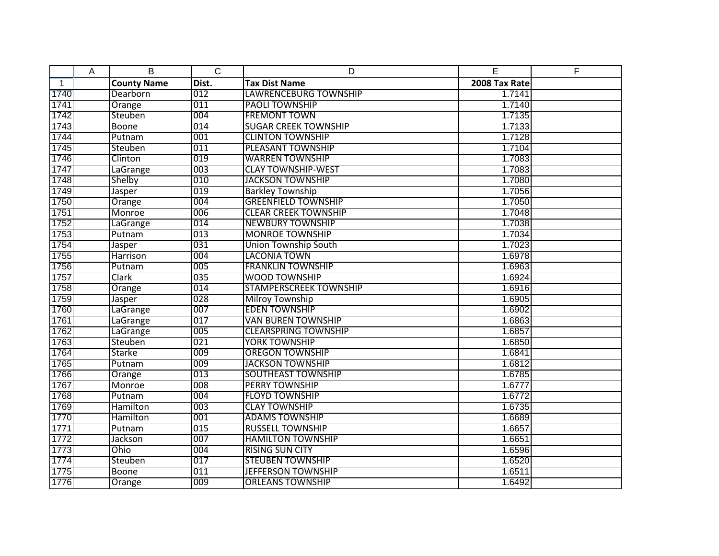|              | Α | B                  | $\overline{C}$ | D                             | E             | F |
|--------------|---|--------------------|----------------|-------------------------------|---------------|---|
| $\mathbf{1}$ |   | <b>County Name</b> | Dist.          | <b>Tax Dist Name</b>          | 2008 Tax Rate |   |
| 1740         |   | Dearborn           | 012            | <b>LAWRENCEBURG TOWNSHIP</b>  | 1.7141        |   |
| 1741         |   | Orange             | 011            | <b>PAOLI TOWNSHIP</b>         | 1.7140        |   |
| 1742         |   | Steuben            | 004            | <b>FREMONT TOWN</b>           | 1.7135        |   |
| 1743         |   | Boone              | 014            | <b>SUGAR CREEK TOWNSHIP</b>   | 1.7133        |   |
| 1744         |   | Putnam             | 001            | <b>CLINTON TOWNSHIP</b>       | 1.7128        |   |
| 1745         |   | Steuben            | 011            | <b>PLEASANT TOWNSHIP</b>      | 1.7104        |   |
| 1746         |   | Clinton            | 019            | <b>WARREN TOWNSHIP</b>        | 1.7083        |   |
| 1747         |   | LaGrange           | 003            | <b>CLAY TOWNSHIP-WEST</b>     | 1.7083        |   |
| 1748         |   | Shelby             | 010            | <b>JACKSON TOWNSHIP</b>       | 1.7080        |   |
| 1749         |   | Jasper             | 019            | <b>Barkley Township</b>       | 1.7056        |   |
| 1750         |   | Orange             | 004            | <b>GREENFIELD TOWNSHIP</b>    | 1.7050        |   |
| 1751         |   | Monroe             | 006            | <b>CLEAR CREEK TOWNSHIP</b>   | 1.7048        |   |
| 1752         |   | LaGrange           | 014            | <b>NEWBURY TOWNSHIP</b>       | 1.7038        |   |
| 1753         |   | Putnam             | 013            | <b>MONROE TOWNSHIP</b>        | 1.7034        |   |
| 1754         |   | Jasper             | 031            | <b>Union Township South</b>   | 1.7023        |   |
| 1755         |   | Harrison           | 004            | <b>LACONIA TOWN</b>           | 1.6978        |   |
| 1756         |   | Putnam             | 005            | <b>FRANKLIN TOWNSHIP</b>      | 1.6963        |   |
| 1757         |   | Clark              | 035            | <b>WOOD TOWNSHIP</b>          | 1.6924        |   |
| 1758         |   | Orange             | 014            | <b>STAMPERSCREEK TOWNSHIP</b> | 1.6916        |   |
| 1759         |   | Jasper             | 028            | <b>Milroy Township</b>        | 1.6905        |   |
| 1760         |   | LaGrange           | 007            | <b>EDEN TOWNSHIP</b>          | 1.6902        |   |
| 1761         |   | LaGrange           | 017            | <b>VAN BUREN TOWNSHIP</b>     | 1.6863        |   |
| 1762         |   | LaGrange           | 005            | <b>CLEARSPRING TOWNSHIP</b>   | 1.6857        |   |
| 1763         |   | Steuben            | 021            | <b>YORK TOWNSHIP</b>          | 1.6850        |   |
| 1764         |   | Starke             | 009            | <b>OREGON TOWNSHIP</b>        | 1.6841        |   |
| 1765         |   | Putnam             | 009            | <b>JACKSON TOWNSHIP</b>       | 1.6812        |   |
| 1766         |   | Orange             | 013            | <b>SOUTHEAST TOWNSHIP</b>     | 1.6785        |   |
| 1767         |   | Monroe             | 008            | <b>PERRY TOWNSHIP</b>         | 1.6777        |   |
| 1768         |   | Putnam             | 004            | <b>FLOYD TOWNSHIP</b>         | 1.6772        |   |
| 1769         |   | Hamilton           | 003            | <b>CLAY TOWNSHIP</b>          | 1.6735        |   |
| 1770         |   | Hamilton           | 001            | <b>ADAMS TOWNSHIP</b>         | 1.6689        |   |
| 1771         |   | Putnam             | 015            | <b>RUSSELL TOWNSHIP</b>       | 1.6657        |   |
| 1772         |   | Jackson            | 007            | <b>HAMILTON TOWNSHIP</b>      | 1.6651        |   |
| 1773         |   | Ohio               | 004            | <b>RISING SUN CITY</b>        | 1.6596        |   |
| 1774         |   | Steuben            | 017            | <b>STEUBEN TOWNSHIP</b>       | 1.6520        |   |
| 1775         |   | <b>Boone</b>       | 011            | <b>JEFFERSON TOWNSHIP</b>     | 1.6511        |   |
| 1776         |   | Orange             | 009            | <b>ORLEANS TOWNSHIP</b>       | 1.6492        |   |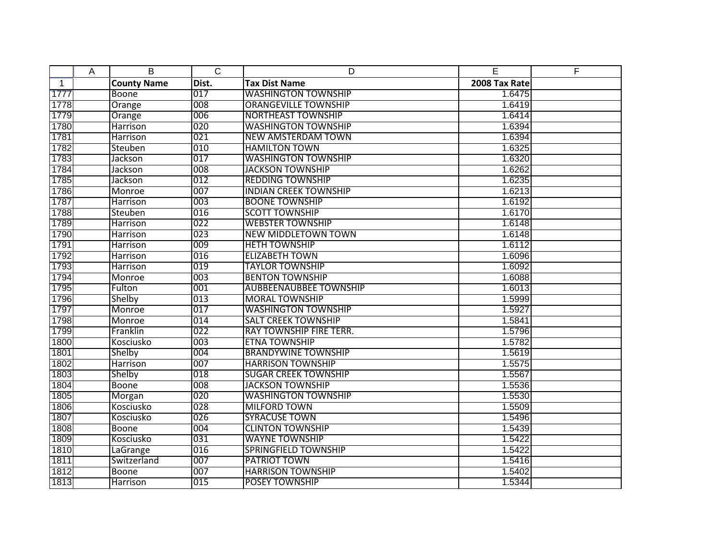|              | Α | B                  | $\mathsf{C}$ | D                              | E             | F |
|--------------|---|--------------------|--------------|--------------------------------|---------------|---|
| $\mathbf{1}$ |   | <b>County Name</b> | Dist.        | <b>Tax Dist Name</b>           | 2008 Tax Rate |   |
| 1777         |   | Boone              | 017          | <b>WASHINGTON TOWNSHIP</b>     | 1.6475        |   |
| 1778         |   | Orange             | 008          | <b>ORANGEVILLE TOWNSHIP</b>    | 1.6419        |   |
| 1779         |   | Orange             | 006          | <b>NORTHEAST TOWNSHIP</b>      | 1.6414        |   |
| 1780         |   | Harrison           | 020          | <b>WASHINGTON TOWNSHIP</b>     | 1.6394        |   |
| 1781         |   | Harrison           | 021          | <b>NEW AMSTERDAM TOWN</b>      | 1.6394        |   |
| 1782         |   | Steuben            | 010          | <b>HAMILTON TOWN</b>           | 1.6325        |   |
| 1783         |   | Jackson            | 017          | <b>WASHINGTON TOWNSHIP</b>     | 1.6320        |   |
| 1784         |   | Jackson            | 008          | <b>JACKSON TOWNSHIP</b>        | 1.6262        |   |
| 1785         |   | Jackson            | 012          | <b>REDDING TOWNSHIP</b>        | 1.6235        |   |
| 1786         |   | Monroe             | 007          | <b>INDIAN CREEK TOWNSHIP</b>   | 1.6213        |   |
| 1787         |   | Harrison           | 003          | <b>BOONE TOWNSHIP</b>          | 1.6192        |   |
| 1788         |   | Steuben            | 016          | <b>SCOTT TOWNSHIP</b>          | 1.6170        |   |
| 1789         |   | Harrison           | 022          | <b>WEBSTER TOWNSHIP</b>        | 1.6148        |   |
| 1790         |   | Harrison           | 023          | <b>NEW MIDDLETOWN TOWN</b>     | 1.6148        |   |
| 1791         |   | Harrison           | 009          | <b>HETH TOWNSHIP</b>           | 1.6112        |   |
| 1792         |   | Harrison           | 016          | <b>ELIZABETH TOWN</b>          | 1.6096        |   |
| 1793         |   | Harrison           | 019          | <b>TAYLOR TOWNSHIP</b>         | 1.6092        |   |
| 1794         |   | Monroe             | 003          | <b>BENTON TOWNSHIP</b>         | 1.6088        |   |
| 1795         |   | Fulton             | 001          | <b>AUBBEENAUBBEE TOWNSHIP</b>  | 1.6013        |   |
| 1796         |   | Shelby             | 013          | <b>MORAL TOWNSHIP</b>          | 1.5999        |   |
| 1797         |   | Monroe             | 017          | <b>WASHINGTON TOWNSHIP</b>     | 1.5927        |   |
| 1798         |   | Monroe             | 014          | <b>SALT CREEK TOWNSHIP</b>     | 1.5841        |   |
| 1799         |   | Franklin           | 022          | <b>RAY TOWNSHIP FIRE TERR.</b> | 1.5796        |   |
| 1800         |   | Kosciusko          | 003          | <b>ETNA TOWNSHIP</b>           | 1.5782        |   |
| 1801         |   | Shelby             | 004          | <b>BRANDYWINE TOWNSHIP</b>     | 1.5619        |   |
| 1802         |   | Harrison           | 007          | <b>HARRISON TOWNSHIP</b>       | 1.5575        |   |
| 1803         |   | Shelby             | 018          | <b>SUGAR CREEK TOWNSHIP</b>    | 1.5567        |   |
| 1804         |   | Boone              | 008          | <b>JACKSON TOWNSHIP</b>        | 1.5536        |   |
| 1805         |   | <b>Morgan</b>      | 020          | <b>WASHINGTON TOWNSHIP</b>     | 1.5530        |   |
| 1806         |   | Kosciusko          | 028          | <b>MILFORD TOWN</b>            | 1.5509        |   |
| 1807         |   | Kosciusko          | 026          | <b>SYRACUSE TOWN</b>           | 1.5496        |   |
| 1808         |   | <b>Boone</b>       | 004          | <b>CLINTON TOWNSHIP</b>        | 1.5439        |   |
| 1809         |   | Kosciusko          | 031          | <b>WAYNE TOWNSHIP</b>          | 1.5422        |   |
| 1810         |   | LaGrange           | 016          | <b>SPRINGFIELD TOWNSHIP</b>    | 1.5422        |   |
| 1811         |   | Switzerland        | 007          | PATRIOT TOWN                   | 1.5416        |   |
| 1812         |   | <b>Boone</b>       | 007          | <b>HARRISON TOWNSHIP</b>       | 1.5402        |   |
| 1813         |   | Harrison           | 015          | <b>POSEY TOWNSHIP</b>          | 1.5344        |   |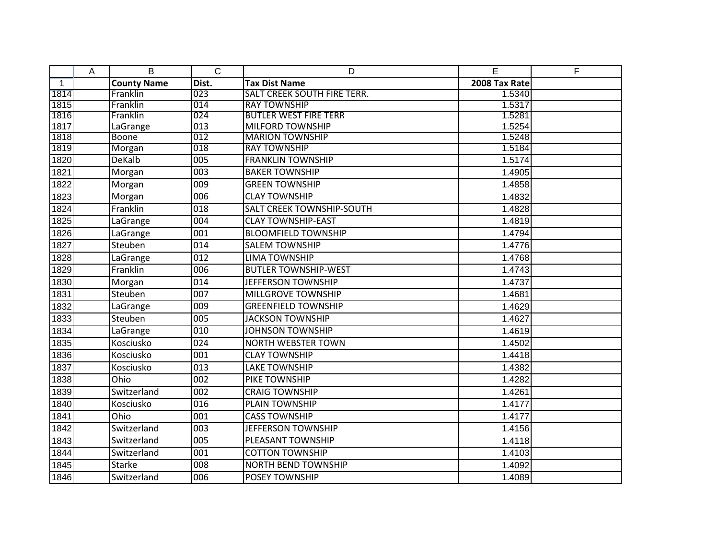|              | A | B                  | $\overline{C}$   | D                                  | E             | $\overline{F}$ |
|--------------|---|--------------------|------------------|------------------------------------|---------------|----------------|
| $\mathbf{1}$ |   | <b>County Name</b> | Dist.            | <b>Tax Dist Name</b>               | 2008 Tax Rate |                |
| 1814         |   | Franklin           | 023              | <b>SALT CREEK SOUTH FIRE TERR.</b> | 1.5340        |                |
| 1815         |   | Franklin           | 014              | <b>RAY TOWNSHIP</b>                | 1.5317        |                |
| 1816         |   | Franklin           | 024              | <b>BUTLER WEST FIRE TERR</b>       | 1.5281        |                |
| 1817         |   | LaGrange           | 013              | <b>MILFORD TOWNSHIP</b>            | 1.5254        |                |
| 1818         |   | <b>Boone</b>       | 012              | <b>MARION TOWNSHIP</b>             | 1.5248        |                |
| 1819         |   | Morgan             | 018              | <b>RAY TOWNSHIP</b>                | 1.5184        |                |
| 1820         |   | <b>DeKalb</b>      | $\overline{005}$ | <b>FRANKLIN TOWNSHIP</b>           | 1.5174        |                |
| 1821         |   | Morgan             | 003              | <b>BAKER TOWNSHIP</b>              | 1.4905        |                |
| 1822         |   | Morgan             | 009              | <b>GREEN TOWNSHIP</b>              | 1.4858        |                |
| 1823         |   | Morgan             | 006              | <b>CLAY TOWNSHIP</b>               | 1.4832        |                |
| 1824         |   | Franklin           | 018              | <b>SALT CREEK TOWNSHIP-SOUTH</b>   | 1.4828        |                |
| 1825         |   | LaGrange           | 004              | <b>CLAY TOWNSHIP-EAST</b>          | 1.4819        |                |
| 1826         |   | LaGrange           | $\overline{001}$ | <b>BLOOMFIELD TOWNSHIP</b>         | 1.4794        |                |
| 1827         |   | Steuben            | 014              | <b>SALEM TOWNSHIP</b>              | 1.4776        |                |
| 1828         |   | LaGrange           | 012              | <b>LIMA TOWNSHIP</b>               | 1.4768        |                |
| 1829         |   | Franklin           | 006              | <b>BUTLER TOWNSHIP-WEST</b>        | 1.4743        |                |
| 1830         |   | Morgan             | 014              | JEFFERSON TOWNSHIP                 | 1.4737        |                |
| 1831         |   | Steuben            | 007              | MILLGROVE TOWNSHIP                 | 1.4681        |                |
| 1832         |   | LaGrange           | 009              | <b>GREENFIELD TOWNSHIP</b>         | 1.4629        |                |
| 1833         |   | Steuben            | 005              | <b>JACKSON TOWNSHIP</b>            | 1.4627        |                |
| 1834         |   | LaGrange           | 010              | <b>JOHNSON TOWNSHIP</b>            | 1.4619        |                |
| 1835         |   | Kosciusko          | $\overline{024}$ | <b>NORTH WEBSTER TOWN</b>          | 1.4502        |                |
| 1836         |   | Kosciusko          | 001              | <b>CLAY TOWNSHIP</b>               | 1.4418        |                |
| 1837         |   | Kosciusko          | 013              | <b>LAKE TOWNSHIP</b>               | 1.4382        |                |
| 1838         |   | Ohio               | 002              | PIKE TOWNSHIP                      | 1.4282        |                |
| 1839         |   | Switzerland        | 002              | <b>CRAIG TOWNSHIP</b>              | 1.4261        |                |
| 1840         |   | Kosciusko          | 016              | PLAIN TOWNSHIP                     | 1.4177        |                |
| 1841         |   | Ohio               | 001              | <b>CASS TOWNSHIP</b>               | 1.4177        |                |
| 1842         |   | Switzerland        | 003              | <b>JEFFERSON TOWNSHIP</b>          | 1.4156        |                |
| 1843         |   | Switzerland        | 005              | PLEASANT TOWNSHIP                  | 1.4118        |                |
| 1844         |   | Switzerland        | 001              | <b>COTTON TOWNSHIP</b>             | 1.4103        |                |
| 1845         |   | <b>Starke</b>      | 008              | <b>NORTH BEND TOWNSHIP</b>         | 1.4092        |                |
| 1846         |   | Switzerland        | 006              | <b>POSEY TOWNSHIP</b>              | 1.4089        |                |